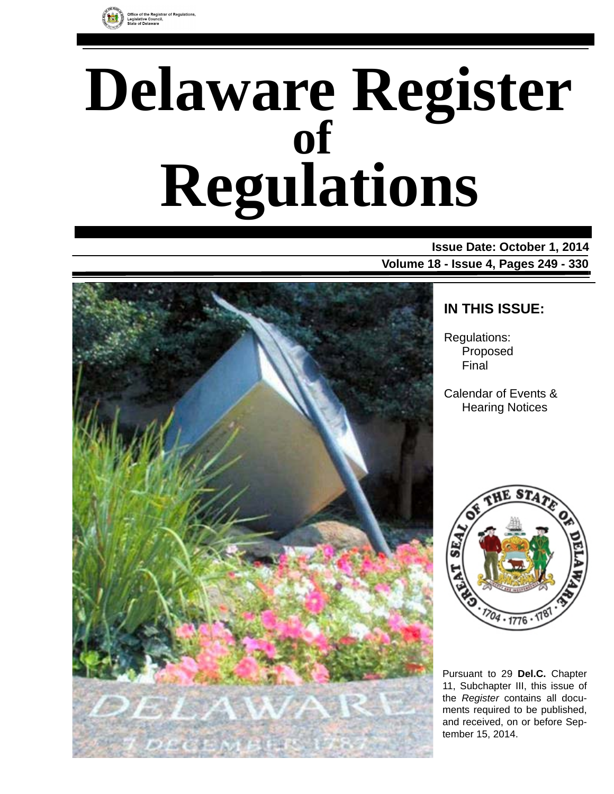

# **Delaware Register Regulations of**

**Issue Date: October 1, 2014 Volume 18 - Issue 4, Pages 249 - 330**



# **IN THIS ISSUE:**

Regulations: Proposed Final

Calendar of Events & Hearing Notices



Pursuant to 29 **Del.C.** Chapter 11, Subchapter III, this issue of the *Register* contains all documents required to be published, and received, on or before September 15, 2014.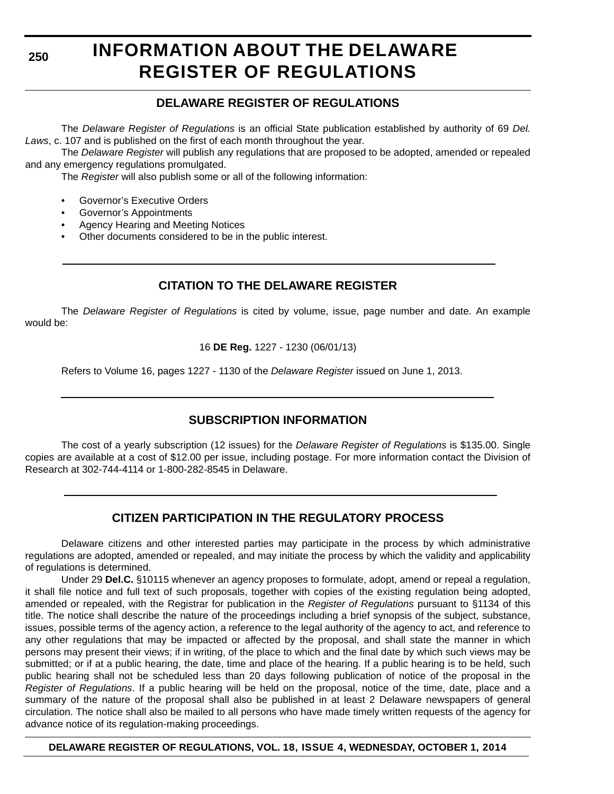**250**

# **INFORMATION ABOUT THE DELAWARE REGISTER OF REGULATIONS**

# **DELAWARE REGISTER OF REGULATIONS**

The *Delaware Register of Regulations* is an official State publication established by authority of 69 *Del. Laws*, c. 107 and is published on the first of each month throughout the year.

The *Delaware Register* will publish any regulations that are proposed to be adopted, amended or repealed and any emergency regulations promulgated.

The *Register* will also publish some or all of the following information:

- Governor's Executive Orders
- Governor's Appointments
- Agency Hearing and Meeting Notices
- Other documents considered to be in the public interest.

# **CITATION TO THE DELAWARE REGISTER**

The *Delaware Register of Regulations* is cited by volume, issue, page number and date. An example would be:

16 **DE Reg.** 1227 - 1230 (06/01/13)

Refers to Volume 16, pages 1227 - 1130 of the *Delaware Register* issued on June 1, 2013.

# **SUBSCRIPTION INFORMATION**

The cost of a yearly subscription (12 issues) for the *Delaware Register of Regulations* is \$135.00. Single copies are available at a cost of \$12.00 per issue, including postage. For more information contact the Division of Research at 302-744-4114 or 1-800-282-8545 in Delaware.

# **CITIZEN PARTICIPATION IN THE REGULATORY PROCESS**

Delaware citizens and other interested parties may participate in the process by which administrative regulations are adopted, amended or repealed, and may initiate the process by which the validity and applicability of regulations is determined.

Under 29 **Del.C.** §10115 whenever an agency proposes to formulate, adopt, amend or repeal a regulation, it shall file notice and full text of such proposals, together with copies of the existing regulation being adopted, amended or repealed, with the Registrar for publication in the *Register of Regulations* pursuant to §1134 of this title. The notice shall describe the nature of the proceedings including a brief synopsis of the subject, substance, issues, possible terms of the agency action, a reference to the legal authority of the agency to act, and reference to any other regulations that may be impacted or affected by the proposal, and shall state the manner in which persons may present their views; if in writing, of the place to which and the final date by which such views may be submitted; or if at a public hearing, the date, time and place of the hearing. If a public hearing is to be held, such public hearing shall not be scheduled less than 20 days following publication of notice of the proposal in the *Register of Regulations*. If a public hearing will be held on the proposal, notice of the time, date, place and a summary of the nature of the proposal shall also be published in at least 2 Delaware newspapers of general circulation. The notice shall also be mailed to all persons who have made timely written requests of the agency for advance notice of its regulation-making proceedings.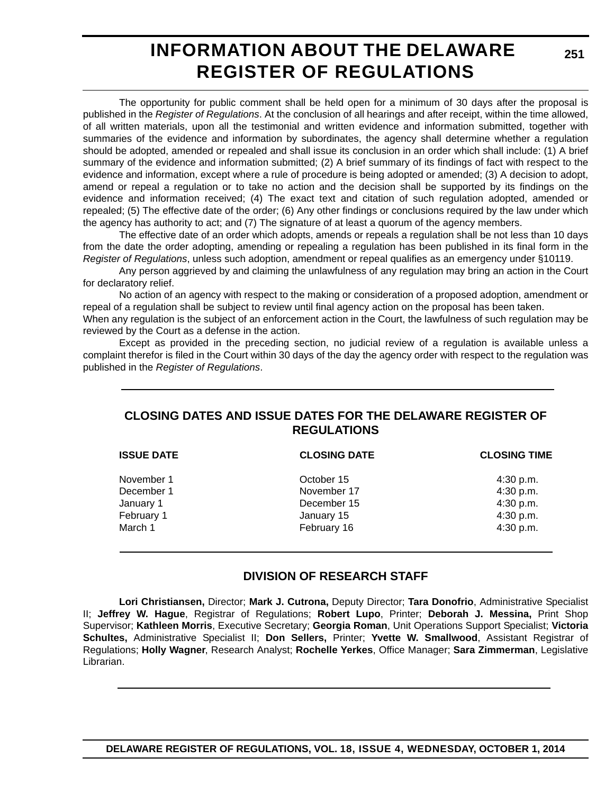# **INFORMATION ABOUT THE DELAWARE REGISTER OF REGULATIONS**

**251**

The opportunity for public comment shall be held open for a minimum of 30 days after the proposal is published in the *Register of Regulations*. At the conclusion of all hearings and after receipt, within the time allowed, of all written materials, upon all the testimonial and written evidence and information submitted, together with summaries of the evidence and information by subordinates, the agency shall determine whether a regulation should be adopted, amended or repealed and shall issue its conclusion in an order which shall include: (1) A brief summary of the evidence and information submitted; (2) A brief summary of its findings of fact with respect to the evidence and information, except where a rule of procedure is being adopted or amended; (3) A decision to adopt, amend or repeal a regulation or to take no action and the decision shall be supported by its findings on the evidence and information received; (4) The exact text and citation of such regulation adopted, amended or repealed; (5) The effective date of the order; (6) Any other findings or conclusions required by the law under which the agency has authority to act; and (7) The signature of at least a quorum of the agency members.

The effective date of an order which adopts, amends or repeals a regulation shall be not less than 10 days from the date the order adopting, amending or repealing a regulation has been published in its final form in the *Register of Regulations*, unless such adoption, amendment or repeal qualifies as an emergency under §10119.

Any person aggrieved by and claiming the unlawfulness of any regulation may bring an action in the Court for declaratory relief.

No action of an agency with respect to the making or consideration of a proposed adoption, amendment or repeal of a regulation shall be subject to review until final agency action on the proposal has been taken.

When any regulation is the subject of an enforcement action in the Court, the lawfulness of such regulation may be reviewed by the Court as a defense in the action.

Except as provided in the preceding section, no judicial review of a regulation is available unless a complaint therefor is filed in the Court within 30 days of the day the agency order with respect to the regulation was published in the *Register of Regulations*.

# **CLOSING DATES AND ISSUE DATES FOR THE DELAWARE REGISTER OF REGULATIONS**

| <b>ISSUE DATE</b> | <b>CLOSING DATE</b> | <b>CLOSING TIME</b> |
|-------------------|---------------------|---------------------|
| November 1        | October 15          | 4:30 p.m.           |
| December 1        | November 17         | 4:30 p.m.           |
| January 1         | December 15         | 4:30 p.m.           |
| February 1        | January 15          | 4:30 p.m.           |
| March 1           | February 16         | 4:30 p.m.           |
|                   |                     |                     |

# **DIVISION OF RESEARCH STAFF**

**Lori Christiansen,** Director; **Mark J. Cutrona,** Deputy Director; **Tara Donofrio**, Administrative Specialist II; **Jeffrey W. Hague**, Registrar of Regulations; **Robert Lupo**, Printer; **Deborah J. Messina,** Print Shop Supervisor; **Kathleen Morris**, Executive Secretary; **Georgia Roman**, Unit Operations Support Specialist; **Victoria Schultes,** Administrative Specialist II; **Don Sellers,** Printer; **Yvette W. Smallwood**, Assistant Registrar of Regulations; **Holly Wagner**, Research Analyst; **Rochelle Yerkes**, Office Manager; **Sara Zimmerman**, Legislative Librarian.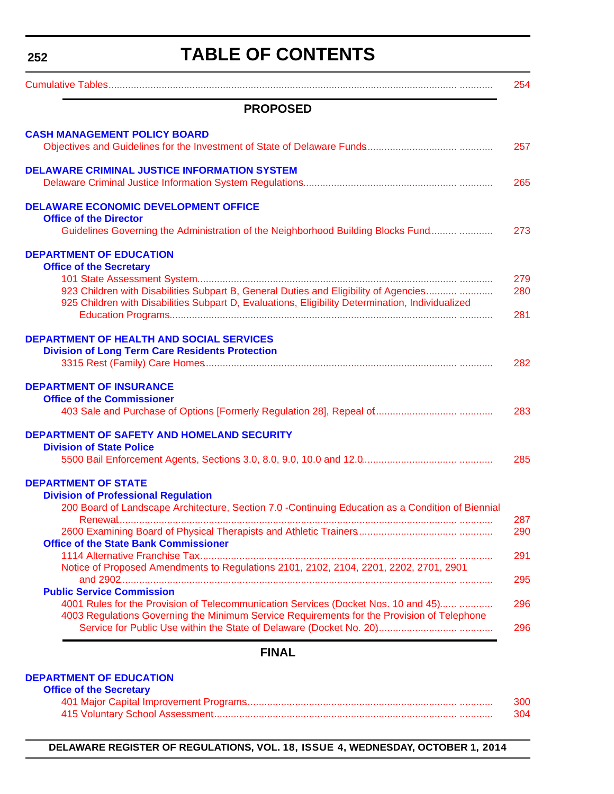<span id="page-3-0"></span>**252**

# **TABLE OF CONTENTS**

|                                                                                                                                                                                          | 254        |
|------------------------------------------------------------------------------------------------------------------------------------------------------------------------------------------|------------|
| <b>PROPOSED</b>                                                                                                                                                                          |            |
| <b>CASH MANAGEMENT POLICY BOARD</b>                                                                                                                                                      |            |
|                                                                                                                                                                                          | 257        |
| <b>DELAWARE CRIMINAL JUSTICE INFORMATION SYSTEM</b>                                                                                                                                      |            |
|                                                                                                                                                                                          | 265        |
| <b>DELAWARE ECONOMIC DEVELOPMENT OFFICE</b><br><b>Office of the Director</b>                                                                                                             |            |
| Guidelines Governing the Administration of the Neighborhood Building Blocks Fund                                                                                                         | 273        |
| <b>DEPARTMENT OF EDUCATION</b><br><b>Office of the Secretary</b>                                                                                                                         |            |
|                                                                                                                                                                                          | 279        |
| 923 Children with Disabilities Subpart B, General Duties and Eligibility of Agencies<br>925 Children with Disabilities Subpart D, Evaluations, Eligibility Determination, Individualized | 280        |
|                                                                                                                                                                                          | 281        |
| <b>DEPARTMENT OF HEALTH AND SOCIAL SERVICES</b>                                                                                                                                          |            |
| <b>Division of Long Term Care Residents Protection</b>                                                                                                                                   |            |
|                                                                                                                                                                                          | 282        |
| <b>DEPARTMENT OF INSURANCE</b>                                                                                                                                                           |            |
| <b>Office of the Commissioner</b>                                                                                                                                                        |            |
|                                                                                                                                                                                          | 283        |
| <b>DEPARTMENT OF SAFETY AND HOMELAND SECURITY</b>                                                                                                                                        |            |
| <b>Division of State Police</b>                                                                                                                                                          |            |
|                                                                                                                                                                                          | 285        |
| <b>DEPARTMENT OF STATE</b>                                                                                                                                                               |            |
| <b>Division of Professional Regulation</b>                                                                                                                                               |            |
| 200 Board of Landscape Architecture, Section 7.0 -Continuing Education as a Condition of Biennial                                                                                        |            |
|                                                                                                                                                                                          | 287<br>290 |
| <b>Office of the State Bank Commissioner</b>                                                                                                                                             |            |
|                                                                                                                                                                                          | 291        |
| Notice of Proposed Amendments to Regulations 2101, 2102, 2104, 2201, 2202, 2701, 2901                                                                                                    | 295        |
| <b>Public Service Commission</b>                                                                                                                                                         |            |
| 4001 Rules for the Provision of Telecommunication Services (Docket Nos. 10 and 45)<br>4003 Regulations Governing the Minimum Service Requirements for the Provision of Telephone         | 296        |
|                                                                                                                                                                                          | 296        |
| <b>FINAI</b>                                                                                                                                                                             |            |

# **FINAL**

# **[DEPARTMENT OF EDUCATION](http://www.doe.k12.de.us/)**

| <b>Office of the Secretary</b> |     |
|--------------------------------|-----|
|                                | 300 |
|                                | 304 |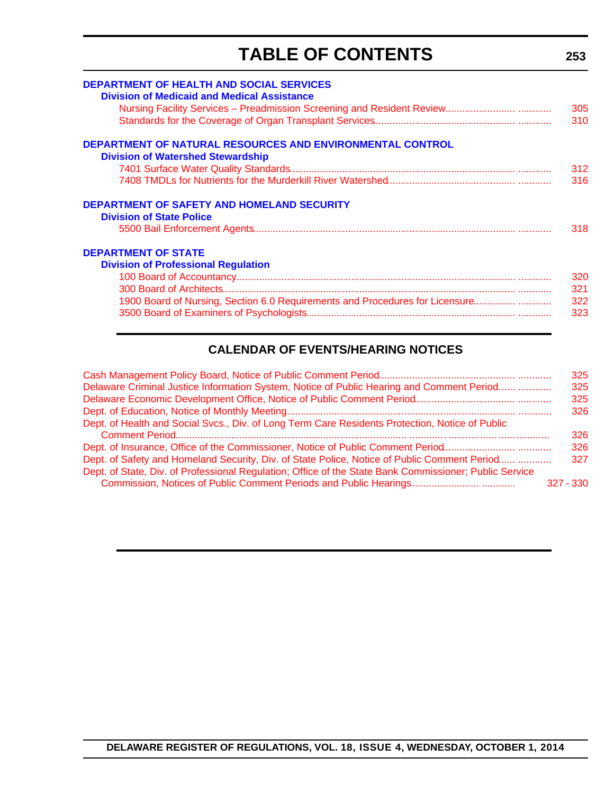# **TABLE OF CONTENTS**

**253**

| <b>DEPARTMENT OF HEALTH AND SOCIAL SERVICES</b><br><b>Division of Medicaid and Medical Assistance</b> |     |
|-------------------------------------------------------------------------------------------------------|-----|
|                                                                                                       | 305 |
|                                                                                                       | 310 |
|                                                                                                       |     |
| DEPARTMENT OF NATURAL RESOURCES AND ENVIRONMENTAL CONTROL<br><b>Division of Watershed Stewardship</b> |     |
|                                                                                                       | 312 |
|                                                                                                       | 316 |
|                                                                                                       |     |
| <b>DEPARTMENT OF SAFETY AND HOMELAND SECURITY</b>                                                     |     |
| <b>Division of State Police</b>                                                                       |     |
|                                                                                                       | 318 |
| <b>DEPARTMENT OF STATE</b>                                                                            |     |
| <b>Division of Professional Regulation</b>                                                            |     |
|                                                                                                       | 320 |
|                                                                                                       | 321 |
| 1900 Board of Nursing, Section 6.0 Requirements and Procedures for Licensure                          | 322 |
|                                                                                                       | 323 |
|                                                                                                       |     |
|                                                                                                       |     |

# **CALENDAR OF EVENTS/HEARING NOTICES**

|                                                                                                        | 325         |
|--------------------------------------------------------------------------------------------------------|-------------|
| Delaware Criminal Justice Information System, Notice of Public Hearing and Comment Period              | 325         |
|                                                                                                        | 325         |
|                                                                                                        | 326         |
| Dept. of Health and Social Svcs., Div. of Long Term Care Residents Protection, Notice of Public        |             |
|                                                                                                        | 326         |
| Dept. of Insurance, Office of the Commissioner, Notice of Public Comment Period                        | 326         |
| Dept. of Safety and Homeland Security, Div. of State Police, Notice of Public Comment Period           | 327         |
| Dept. of State, Div. of Professional Regulation; Office of the State Bank Commissioner; Public Service |             |
|                                                                                                        | $327 - 330$ |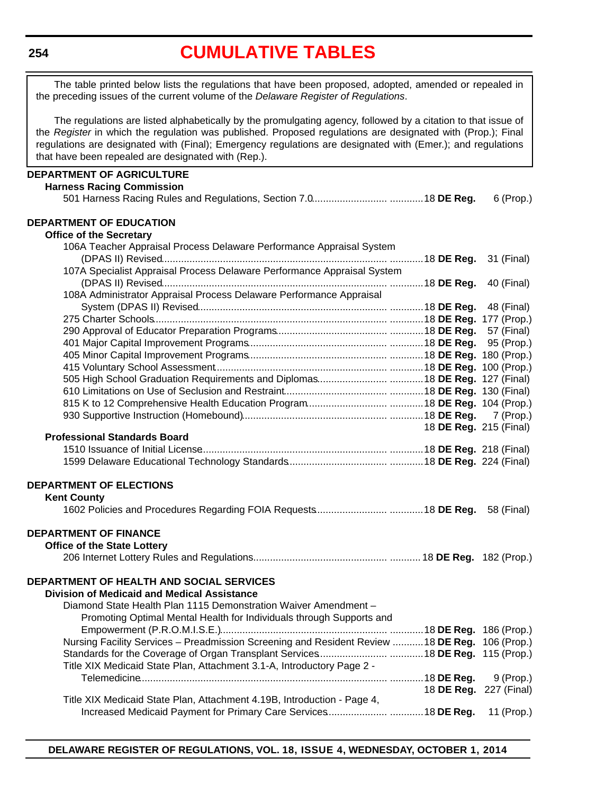#### <span id="page-5-0"></span>**254**

# **[CUMULATIVE TABLES](#page-3-0)**

The table printed below lists the regulations that have been proposed, adopted, amended or repealed in the preceding issues of the current volume of the *Delaware Register of Regulations*.

The regulations are listed alphabetically by the promulgating agency, followed by a citation to that issue of the *Register* in which the regulation was published. Proposed regulations are designated with (Prop.); Final regulations are designated with (Final); Emergency regulations are designated with (Emer.); and regulations that have been repealed are designated with (Rep.).

| DEPARTMENT OF AGRICULTURE                                                          |                               |             |
|------------------------------------------------------------------------------------|-------------------------------|-------------|
| <b>Harness Racing Commission</b>                                                   |                               |             |
|                                                                                    |                               | 6 (Prop.)   |
| <b>DEPARTMENT OF EDUCATION</b>                                                     |                               |             |
| <b>Office of the Secretary</b>                                                     |                               |             |
|                                                                                    |                               |             |
| 106A Teacher Appraisal Process Delaware Performance Appraisal System               |                               |             |
|                                                                                    |                               | 31 (Final)  |
| 107A Specialist Appraisal Process Delaware Performance Appraisal System            |                               |             |
|                                                                                    |                               | 40 (Final)  |
| 108A Administrator Appraisal Process Delaware Performance Appraisal                |                               |             |
|                                                                                    |                               | 48 (Final)  |
|                                                                                    |                               |             |
|                                                                                    |                               |             |
|                                                                                    |                               | 95 (Prop.)  |
|                                                                                    |                               |             |
|                                                                                    |                               |             |
|                                                                                    |                               |             |
|                                                                                    |                               |             |
|                                                                                    |                               |             |
|                                                                                    |                               |             |
|                                                                                    | 18 <b>DE Reg.</b> 215 (Final) |             |
| <b>Professional Standards Board</b>                                                |                               |             |
|                                                                                    |                               |             |
|                                                                                    |                               |             |
| <b>DEPARTMENT OF ELECTIONS</b>                                                     |                               |             |
| <b>Kent County</b>                                                                 |                               |             |
|                                                                                    |                               | 58 (Final)  |
|                                                                                    |                               |             |
| <b>DEPARTMENT OF FINANCE</b>                                                       |                               |             |
| <b>Office of the State Lottery</b>                                                 |                               |             |
|                                                                                    |                               |             |
|                                                                                    |                               |             |
| <b>DEPARTMENT OF HEALTH AND SOCIAL SERVICES</b>                                    |                               |             |
| <b>Division of Medicaid and Medical Assistance</b>                                 |                               |             |
| Diamond State Health Plan 1115 Demonstration Waiver Amendment -                    |                               |             |
| Promoting Optimal Mental Health for Individuals through Supports and               |                               |             |
|                                                                                    |                               | 186 (Prop.) |
| Nursing Facility Services - Preadmission Screening and Resident Review  18 DE Reg. |                               | 106 (Prop.) |
|                                                                                    |                               | 115 (Prop.) |
| Title XIX Medicaid State Plan, Attachment 3.1-A, Introductory Page 2 -             |                               |             |
|                                                                                    |                               | $9$ (Prop.) |
|                                                                                    | 18 DE Reg.                    | 227 (Final) |
| Title XIX Medicaid State Plan, Attachment 4.19B, Introduction - Page 4,            |                               |             |
|                                                                                    |                               | 11 (Prop.)  |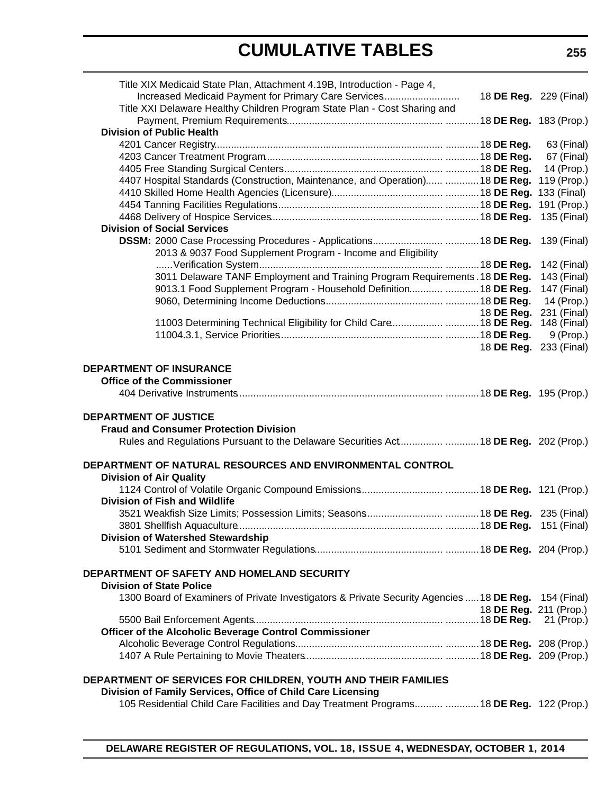# **CUMULATIVE TABLES**

| Increased Medicaid Payment for Primary Care Services                                                                                                    |                               |             |
|---------------------------------------------------------------------------------------------------------------------------------------------------------|-------------------------------|-------------|
|                                                                                                                                                         | 18 DE Reg. 229 (Final)        |             |
| Title XXI Delaware Healthy Children Program State Plan - Cost Sharing and                                                                               |                               |             |
|                                                                                                                                                         |                               |             |
| <b>Division of Public Health</b>                                                                                                                        |                               |             |
|                                                                                                                                                         |                               | 63 (Final)  |
|                                                                                                                                                         |                               | 67 (Final)  |
|                                                                                                                                                         |                               | 14 (Prop.)  |
| 4407 Hospital Standards (Construction, Maintenance, and Operation)  18 DE Reg.                                                                          |                               | 119 (Prop.) |
|                                                                                                                                                         |                               | 133 (Final) |
|                                                                                                                                                         |                               | 191 (Prop.) |
|                                                                                                                                                         |                               | 135 (Final) |
| <b>Division of Social Services</b>                                                                                                                      |                               |             |
|                                                                                                                                                         |                               |             |
| 2013 & 9037 Food Supplement Program - Income and Eligibility                                                                                            |                               |             |
|                                                                                                                                                         |                               | 142 (Final) |
| 3011 Delaware TANF Employment and Training Program Requirements . 18 DE Reg.                                                                            |                               | 143 (Final) |
| 9013.1 Food Supplement Program - Household Definition  18 DE Reg.                                                                                       |                               | 147 (Final) |
|                                                                                                                                                         |                               | 14 (Prop.)  |
|                                                                                                                                                         | 18 DE Req.                    | 231 (Final) |
| 11003 Determining Technical Eligibility for Child Care 18 DE Reg.                                                                                       |                               | 148 (Final) |
|                                                                                                                                                         |                               | 9 (Prop.)   |
|                                                                                                                                                         | 18 <b>DE Reg.</b> 233 (Final) |             |
|                                                                                                                                                         |                               |             |
| <b>DEPARTMENT OF INSURANCE</b>                                                                                                                          |                               |             |
| <b>Office of the Commissioner</b>                                                                                                                       |                               |             |
|                                                                                                                                                         |                               |             |
|                                                                                                                                                         |                               |             |
| <b>DEPARTMENT OF JUSTICE</b>                                                                                                                            |                               |             |
| <b>Fraud and Consumer Protection Division</b>                                                                                                           |                               |             |
| Rules and Regulations Pursuant to the Delaware Securities Act 18 DE Reg. 202 (Prop.)                                                                    |                               |             |
|                                                                                                                                                         |                               |             |
|                                                                                                                                                         |                               |             |
| DEPARTMENT OF NATURAL RESOURCES AND ENVIRONMENTAL CONTROL                                                                                               |                               |             |
| <b>Division of Air Quality</b>                                                                                                                          |                               |             |
|                                                                                                                                                         |                               |             |
| <b>Division of Fish and Wildlife</b>                                                                                                                    |                               |             |
|                                                                                                                                                         |                               |             |
|                                                                                                                                                         |                               |             |
| 3801 Shellfish Aquaculture                                                                                                                              |                               |             |
| <b>Division of Watershed Stewardship</b>                                                                                                                |                               |             |
|                                                                                                                                                         |                               |             |
| DEPARTMENT OF SAFETY AND HOMELAND SECURITY                                                                                                              |                               |             |
| <b>Division of State Police</b>                                                                                                                         |                               |             |
|                                                                                                                                                         |                               |             |
| 1300 Board of Examiners of Private Investigators & Private Security Agencies  18 DE Reg. 154 (Final)                                                    |                               |             |
|                                                                                                                                                         | 18 DE Reg. 211 (Prop.)        | 21 (Prop.)  |
| Officer of the Alcoholic Beverage Control Commissioner                                                                                                  |                               |             |
|                                                                                                                                                         |                               |             |
|                                                                                                                                                         |                               |             |
|                                                                                                                                                         |                               |             |
| DEPARTMENT OF SERVICES FOR CHILDREN, YOUTH AND THEIR FAMILIES                                                                                           |                               |             |
| Division of Family Services, Office of Child Care Licensing<br>105 Residential Child Care Facilities and Day Treatment Programs  18 DE Reg. 122 (Prop.) |                               |             |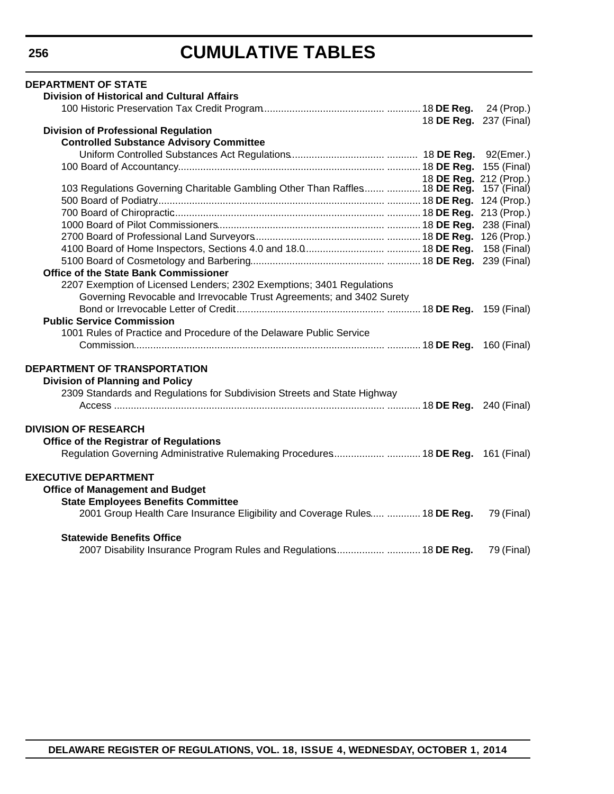# **CUMULATIVE TABLES**

| <b>DEPARTMENT OF STATE</b>                                                       |                               |
|----------------------------------------------------------------------------------|-------------------------------|
| <b>Division of Historical and Cultural Affairs</b>                               |                               |
|                                                                                  | 24 (Prop.)                    |
|                                                                                  | 18 <b>DE Reg.</b> 237 (Final) |
| <b>Division of Professional Regulation</b>                                       |                               |
| <b>Controlled Substance Advisory Committee</b>                                   |                               |
|                                                                                  |                               |
|                                                                                  |                               |
|                                                                                  | 18 DE Reg. 212 (Prop.)        |
| 103 Regulations Governing Charitable Gambling Other Than Raffles  18 DE Reg.     | $157$ (Final)                 |
|                                                                                  |                               |
|                                                                                  |                               |
|                                                                                  |                               |
|                                                                                  |                               |
|                                                                                  | 158 (Final)                   |
|                                                                                  |                               |
| <b>Office of the State Bank Commissioner</b>                                     |                               |
| 2207 Exemption of Licensed Lenders; 2302 Exemptions; 3401 Regulations            |                               |
| Governing Revocable and Irrevocable Trust Agreements; and 3402 Surety            |                               |
|                                                                                  |                               |
| <b>Public Service Commission</b>                                                 |                               |
| 1001 Rules of Practice and Procedure of the Delaware Public Service              |                               |
|                                                                                  |                               |
|                                                                                  |                               |
| DEPARTMENT OF TRANSPORTATION                                                     |                               |
| <b>Division of Planning and Policy</b>                                           |                               |
| 2309 Standards and Regulations for Subdivision Streets and State Highway         |                               |
|                                                                                  |                               |
|                                                                                  |                               |
| <b>DIVISION OF RESEARCH</b>                                                      |                               |
| <b>Office of the Registrar of Regulations</b>                                    |                               |
| Regulation Governing Administrative Rulemaking Procedures 18 DE Reg. 161 (Final) |                               |
|                                                                                  |                               |
| <b>EXECUTIVE DEPARTMENT</b>                                                      |                               |
| <b>Office of Management and Budget</b>                                           |                               |
| <b>State Employees Benefits Committee</b>                                        |                               |
| 2001 Group Health Care Insurance Eligibility and Coverage Rules  18 DE Reg.      | 79 (Final)                    |
|                                                                                  |                               |
| <b>Statewide Benefits Office</b>                                                 |                               |
| 2007 Disability Insurance Program Rules and Regulations 18 DE Reg.               | 79 (Final)                    |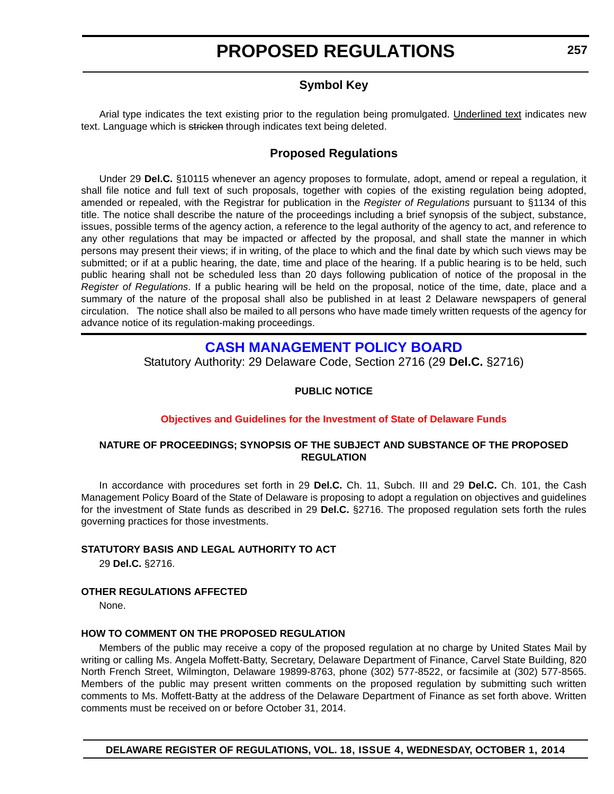# **Symbol Key**

<span id="page-8-0"></span>Arial type indicates the text existing prior to the regulation being promulgated. Underlined text indicates new text. Language which is stricken through indicates text being deleted.

# **Proposed Regulations**

Under 29 **Del.C.** §10115 whenever an agency proposes to formulate, adopt, amend or repeal a regulation, it shall file notice and full text of such proposals, together with copies of the existing regulation being adopted, amended or repealed, with the Registrar for publication in the *Register of Regulations* pursuant to §1134 of this title. The notice shall describe the nature of the proceedings including a brief synopsis of the subject, substance, issues, possible terms of the agency action, a reference to the legal authority of the agency to act, and reference to any other regulations that may be impacted or affected by the proposal, and shall state the manner in which persons may present their views; if in writing, of the place to which and the final date by which such views may be submitted; or if at a public hearing, the date, time and place of the hearing. If a public hearing is to be held, such public hearing shall not be scheduled less than 20 days following publication of notice of the proposal in the *Register of Regulations*. If a public hearing will be held on the proposal, notice of the time, date, place and a summary of the nature of the proposal shall also be published in at least 2 Delaware newspapers of general circulation. The notice shall also be mailed to all persons who have made timely written requests of the agency for advance notice of its regulation-making proceedings.

# **[CASH MANAGEMENT POLICY BOARD](http://sos.delaware.gov/sos.shtml)**

Statutory Authority: 29 Delaware Code, Section 2716 (29 **Del.C.** §2716)

### **PUBLIC NOTICE**

### **[Objectives and Guidelines for the Investment of State of Delaware Funds](#page-3-0)**

### **NATURE OF PROCEEDINGS; SYNOPSIS OF THE SUBJECT AND SUBSTANCE OF THE PROPOSED REGULATION**

In accordance with procedures set forth in 29 **Del.C.** Ch. 11, Subch. III and 29 **Del.C.** Ch. 101, the Cash Management Policy Board of the State of Delaware is proposing to adopt a regulation on objectives and guidelines for the investment of State funds as described in 29 **Del.C.** §2716. The proposed regulation sets forth the rules governing practices for those investments.

### **STATUTORY BASIS AND LEGAL AUTHORITY TO ACT**

29 **Del.C.** §2716.

### **OTHER REGULATIONS AFFECTED**

None.

# **HOW TO COMMENT ON THE PROPOSED REGULATION**

Members of the public may receive a copy of the proposed regulation at no charge by United States Mail by writing or calling Ms. Angela Moffett-Batty, Secretary, Delaware Department of Finance, Carvel State Building, 820 North French Street, Wilmington, Delaware 19899-8763, phone (302) 577-8522, or facsimile at (302) 577-8565. Members of the public may present written comments on the proposed regulation by submitting such written comments to Ms. Moffett-Batty at the address of the Delaware Department of Finance as set forth above. Written comments must be received on or before October 31, 2014.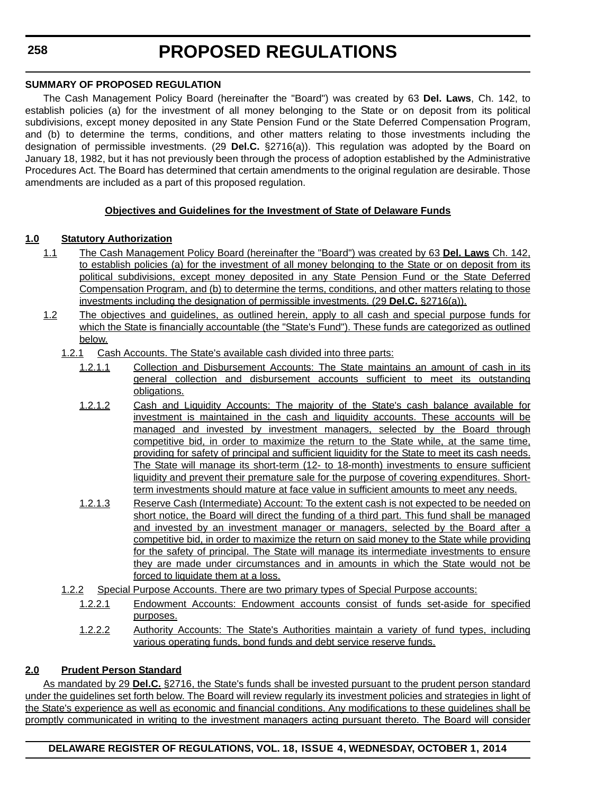### **SUMMARY OF PROPOSED REGULATION**

The Cash Management Policy Board (hereinafter the "Board") was created by 63 **Del. Laws**, Ch. 142, to establish policies (a) for the investment of all money belonging to the State or on deposit from its political subdivisions, except money deposited in any State Pension Fund or the State Deferred Compensation Program, and (b) to determine the terms, conditions, and other matters relating to those investments including the designation of permissible investments. (29 **Del.C.** §2716(a)). This regulation was adopted by the Board on January 18, 1982, but it has not previously been through the process of adoption established by the Administrative Procedures Act. The Board has determined that certain amendments to the original regulation are desirable. Those amendments are included as a part of this proposed regulation.

### **Objectives and Guidelines for the Investment of State of Delaware Funds**

### **1.0 Statutory Authorization**

- 1.1 The Cash Management Policy Board (hereinafter the "Board") was created by 63 **Del. Laws** Ch. 142, to establish policies (a) for the investment of all money belonging to the State or on deposit from its political subdivisions, except money deposited in any State Pension Fund or the State Deferred Compensation Program, and (b) to determine the terms, conditions, and other matters relating to those investments including the designation of permissible investments. (29 **Del.C.** §2716(a)).
- 1.2 The objectives and guidelines, as outlined herein, apply to all cash and special purpose funds for which the State is financially accountable (the "State's Fund"). These funds are categorized as outlined below.
	- 1.2.1 Cash Accounts. The State's available cash divided into three parts:
		- 1.2.1.1 Collection and Disbursement Accounts: The State maintains an amount of cash in its general collection and disbursement accounts sufficient to meet its outstanding obligations.
		- 1.2.1.2 Cash and Liquidity Accounts: The majority of the State's cash balance available for investment is maintained in the cash and liquidity accounts. These accounts will be managed and invested by investment managers, selected by the Board through competitive bid, in order to maximize the return to the State while, at the same time, providing for safety of principal and sufficient liquidity for the State to meet its cash needs. The State will manage its short-term (12- to 18-month) investments to ensure sufficient liquidity and prevent their premature sale for the purpose of covering expenditures. Shortterm investments should mature at face value in sufficient amounts to meet any needs.
		- 1.2.1.3 Reserve Cash (Intermediate) Account: To the extent cash is not expected to be needed on short notice, the Board will direct the funding of a third part. This fund shall be managed and invested by an investment manager or managers, selected by the Board after a competitive bid, in order to maximize the return on said money to the State while providing for the safety of principal. The State will manage its intermediate investments to ensure they are made under circumstances and in amounts in which the State would not be forced to liquidate them at a loss.
	- 1.2.2 Special Purpose Accounts. There are two primary types of Special Purpose accounts:
		- 1.2.2.1 Endowment Accounts: Endowment accounts consist of funds set-aside for specified purposes.
		- 1.2.2.2 Authority Accounts: The State's Authorities maintain a variety of fund types, including various operating funds, bond funds and debt service reserve funds.

# **2.0 Prudent Person Standard**

As mandated by 29 **Del.C.** §2716, the State's funds shall be invested pursuant to the prudent person standard under the guidelines set forth below. The Board will review regularly its investment policies and strategies in light of the State's experience as well as economic and financial conditions. Any modifications to these guidelines shall be promptly communicated in writing to the investment managers acting pursuant thereto. The Board will consider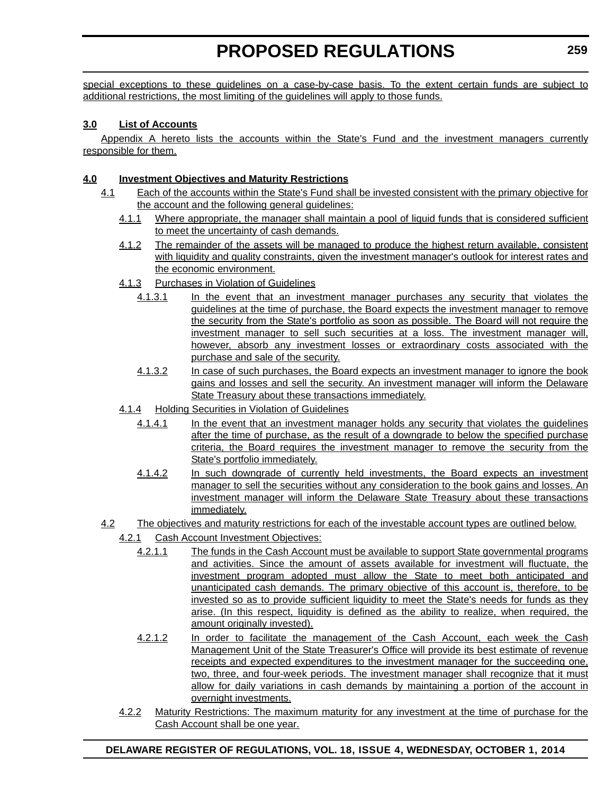special exceptions to these guidelines on a case-by-case basis. To the extent certain funds are subject to additional restrictions, the most limiting of the guidelines will apply to those funds.

# **3.0 List of Accounts**

Appendix A hereto lists the accounts within the State's Fund and the investment managers currently responsible for them.

# **4.0 Investment Objectives and Maturity Restrictions**

- 4.1 Each of the accounts within the State's Fund shall be invested consistent with the primary objective for the account and the following general guidelines:
	- 4.1.1 Where appropriate, the manager shall maintain a pool of liquid funds that is considered sufficient to meet the uncertainty of cash demands.
	- 4.1.2 The remainder of the assets will be managed to produce the highest return available, consistent with liquidity and quality constraints, given the investment manager's outlook for interest rates and the economic environment.
	- 4.1.3 Purchases in Violation of Guidelines
		- 4.1.3.1 In the event that an investment manager purchases any security that violates the guidelines at the time of purchase, the Board expects the investment manager to remove the security from the State's portfolio as soon as possible. The Board will not require the investment manager to sell such securities at a loss. The investment manager will, however, absorb any investment losses or extraordinary costs associated with the purchase and sale of the security.
		- 4.1.3.2 In case of such purchases, the Board expects an investment manager to ignore the book gains and losses and sell the security. An investment manager will inform the Delaware State Treasury about these transactions immediately.
	- 4.1.4 Holding Securities in Violation of Guidelines
		- 4.1.4.1 In the event that an investment manager holds any security that violates the guidelines after the time of purchase, as the result of a downgrade to below the specified purchase criteria, the Board requires the investment manager to remove the security from the State's portfolio immediately.
		- 4.1.4.2 In such downgrade of currently held investments, the Board expects an investment manager to sell the securities without any consideration to the book gains and losses. An investment manager will inform the Delaware State Treasury about these transactions immediately.
- 4.2 The objectives and maturity restrictions for each of the investable account types are outlined below.
	- 4.2.1 Cash Account Investment Objectives:
		- 4.2.1.1 The funds in the Cash Account must be available to support State governmental programs and activities. Since the amount of assets available for investment will fluctuate, the investment program adopted must allow the State to meet both anticipated and unanticipated cash demands. The primary objective of this account is, therefore, to be invested so as to provide sufficient liquidity to meet the State's needs for funds as they arise. (In this respect, liquidity is defined as the ability to realize, when required, the amount originally invested).
		- 4.2.1.2 In order to facilitate the management of the Cash Account, each week the Cash Management Unit of the State Treasurer's Office will provide its best estimate of revenue receipts and expected expenditures to the investment manager for the succeeding one, two, three, and four-week periods. The investment manager shall recognize that it must allow for daily variations in cash demands by maintaining a portion of the account in overnight investments.
	- 4.2.2 Maturity Restrictions: The maximum maturity for any investment at the time of purchase for the Cash Account shall be one year.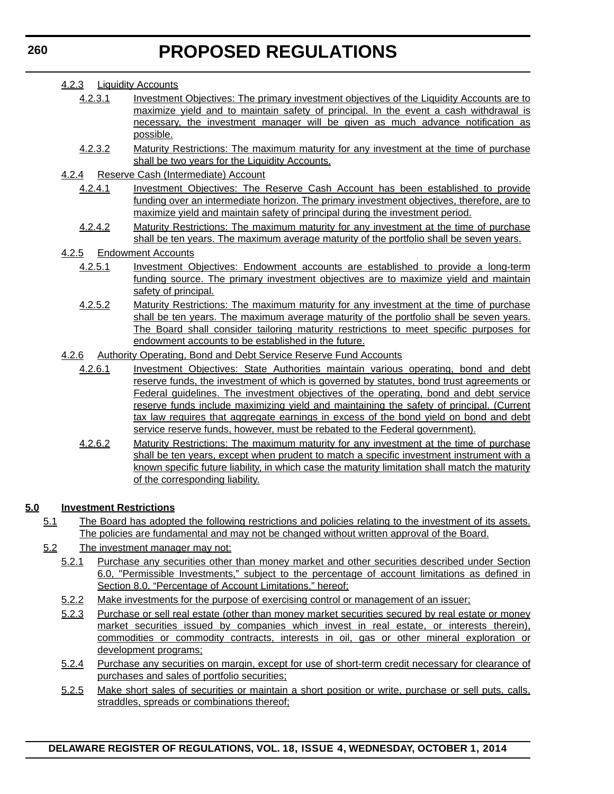- 4.2.3.1 Investment Objectives: The primary investment objectives of the Liquidity Accounts are to maximize yield and to maintain safety of principal. In the event a cash withdrawal is necessary, the investment manager will be given as much advance notification as possible.
- 4.2.3.2 Maturity Restrictions: The maximum maturity for any investment at the time of purchase shall be two years for the Liquidity Accounts.
- 4.2.4 Reserve Cash (Intermediate) Account
	- 4.2.4.1 Investment Objectives: The Reserve Cash Account has been established to provide funding over an intermediate horizon. The primary investment objectives, therefore, are to maximize yield and maintain safety of principal during the investment period.
	- 4.2.4.2 Maturity Restrictions: The maximum maturity for any investment at the time of purchase shall be ten years. The maximum average maturity of the portfolio shall be seven years.

#### 4.2.5 Endowment Accounts

- 4.2.5.1 Investment Objectives: Endowment accounts are established to provide a long-term funding source. The primary investment objectives are to maximize yield and maintain safety of principal.
- 4.2.5.2 Maturity Restrictions: The maximum maturity for any investment at the time of purchase shall be ten years. The maximum average maturity of the portfolio shall be seven years. The Board shall consider tailoring maturity restrictions to meet specific purposes for endowment accounts to be established in the future.
- 4.2.6 Authority Operating, Bond and Debt Service Reserve Fund Accounts
	- 4.2.6.1 Investment Objectives: State Authorities maintain various operating, bond and debt reserve funds, the investment of which is governed by statutes, bond trust agreements or Federal guidelines. The investment objectives of the operating, bond and debt service reserve funds include maximizing yield and maintaining the safety of principal. (Current tax law requires that aggregate earnings in excess of the bond yield on bond and debt service reserve funds, however, must be rebated to the Federal government).
	- 4.2.6.2 Maturity Restrictions: The maximum maturity for any investment at the time of purchase shall be ten years, except when prudent to match a specific investment instrument with a known specific future liability, in which case the maturity limitation shall match the maturity of the corresponding liability.

# **5.0 Investment Restrictions**

- 5.1 The Board has adopted the following restrictions and policies relating to the investment of its assets. The policies are fundamental and may not be changed without written approval of the Board.
- 5.2 The investment manager may not:
	- 5.2.1 Purchase any securities other than money market and other securities described under Section 6.0, "Permissible Investments," subject to the percentage of account limitations as defined in Section 8.0, "Percentage of Account Limitations," hereof;
	- 5.2.2 Make investments for the purpose of exercising control or management of an issuer;
	- 5.2.3 Purchase or sell real estate (other than money market securities secured by real estate or money market securities issued by companies which invest in real estate, or interests therein), commodities or commodity contracts, interests in oil, gas or other mineral exploration or development programs;
	- 5.2.4 Purchase any securities on margin, except for use of short-term credit necessary for clearance of purchases and sales of portfolio securities;
	- 5.2.5 Make short sales of securities or maintain a short position or write, purchase or sell puts, calls, straddles, spreads or combinations thereof;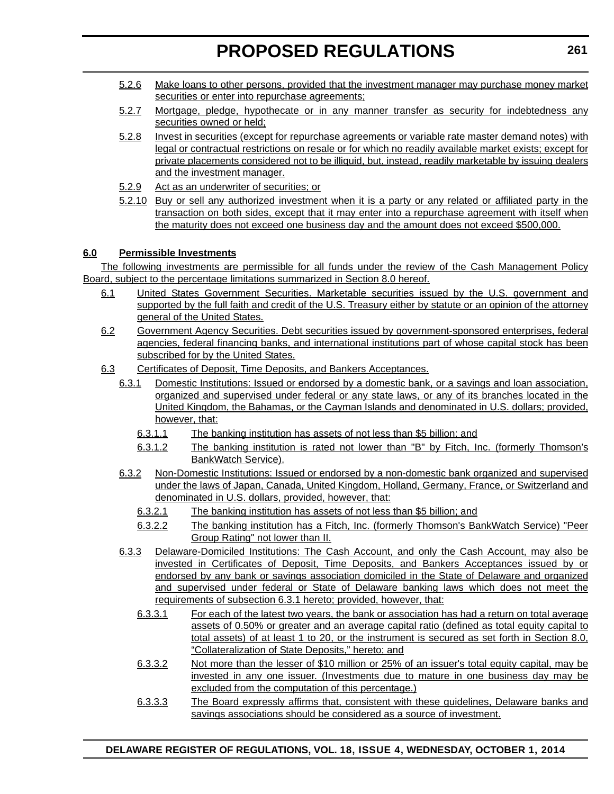- 5.2.6 Make loans to other persons, provided that the investment manager may purchase money market securities or enter into repurchase agreements;
- 5.2.7 Mortgage, pledge, hypothecate or in any manner transfer as security for indebtedness any securities owned or held;
- 5.2.8 Invest in securities (except for repurchase agreements or variable rate master demand notes) with legal or contractual restrictions on resale or for which no readily available market exists; except for private placements considered not to be illiquid, but, instead, readily marketable by issuing dealers and the investment manager.
- 5.2.9 Act as an underwriter of securities; or
- 5.2.10 Buy or sell any authorized investment when it is a party or any related or affiliated party in the transaction on both sides, except that it may enter into a repurchase agreement with itself when the maturity does not exceed one business day and the amount does not exceed \$500,000.

# **6.0 Permissible Investments**

The following investments are permissible for all funds under the review of the Cash Management Policy Board, subject to the percentage limitations summarized in Section 8.0 hereof.

- 6.1 United States Government Securities. Marketable securities issued by the U.S. government and supported by the full faith and credit of the U.S. Treasury either by statute or an opinion of the attorney general of the United States.
- 6.2 Government Agency Securities. Debt securities issued by government-sponsored enterprises, federal agencies, federal financing banks, and international institutions part of whose capital stock has been subscribed for by the United States.
- 6.3 Certificates of Deposit, Time Deposits, and Bankers Acceptances.
	- 6.3.1 Domestic Institutions: Issued or endorsed by a domestic bank, or a savings and loan association, organized and supervised under federal or any state laws, or any of its branches located in the United Kingdom, the Bahamas, or the Cayman Islands and denominated in U.S. dollars; provided, however, that:
		- 6.3.1.1 The banking institution has assets of not less than \$5 billion; and
		- 6.3.1.2 The banking institution is rated not lower than "B" by Fitch, Inc. (formerly Thomson's BankWatch Service).
	- 6.3.2 Non-Domestic Institutions: Issued or endorsed by a non-domestic bank organized and supervised under the laws of Japan, Canada, United Kingdom, Holland, Germany, France, or Switzerland and denominated in U.S. dollars, provided, however, that:
		- 6.3.2.1 The banking institution has assets of not less than \$5 billion; and
		- 6.3.2.2 The banking institution has a Fitch, Inc. (formerly Thomson's BankWatch Service) "Peer Group Rating" not lower than II.
	- 6.3.3 Delaware-Domiciled Institutions: The Cash Account, and only the Cash Account, may also be invested in Certificates of Deposit, Time Deposits, and Bankers Acceptances issued by or endorsed by any bank or savings association domiciled in the State of Delaware and organized and supervised under federal or State of Delaware banking laws which does not meet the requirements of subsection 6.3.1 hereto; provided, however, that:
		- 6.3.3.1 For each of the latest two years, the bank or association has had a return on total average assets of 0.50% or greater and an average capital ratio (defined as total equity capital to total assets) of at least 1 to 20, or the instrument is secured as set forth in Section 8.0, "Collateralization of State Deposits," hereto; and
		- 6.3.3.2 Not more than the lesser of \$10 million or 25% of an issuer's total equity capital, may be invested in any one issuer. (Investments due to mature in one business day may be excluded from the computation of this percentage.)
		- 6.3.3.3 The Board expressly affirms that, consistent with these guidelines, Delaware banks and savings associations should be considered as a source of investment.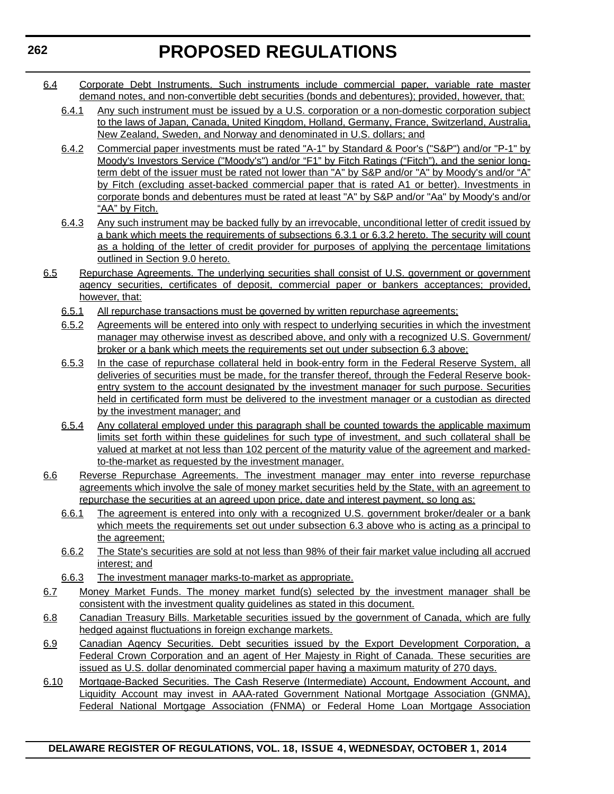- 6.4 Corporate Debt Instruments. Such instruments include commercial paper, variable rate master demand notes, and non-convertible debt securities (bonds and debentures); provided, however, that:
	- 6.4.1 Any such instrument must be issued by a U.S. corporation or a non-domestic corporation subject to the laws of Japan, Canada, United Kingdom, Holland, Germany, France, Switzerland, Australia, New Zealand, Sweden, and Norway and denominated in U.S. dollars; and
	- 6.4.2 Commercial paper investments must be rated "A-1" by Standard & Poor's ("S&P") and/or "P-1" by Moody's Investors Service ("Moody's") and/or "F1" by Fitch Ratings ("Fitch"), and the senior longterm debt of the issuer must be rated not lower than "A" by S&P and/or "A" by Moody's and/or "A" by Fitch (excluding asset-backed commercial paper that is rated A1 or better). Investments in corporate bonds and debentures must be rated at least "A" by S&P and/or "Aa" by Moody's and/or "AA" by Fitch.
	- 6.4.3 Any such instrument may be backed fully by an irrevocable, unconditional letter of credit issued by a bank which meets the requirements of subsections 6.3.1 or 6.3.2 hereto. The security will count as a holding of the letter of credit provider for purposes of applying the percentage limitations outlined in Section 9.0 hereto.
- 6.5 Repurchase Agreements. The underlying securities shall consist of U.S. government or government agency securities, certificates of deposit, commercial paper or bankers acceptances; provided, however, that:
	- 6.5.1 All repurchase transactions must be governed by written repurchase agreements;
	- 6.5.2 Agreements will be entered into only with respect to underlying securities in which the investment manager may otherwise invest as described above, and only with a recognized U.S. Government/ broker or a bank which meets the requirements set out under subsection 6.3 above;
	- 6.5.3 In the case of repurchase collateral held in book-entry form in the Federal Reserve System, all deliveries of securities must be made, for the transfer thereof, through the Federal Reserve bookentry system to the account designated by the investment manager for such purpose. Securities held in certificated form must be delivered to the investment manager or a custodian as directed by the investment manager; and
	- 6.5.4 Any collateral employed under this paragraph shall be counted towards the applicable maximum limits set forth within these guidelines for such type of investment, and such collateral shall be valued at market at not less than 102 percent of the maturity value of the agreement and markedto-the-market as requested by the investment manager.
- 6.6 Reverse Repurchase Agreements. The investment manager may enter into reverse repurchase agreements which involve the sale of money market securities held by the State, with an agreement to repurchase the securities at an agreed upon price, date and interest payment, so long as:
	- 6.6.1 The agreement is entered into only with a recognized U.S. government broker/dealer or a bank which meets the requirements set out under subsection 6.3 above who is acting as a principal to the agreement;
	- 6.6.2 The State's securities are sold at not less than 98% of their fair market value including all accrued interest; and
	- 6.6.3 The investment manager marks-to-market as appropriate.
- 6.7 Money Market Funds. The money market fund(s) selected by the investment manager shall be consistent with the investment quality guidelines as stated in this document.
- 6.8 Canadian Treasury Bills. Marketable securities issued by the government of Canada, which are fully hedged against fluctuations in foreign exchange markets.
- 6.9 Canadian Agency Securities. Debt securities issued by the Export Development Corporation, a Federal Crown Corporation and an agent of Her Majesty in Right of Canada. These securities are issued as U.S. dollar denominated commercial paper having a maximum maturity of 270 days.
- 6.10 Mortgage-Backed Securities. The Cash Reserve (Intermediate) Account, Endowment Account, and Liquidity Account may invest in AAA-rated Government National Mortgage Association (GNMA), Federal National Mortgage Association (FNMA) or Federal Home Loan Mortgage Association

**DELAWARE REGISTER OF REGULATIONS, VOL. 18, ISSUE 4, WEDNESDAY, OCTOBER 1, 2014**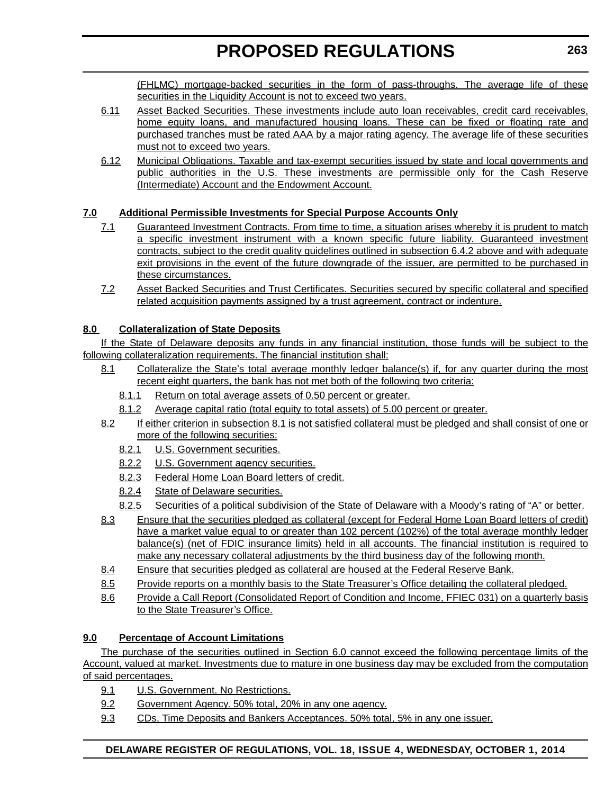(FHLMC) mortgage-backed securities in the form of pass-throughs. The average life of these securities in the Liquidity Account is not to exceed two years.

- 6.11 Asset Backed Securities. These investments include auto loan receivables, credit card receivables, home equity loans, and manufactured housing loans. These can be fixed or floating rate and purchased tranches must be rated AAA by a major rating agency. The average life of these securities must not to exceed two years.
- 6.12 Municipal Obligations. Taxable and tax-exempt securities issued by state and local governments and public authorities in the U.S. These investments are permissible only for the Cash Reserve (Intermediate) Account and the Endowment Account.

# **7.0 Additional Permissible Investments for Special Purpose Accounts Only**

- 7.1 Guaranteed Investment Contracts. From time to time, a situation arises whereby it is prudent to match a specific investment instrument with a known specific future liability. Guaranteed investment contracts, subject to the credit quality guidelines outlined in subsection 6.4.2 above and with adequate exit provisions in the event of the future downgrade of the issuer, are permitted to be purchased in these circumstances.
- 7.2 Asset Backed Securities and Trust Certificates. Securities secured by specific collateral and specified related acquisition payments assigned by a trust agreement, contract or indenture.

# **8.0 Collateralization of State Deposits**

If the State of Delaware deposits any funds in any financial institution, those funds will be subject to the following collateralization requirements. The financial institution shall:

- 8.1 Collateralize the State's total average monthly ledger balance(s) if, for any quarter during the most recent eight quarters, the bank has not met both of the following two criteria:
	- 8.1.1 Return on total average assets of 0.50 percent or greater.
	- 8.1.2 Average capital ratio (total equity to total assets) of 5.00 percent or greater.
- 8.2 If either criterion in subsection 8.1 is not satisfied collateral must be pledged and shall consist of one or more of the following securities:
	- 8.2.1 U.S. Government securities.
	- 8.2.2 **U.S. Government agency securities.**
	- 8.2.3 Federal Home Loan Board letters of credit.
	- 8.2.4 State of Delaware securities.
	- 8.2.5 Securities of a political subdivision of the State of Delaware with a Moody's rating of "A" or better.
- 8.3 Ensure that the securities pledged as collateral (except for Federal Home Loan Board letters of credit) have a market value equal to or greater than 102 percent (102%) of the total average monthly ledger balance(s) (net of FDIC insurance limits) held in all accounts. The financial institution is required to make any necessary collateral adjustments by the third business day of the following month.
- 8.4 Ensure that securities pledged as collateral are housed at the Federal Reserve Bank.
- 8.5 Provide reports on a monthly basis to the State Treasurer's Office detailing the collateral pledged.
- 8.6 Provide a Call Report (Consolidated Report of Condition and Income, FFIEC 031) on a quarterly basis to the State Treasurer's Office.

# **9.0 Percentage of Account Limitations**

The purchase of the securities outlined in Section 6.0 cannot exceed the following percentage limits of the Account, valued at market. Investments due to mature in one business day may be excluded from the computation of said percentages.

- 9.1 U.S. Government. No Restrictions.
- 9.2 Government Agency. 50% total, 20% in any one agency.
- 9.3 CDs, Time Deposits and Bankers Acceptances. 50% total, 5% in any one issuer.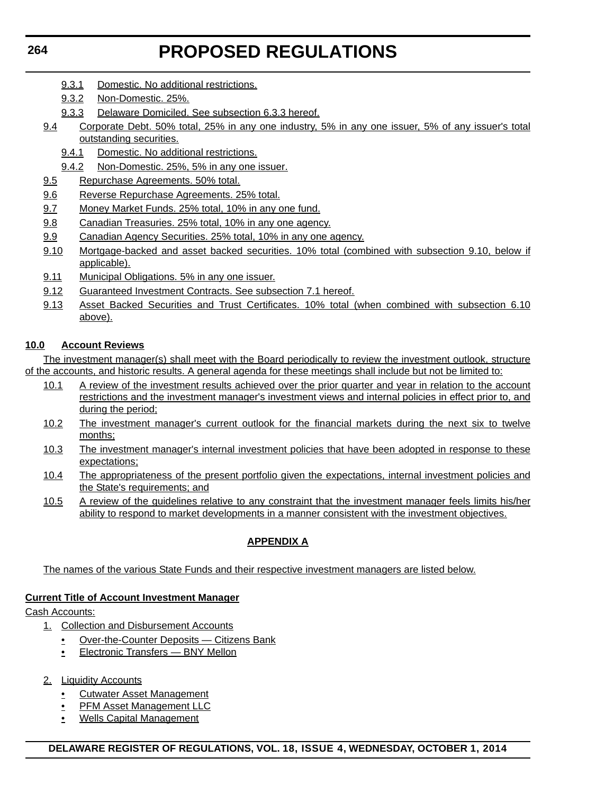- 9.3.1 Domestic. No additional restrictions.
- 9.3.2 Non-Domestic. 25%.
- 9.3.3 Delaware Domiciled. See subsection 6.3.3 hereof.
- 9.4 Corporate Debt. 50% total, 25% in any one industry, 5% in any one issuer, 5% of any issuer's total outstanding securities.
	- 9.4.1 Domestic. No additional restrictions.
	- 9.4.2 Non-Domestic. 25%, 5% in any one issuer.
- 9.5 Repurchase Agreements. 50% total.
- 9.6 Reverse Repurchase Agreements. 25% total.
- 9.7 Money Market Funds. 25% total, 10% in any one fund.
- 9.8 Canadian Treasuries. 25% total, 10% in any one agency.
- 9.9 Canadian Agency Securities. 25% total, 10% in any one agency.
- 9.10 Mortgage-backed and asset backed securities. 10% total (combined with subsection 9.10, below if applicable).
- 9.11 Municipal Obligations. 5% in any one issuer.
- 9.12 Guaranteed Investment Contracts. See subsection 7.1 hereof.
- 9.13 Asset Backed Securities and Trust Certificates. 10% total (when combined with subsection 6.10 above).

# **10.0 Account Reviews**

The investment manager(s) shall meet with the Board periodically to review the investment outlook, structure of the accounts, and historic results. A general agenda for these meetings shall include but not be limited to:

- 10.1 A review of the investment results achieved over the prior quarter and year in relation to the account restrictions and the investment manager's investment views and internal policies in effect prior to, and during the period;
- 10.2 The investment manager's current outlook for the financial markets during the next six to twelve months;
- 10.3 The investment manager's internal investment policies that have been adopted in response to these expectations;
- 10.4 The appropriateness of the present portfolio given the expectations, internal investment policies and the State's requirements; and
- 10.5 A review of the guidelines relative to any constraint that the investment manager feels limits his/her ability to respond to market developments in a manner consistent with the investment objectives.

# **APPENDIX A**

The names of the various State Funds and their respective investment managers are listed below.

# **Current Title of Account Investment Manager**

### Cash Accounts:

- 1. Collection and Disbursement Accounts
	- Over-the-Counter Deposits Citizens Bank
	- Electronic Transfers BNY Mellon
- 2. Liquidity Accounts
	- Cutwater Asset Management
	- PFM Asset Management LLC
	- Wells Capital Management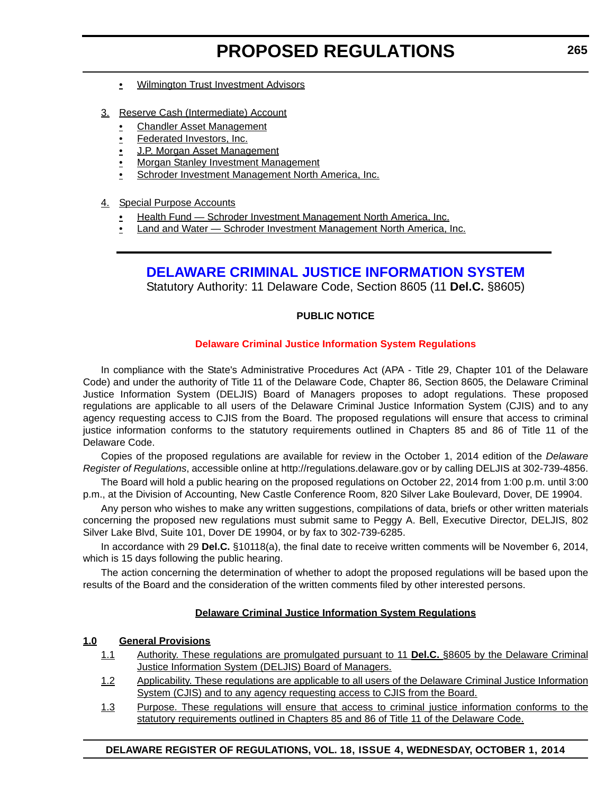- <span id="page-16-0"></span>• Wilmington Trust Investment Advisors
- 3. Reserve Cash (Intermediate) Account
	- Chandler Asset Management
	- Federated Investors, Inc.
	- J.P. Morgan Asset Management
	- Morgan Stanley Investment Management
	- Schroder Investment Management North America, Inc.

### 4. Special Purpose Accounts

- Health Fund Schroder Investment Management North America, Inc.
- Land and Water Schroder Investment Management North America, Inc.

# **[DELAWARE CRIMINAL JUSTICE INFORMATION SYSTEM](http://deljis.delaware.gov/)**

Statutory Authority: 11 Delaware Code, Section 8605 (11 **Del.C.** §8605)

# **PUBLIC NOTICE**

### **[Delaware Criminal Justice Information System Regulations](#page-3-0)**

In compliance with the State's Administrative Procedures Act (APA - Title 29, Chapter 101 of the Delaware Code) and under the authority of Title 11 of the Delaware Code, Chapter 86, Section 8605, the Delaware Criminal Justice Information System (DELJIS) Board of Managers proposes to adopt regulations. These proposed regulations are applicable to all users of the Delaware Criminal Justice Information System (CJIS) and to any agency requesting access to CJIS from the Board. The proposed regulations will ensure that access to criminal justice information conforms to the statutory requirements outlined in Chapters 85 and 86 of Title 11 of the Delaware Code.

Copies of the proposed regulations are available for review in the October 1, 2014 edition of the *Delaware Register of Regulations*, accessible online at http://regulations.delaware.gov or by calling DELJIS at 302-739-4856.

The Board will hold a public hearing on the proposed regulations on October 22, 2014 from 1:00 p.m. until 3:00 p.m., at the Division of Accounting, New Castle Conference Room, 820 Silver Lake Boulevard, Dover, DE 19904.

Any person who wishes to make any written suggestions, compilations of data, briefs or other written materials concerning the proposed new regulations must submit same to Peggy A. Bell, Executive Director, DELJIS, 802 Silver Lake Blvd, Suite 101, Dover DE 19904, or by fax to 302-739-6285.

In accordance with 29 **Del.C.** §10118(a), the final date to receive written comments will be November 6, 2014, which is 15 days following the public hearing.

The action concerning the determination of whether to adopt the proposed regulations will be based upon the results of the Board and the consideration of the written comments filed by other interested persons.

### **Delaware Criminal Justice Information System Regulations**

### **1.0 General Provisions**

- 1.1 Authority. These regulations are promulgated pursuant to 11 **Del.C.** §8605 by the Delaware Criminal Justice Information System (DELJIS) Board of Managers.
- 1.2 Applicability. These regulations are applicable to all users of the Delaware Criminal Justice Information System (CJIS) and to any agency requesting access to CJIS from the Board.
- 1.3 Purpose. These regulations will ensure that access to criminal justice information conforms to the statutory requirements outlined in Chapters 85 and 86 of Title 11 of the Delaware Code.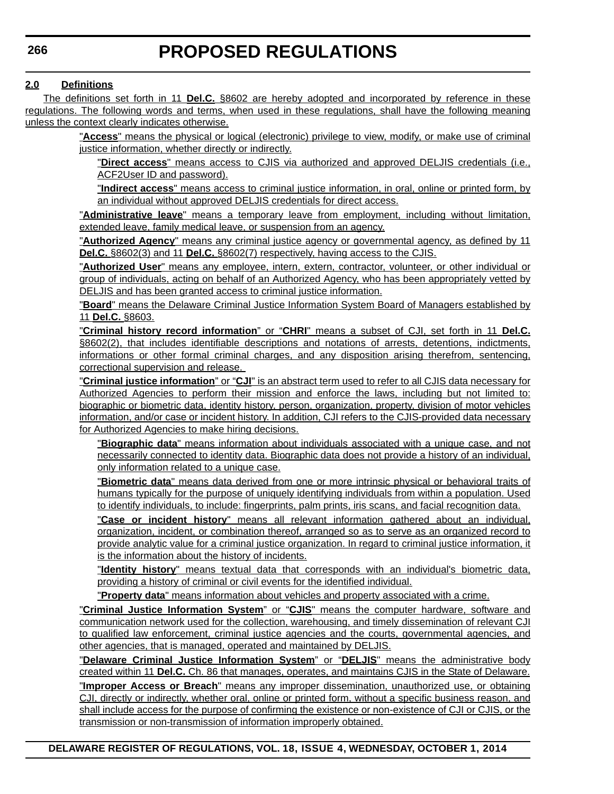### **2.0 Definitions**

The definitions set forth in 11 **Del.C.** §8602 are hereby adopted and incorporated by reference in these regulations. The following words and terms, when used in these regulations, shall have the following meaning unless the context clearly indicates otherwise.

> "**Access**" means the physical or logical (electronic) privilege to view, modify, or make use of criminal justice information, whether directly or indirectly.

"**Direct access**" means access to CJIS via authorized and approved DELJIS credentials (i.e., ACF2User ID and password).

"**Indirect access**" means access to criminal justice information, in oral, online or printed form, by an individual without approved DELJIS credentials for direct access.

"**Administrative leave**" means a temporary leave from employment, including without limitation, extended leave, family medical leave, or suspension from an agency.

"**Authorized Agency**" means any criminal justice agency or governmental agency, as defined by 11 **Del.C.** §8602(3) and 11 **Del.C.** §8602(7) respectively, having access to the CJIS.

"**Authorized User**" means any employee, intern, extern, contractor, volunteer, or other individual or group of individuals, acting on behalf of an Authorized Agency, who has been appropriately vetted by DELJIS and has been granted access to criminal justice information.

"**Board**" means the Delaware Criminal Justice Information System Board of Managers established by 11 **Del.C.** §8603.

"**Criminal history record information**" or "**CHRI**" means a subset of CJI, set forth in 11 **Del.C.** §8602(2), that includes identifiable descriptions and notations of arrests, detentions, indictments, informations or other formal criminal charges, and any disposition arising therefrom, sentencing, correctional supervision and release.

"**Criminal justice information**" or "**CJI**" is an abstract term used to refer to all CJIS data necessary for Authorized Agencies to perform their mission and enforce the laws, including but not limited to: biographic or biometric data, identity history, person, organization, property, division of motor vehicles information, and/or case or incident history. In addition, CJI refers to the CJIS-provided data necessary for Authorized Agencies to make hiring decisions.

"**Biographic data**" means information about individuals associated with a unique case, and not necessarily connected to identity data. Biographic data does not provide a history of an individual, only information related to a unique case.

"**Biometric data**" means data derived from one or more intrinsic physical or behavioral traits of humans typically for the purpose of uniquely identifying individuals from within a population. Used to identify individuals, to include: fingerprints, palm prints, iris scans, and facial recognition data.

"**Case or incident history**" means all relevant information gathered about an individual, organization, incident, or combination thereof, arranged so as to serve as an organized record to provide analytic value for a criminal justice organization. In regard to criminal justice information, it is the information about the history of incidents.

"**Identity history**" means textual data that corresponds with an individual's biometric data, providing a history of criminal or civil events for the identified individual.

"**Property data**" means information about vehicles and property associated with a crime.

"**Criminal Justice Information System**" or "**CJIS**" means the computer hardware, software and communication network used for the collection, warehousing, and timely dissemination of relevant CJI to qualified law enforcement, criminal justice agencies and the courts, governmental agencies, and other agencies, that is managed, operated and maintained by DELJIS.

"**Delaware Criminal Justice Information System**" or "**DELJIS**" means the administrative body created within 11 **Del.C.** Ch. 86 that manages, operates, and maintains CJIS in the State of Delaware.

"**Improper Access or Breach**" means any improper dissemination, unauthorized use, or obtaining CJI, directly or indirectly, whether oral, online or printed form, without a specific business reason, and shall include access for the purpose of confirming the existence or non-existence of CJI or CJIS, or the transmission or non-transmission of information improperly obtained.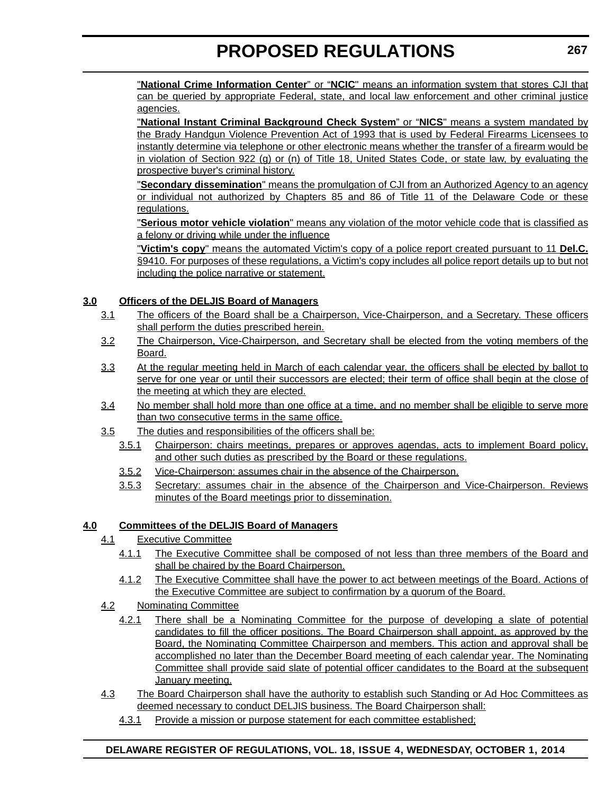"**National Crime Information Center**" or "**NCIC**" means an information system that stores CJI that can be queried by appropriate Federal, state, and local law enforcement and other criminal justice agencies.

"**National Instant Criminal Background Check System**" or "**NICS**" means a system mandated by the Brady Handgun Violence Prevention Act of 1993 that is used by Federal Firearms Licensees to instantly determine via telephone or other electronic means whether the transfer of a firearm would be in violation of Section 922 (g) or (n) of Title 18, United States Code, or state law, by evaluating the prospective buyer's criminal history.

"**Secondary dissemination**" means the promulgation of CJI from an Authorized Agency to an agency or individual not authorized by Chapters 85 and 86 of Title 11 of the Delaware Code or these regulations.

"**Serious motor vehicle violation**" means any violation of the motor vehicle code that is classified as a felony or driving while under the influence

"**Victim's copy**" means the automated Victim's copy of a police report created pursuant to 11 **Del.C.** §9410. For purposes of these regulations, a Victim's copy includes all police report details up to but not including the police narrative or statement.

# **3.0 Officers of the DELJIS Board of Managers**

- 3.1 The officers of the Board shall be a Chairperson, Vice-Chairperson, and a Secretary. These officers shall perform the duties prescribed herein.
- 3.2 The Chairperson, Vice-Chairperson, and Secretary shall be elected from the voting members of the Board.
- 3.3 At the regular meeting held in March of each calendar year, the officers shall be elected by ballot to serve for one year or until their successors are elected; their term of office shall begin at the close of the meeting at which they are elected.
- 3.4 No member shall hold more than one office at a time, and no member shall be eligible to serve more than two consecutive terms in the same office.
- 3.5 The duties and responsibilities of the officers shall be:
	- 3.5.1 Chairperson: chairs meetings, prepares or approves agendas, acts to implement Board policy, and other such duties as prescribed by the Board or these regulations.
	- 3.5.2 Vice-Chairperson: assumes chair in the absence of the Chairperson.
	- 3.5.3 Secretary: assumes chair in the absence of the Chairperson and Vice-Chairperson. Reviews minutes of the Board meetings prior to dissemination.

# **4.0 Committees of the DELJIS Board of Managers**

- 4.1 Executive Committee
	- 4.1.1 The Executive Committee shall be composed of not less than three members of the Board and shall be chaired by the Board Chairperson.
	- 4.1.2 The Executive Committee shall have the power to act between meetings of the Board. Actions of the Executive Committee are subject to confirmation by a quorum of the Board.
- 4.2 Nominating Committee
	- 4.2.1 There shall be a Nominating Committee for the purpose of developing a slate of potential candidates to fill the officer positions. The Board Chairperson shall appoint, as approved by the Board, the Nominating Committee Chairperson and members. This action and approval shall be accomplished no later than the December Board meeting of each calendar year. The Nominating Committee shall provide said slate of potential officer candidates to the Board at the subsequent January meeting.
- 4.3 The Board Chairperson shall have the authority to establish such Standing or Ad Hoc Committees as deemed necessary to conduct DELJIS business. The Board Chairperson shall:
	- 4.3.1 Provide a mission or purpose statement for each committee established;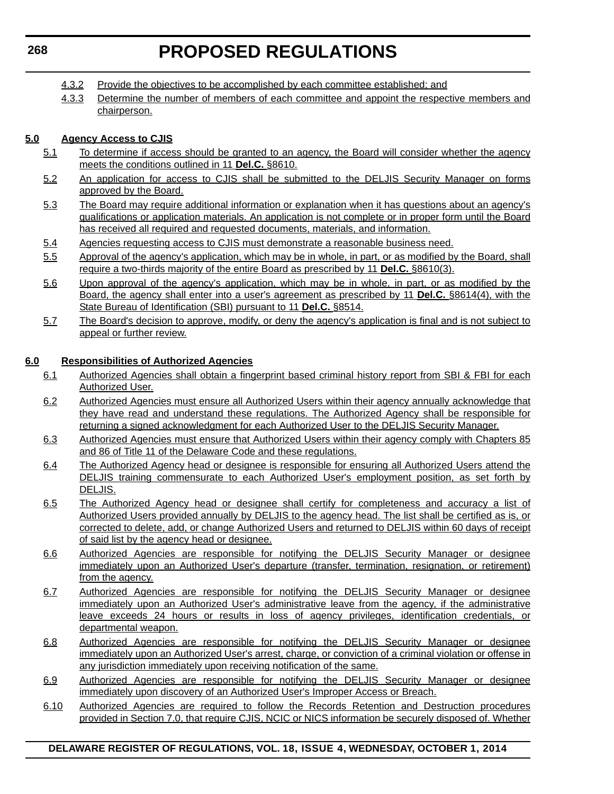- 4.3.2 Provide the objectives to be accomplished by each committee established; and
- 4.3.3 Determine the number of members of each committee and appoint the respective members and chairperson.

# **5.0 Agency Access to CJIS**

- 5.1 To determine if access should be granted to an agency, the Board will consider whether the agency meets the conditions outlined in 11 **Del.C.** §8610.
- 5.2 An application for access to CJIS shall be submitted to the DELJIS Security Manager on forms approved by the Board.
- 5.3 The Board may require additional information or explanation when it has questions about an agency's qualifications or application materials. An application is not complete or in proper form until the Board has received all required and requested documents, materials, and information.
- 5.4 Agencies requesting access to CJIS must demonstrate a reasonable business need.
- 5.5 Approval of the agency's application, which may be in whole, in part, or as modified by the Board, shall require a two-thirds majority of the entire Board as prescribed by 11 **Del.C.** §8610(3).
- 5.6 Upon approval of the agency's application, which may be in whole, in part, or as modified by the Board, the agency shall enter into a user's agreement as prescribed by 11 **Del.C.** §8614(4), with the State Bureau of Identification (SBI) pursuant to 11 **Del.C.** §8514.
- 5.7 The Board's decision to approve, modify, or deny the agency's application is final and is not subject to appeal or further review.

### **6.0 Responsibilities of Authorized Agencies**

- 6.1 Authorized Agencies shall obtain a fingerprint based criminal history report from SBI & FBI for each Authorized User.
- 6.2 Authorized Agencies must ensure all Authorized Users within their agency annually acknowledge that they have read and understand these regulations. The Authorized Agency shall be responsible for returning a signed acknowledgment for each Authorized User to the DELJIS Security Manager.
- 6.3 Authorized Agencies must ensure that Authorized Users within their agency comply with Chapters 85 and 86 of Title 11 of the Delaware Code and these regulations.
- 6.4 The Authorized Agency head or designee is responsible for ensuring all Authorized Users attend the DELJIS training commensurate to each Authorized User's employment position, as set forth by DELJIS.
- 6.5 The Authorized Agency head or designee shall certify for completeness and accuracy a list of Authorized Users provided annually by DELJIS to the agency head. The list shall be certified as is, or corrected to delete, add, or change Authorized Users and returned to DELJIS within 60 days of receipt of said list by the agency head or designee.
- 6.6 Authorized Agencies are responsible for notifying the DELJIS Security Manager or designee immediately upon an Authorized User's departure (transfer, termination, resignation, or retirement) from the agency.
- 6.7 Authorized Agencies are responsible for notifying the DELJIS Security Manager or designee immediately upon an Authorized User's administrative leave from the agency, if the administrative leave exceeds 24 hours or results in loss of agency privileges, identification credentials, or departmental weapon.
- 6.8 Authorized Agencies are responsible for notifying the DELJIS Security Manager or designee immediately upon an Authorized User's arrest, charge, or conviction of a criminal violation or offense in any jurisdiction immediately upon receiving notification of the same.
- 6.9 Authorized Agencies are responsible for notifying the DELJIS Security Manager or designee immediately upon discovery of an Authorized User's Improper Access or Breach.
- 6.10 Authorized Agencies are required to follow the Records Retention and Destruction procedures provided in Section 7.0, that require CJIS, NCIC or NICS information be securely disposed of. Whether

### **DELAWARE REGISTER OF REGULATIONS, VOL. 18, ISSUE 4, WEDNESDAY, OCTOBER 1, 2014**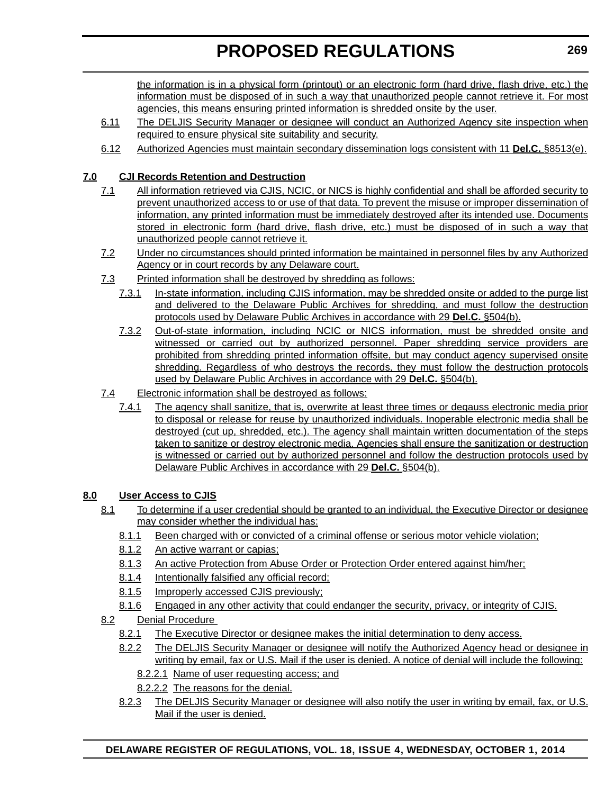the information is in a physical form (printout) or an electronic form (hard drive, flash drive, etc.) the information must be disposed of in such a way that unauthorized people cannot retrieve it. For most agencies, this means ensuring printed information is shredded onsite by the user.

- 6.11 The DELJIS Security Manager or designee will conduct an Authorized Agency site inspection when required to ensure physical site suitability and security.
- 6.12 Authorized Agencies must maintain secondary dissemination logs consistent with 11 **Del.C.** §8513(e).

# **7.0 CJI Records Retention and Destruction**

- 7.1 All information retrieved via CJIS, NCIC, or NICS is highly confidential and shall be afforded security to prevent unauthorized access to or use of that data. To prevent the misuse or improper dissemination of information, any printed information must be immediately destroyed after its intended use. Documents stored in electronic form (hard drive, flash drive, etc.) must be disposed of in such a way that unauthorized people cannot retrieve it.
- 7.2 Under no circumstances should printed information be maintained in personnel files by any Authorized Agency or in court records by any Delaware court.
- 7.3 Printed information shall be destroyed by shredding as follows:
	- 7.3.1 In-state information, including CJIS information, may be shredded onsite or added to the purge list and delivered to the Delaware Public Archives for shredding, and must follow the destruction protocols used by Delaware Public Archives in accordance with 29 **Del.C.** §504(b).
	- 7.3.2 Out-of-state information, including NCIC or NICS information, must be shredded onsite and witnessed or carried out by authorized personnel. Paper shredding service providers are prohibited from shredding printed information offsite, but may conduct agency supervised onsite shredding. Regardless of who destroys the records, they must follow the destruction protocols used by Delaware Public Archives in accordance with 29 **Del.C.** §504(b).
- 7.4 Electronic information shall be destroyed as follows:
	- 7.4.1 The agency shall sanitize, that is, overwrite at least three times or degauss electronic media prior to disposal or release for reuse by unauthorized individuals. Inoperable electronic media shall be destroyed (cut up, shredded, etc.). The agency shall maintain written documentation of the steps taken to sanitize or destroy electronic media. Agencies shall ensure the sanitization or destruction is witnessed or carried out by authorized personnel and follow the destruction protocols used by Delaware Public Archives in accordance with 29 **Del.C.** §504(b).

### **8.0 User Access to CJIS**

- 8.1 To determine if a user credential should be granted to an individual, the Executive Director or designee may consider whether the individual has:
	- 8.1.1 Been charged with or convicted of a criminal offense or serious motor vehicle violation;
	- 8.1.2 An active warrant or capias;
	- 8.1.3 An active Protection from Abuse Order or Protection Order entered against him/her;
	- 8.1.4 Intentionally falsified any official record;
	- 8.1.5 Improperly accessed CJIS previously;
	- 8.1.6 Engaged in any other activity that could endanger the security, privacy, or integrity of CJIS.
- 8.2 Denial Procedure
	- 8.2.1 The Executive Director or designee makes the initial determination to deny access.
	- 8.2.2 The DELJIS Security Manager or designee will notify the Authorized Agency head or designee in writing by email, fax or U.S. Mail if the user is denied. A notice of denial will include the following:
		- 8.2.2.1 Name of user requesting access; and
		- 8.2.2.2 The reasons for the denial.
	- 8.2.3 The DELJIS Security Manager or designee will also notify the user in writing by email, fax, or U.S. Mail if the user is denied.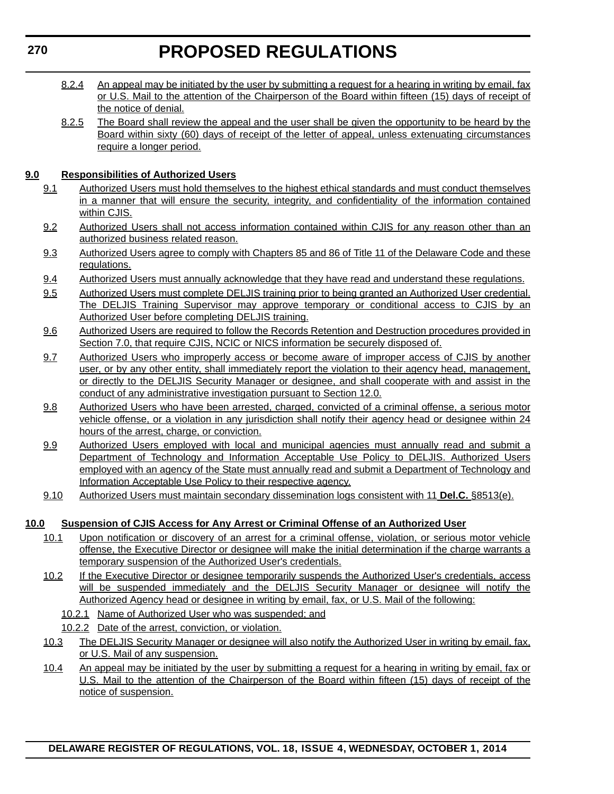- 8.2.4 An appeal may be initiated by the user by submitting a request for a hearing in writing by email, fax or U.S. Mail to the attention of the Chairperson of the Board within fifteen (15) days of receipt of the notice of denial.
- 8.2.5 The Board shall review the appeal and the user shall be given the opportunity to be heard by the Board within sixty (60) days of receipt of the letter of appeal, unless extenuating circumstances require a longer period.

# **9.0 Responsibilities of Authorized Users**

- 9.1 Authorized Users must hold themselves to the highest ethical standards and must conduct themselves in a manner that will ensure the security, integrity, and confidentiality of the information contained within CJIS.
- 9.2 Authorized Users shall not access information contained within CJIS for any reason other than an authorized business related reason.
- 9.3 Authorized Users agree to comply with Chapters 85 and 86 of Title 11 of the Delaware Code and these regulations.
- 9.4 Authorized Users must annually acknowledge that they have read and understand these regulations.
- 9.5 Authorized Users must complete DELJIS training prior to being granted an Authorized User credential. The DELJIS Training Supervisor may approve temporary or conditional access to CJIS by an Authorized User before completing DELJIS training.
- 9.6 Authorized Users are required to follow the Records Retention and Destruction procedures provided in Section 7.0, that require CJIS, NCIC or NICS information be securely disposed of.
- 9.7 Authorized Users who improperly access or become aware of improper access of CJIS by another user, or by any other entity, shall immediately report the violation to their agency head, management, or directly to the DELJIS Security Manager or designee, and shall cooperate with and assist in the conduct of any administrative investigation pursuant to Section 12.0.
- 9.8 Authorized Users who have been arrested, charged, convicted of a criminal offense, a serious motor vehicle offense, or a violation in any jurisdiction shall notify their agency head or designee within 24 hours of the arrest, charge, or conviction.
- 9.9 Authorized Users employed with local and municipal agencies must annually read and submit a Department of Technology and Information Acceptable Use Policy to DELJIS. Authorized Users employed with an agency of the State must annually read and submit a Department of Technology and Information Acceptable Use Policy to their respective agency.
- 9.10 Authorized Users must maintain secondary dissemination logs consistent with 11 **Del.C.** §8513(e).

# **10.0 Suspension of CJIS Access for Any Arrest or Criminal Offense of an Authorized User**

- 10.1 Upon notification or discovery of an arrest for a criminal offense, violation, or serious motor vehicle offense, the Executive Director or designee will make the initial determination if the charge warrants a temporary suspension of the Authorized User's credentials.
- 10.2 If the Executive Director or designee temporarily suspends the Authorized User's credentials, access will be suspended immediately and the DELJIS Security Manager or designee will notify the Authorized Agency head or designee in writing by email, fax, or U.S. Mail of the following:
	- 10.2.1 Name of Authorized User who was suspended; and
	- 10.2.2 Date of the arrest, conviction, or violation.
- 10.3 The DELJIS Security Manager or designee will also notify the Authorized User in writing by email, fax, or U.S. Mail of any suspension.
- 10.4 An appeal may be initiated by the user by submitting a request for a hearing in writing by email, fax or U.S. Mail to the attention of the Chairperson of the Board within fifteen (15) days of receipt of the notice of suspension.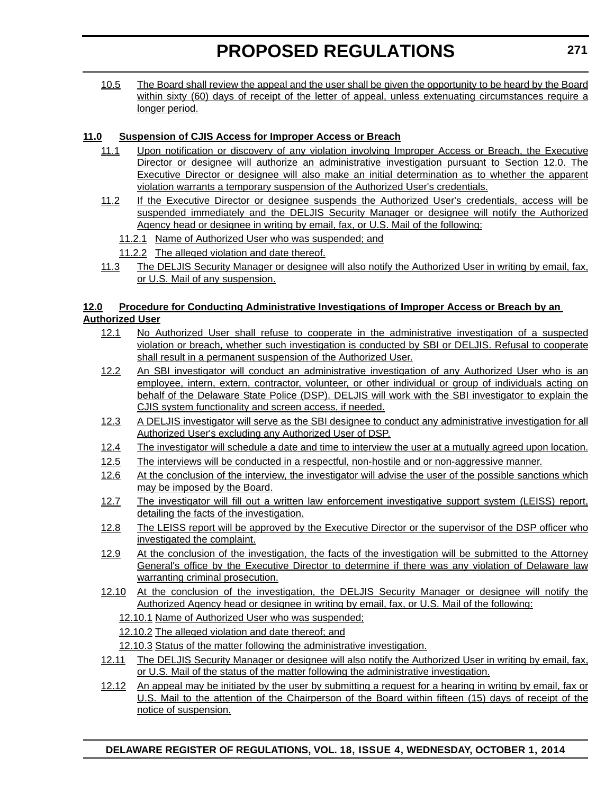10.5 The Board shall review the appeal and the user shall be given the opportunity to be heard by the Board within sixty (60) days of receipt of the letter of appeal, unless extenuating circumstances require a longer period.

# **11.0 Suspension of CJIS Access for Improper Access or Breach**

- 11.1 Upon notification or discovery of any violation involving Improper Access or Breach, the Executive Director or designee will authorize an administrative investigation pursuant to Section 12.0. The Executive Director or designee will also make an initial determination as to whether the apparent violation warrants a temporary suspension of the Authorized User's credentials.
- 11.2 If the Executive Director or designee suspends the Authorized User's credentials, access will be suspended immediately and the DELJIS Security Manager or designee will notify the Authorized Agency head or designee in writing by email, fax, or U.S. Mail of the following:
	- 11.2.1 Name of Authorized User who was suspended; and
	- 11.2.2 The alleged violation and date thereof.
- 11.3 The DELJIS Security Manager or designee will also notify the Authorized User in writing by email, fax, or U.S. Mail of any suspension.

### **12.0 Procedure for Conducting Administrative Investigations of Improper Access or Breach by an Authorized User**

- 12.1 No Authorized User shall refuse to cooperate in the administrative investigation of a suspected violation or breach, whether such investigation is conducted by SBI or DELJIS. Refusal to cooperate shall result in a permanent suspension of the Authorized User.
- 12.2 An SBI investigator will conduct an administrative investigation of any Authorized User who is an employee, intern, extern, contractor, volunteer, or other individual or group of individuals acting on behalf of the Delaware State Police (DSP). DELJIS will work with the SBI investigator to explain the CJIS system functionality and screen access, if needed.
- 12.3 A DELJIS investigator will serve as the SBI designee to conduct any administrative investigation for all Authorized User's excluding any Authorized User of DSP.
- 12.4 The investigator will schedule a date and time to interview the user at a mutually agreed upon location.
- 12.5 The interviews will be conducted in a respectful, non-hostile and or non-aggressive manner.
- 12.6 At the conclusion of the interview, the investigator will advise the user of the possible sanctions which may be imposed by the Board.
- 12.7 The investigator will fill out a written law enforcement investigative support system (LEISS) report, detailing the facts of the investigation.
- 12.8 The LEISS report will be approved by the Executive Director or the supervisor of the DSP officer who investigated the complaint.
- 12.9 At the conclusion of the investigation, the facts of the investigation will be submitted to the Attorney General's office by the Executive Director to determine if there was any violation of Delaware law warranting criminal prosecution.
- 12.10 At the conclusion of the investigation, the DELJIS Security Manager or designee will notify the Authorized Agency head or designee in writing by email, fax, or U.S. Mail of the following:
	- 12.10.1 Name of Authorized User who was suspended;
	- 12.10.2 The alleged violation and date thereof; and

12.10.3 Status of the matter following the administrative investigation.

12.11 The DELJIS Security Manager or designee will also notify the Authorized User in writing by email, fax, or U.S. Mail of the status of the matter following the administrative investigation.

12.12 An appeal may be initiated by the user by submitting a request for a hearing in writing by email, fax or U.S. Mail to the attention of the Chairperson of the Board within fifteen (15) days of receipt of the notice of suspension.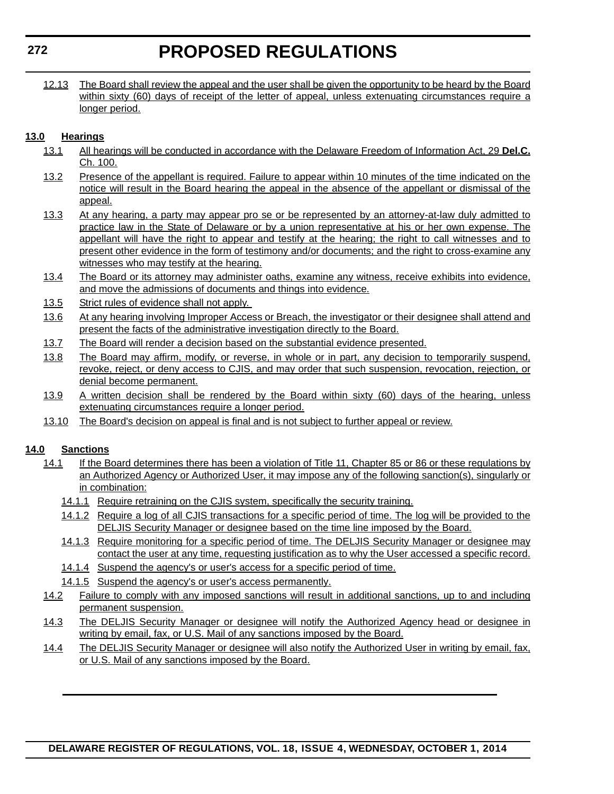12.13 The Board shall review the appeal and the user shall be given the opportunity to be heard by the Board within sixty (60) days of receipt of the letter of appeal, unless extenuating circumstances require a longer period.

# **13.0 Hearings**

- 13.1 All hearings will be conducted in accordance with the Delaware Freedom of Information Act, 29 **Del.C.** Ch. 100.
- 13.2 Presence of the appellant is required. Failure to appear within 10 minutes of the time indicated on the notice will result in the Board hearing the appeal in the absence of the appellant or dismissal of the appeal.
- 13.3 At any hearing, a party may appear pro se or be represented by an attorney-at-law duly admitted to practice law in the State of Delaware or by a union representative at his or her own expense. The appellant will have the right to appear and testify at the hearing; the right to call witnesses and to present other evidence in the form of testimony and/or documents; and the right to cross-examine any witnesses who may testify at the hearing.
- 13.4 The Board or its attorney may administer oaths, examine any witness, receive exhibits into evidence, and move the admissions of documents and things into evidence.
- 13.5 Strict rules of evidence shall not apply.
- 13.6 At any hearing involving Improper Access or Breach, the investigator or their designee shall attend and present the facts of the administrative investigation directly to the Board.
- 13.7 The Board will render a decision based on the substantial evidence presented.
- 13.8 The Board may affirm, modify, or reverse, in whole or in part, any decision to temporarily suspend, revoke, reject, or deny access to CJIS, and may order that such suspension, revocation, rejection, or denial become permanent.
- 13.9 A written decision shall be rendered by the Board within sixty (60) days of the hearing, unless extenuating circumstances require a longer period.
- 13.10 The Board's decision on appeal is final and is not subject to further appeal or review.

# **14.0 Sanctions**

- 14.1 If the Board determines there has been a violation of Title 11, Chapter 85 or 86 or these regulations by an Authorized Agency or Authorized User, it may impose any of the following sanction(s), singularly or in combination:
	- 14.1.1 Require retraining on the CJIS system, specifically the security training.
	- 14.1.2 Require a log of all CJIS transactions for a specific period of time. The log will be provided to the DELJIS Security Manager or designee based on the time line imposed by the Board.
	- 14.1.3 Require monitoring for a specific period of time. The DELJIS Security Manager or designee may contact the user at any time, requesting justification as to why the User accessed a specific record.
	- 14.1.4 Suspend the agency's or user's access for a specific period of time.
	- 14.1.5 Suspend the agency's or user's access permanently.
- 14.2 Failure to comply with any imposed sanctions will result in additional sanctions, up to and including permanent suspension.
- 14.3 The DELJIS Security Manager or designee will notify the Authorized Agency head or designee in writing by email, fax, or U.S. Mail of any sanctions imposed by the Board.
- 14.4 The DELJIS Security Manager or designee will also notify the Authorized User in writing by email, fax, or U.S. Mail of any sanctions imposed by the Board.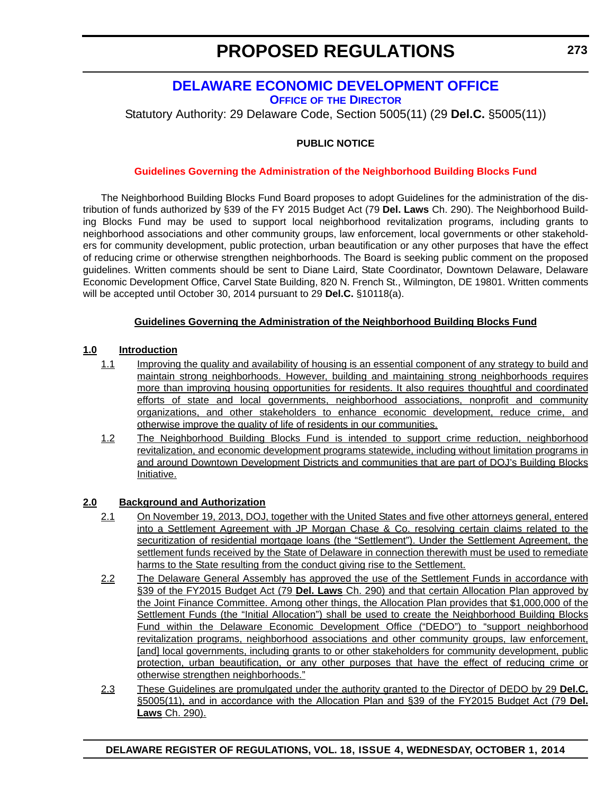# **[DELAWARE ECONOMIC DEVELOPMENT OFFICE](http://dedo.delaware.gov/)**

**OFFICE OF THE DIRECTOR**

<span id="page-24-0"></span>Statutory Authority: 29 Delaware Code, Section 5005(11) (29 **Del.C.** §5005(11))

### **PUBLIC NOTICE**

#### **[Guidelines Governing the Administration of the Neighborhood Building Blocks Fund](#page-3-0)**

The Neighborhood Building Blocks Fund Board proposes to adopt Guidelines for the administration of the distribution of funds authorized by §39 of the FY 2015 Budget Act (79 **Del. Laws** Ch. 290). The Neighborhood Building Blocks Fund may be used to support local neighborhood revitalization programs, including grants to neighborhood associations and other community groups, law enforcement, local governments or other stakeholders for community development, public protection, urban beautification or any other purposes that have the effect of reducing crime or otherwise strengthen neighborhoods. The Board is seeking public comment on the proposed guidelines. Written comments should be sent to Diane Laird, State Coordinator, Downtown Delaware, Delaware Economic Development Office, Carvel State Building, 820 N. French St., Wilmington, DE 19801. Written comments will be accepted until October 30, 2014 pursuant to 29 **Del.C.** §10118(a).

#### **Guidelines Governing the Administration of the Neighborhood Building Blocks Fund**

### **1.0 Introduction**

- 1.1 Improving the quality and availability of housing is an essential component of any strategy to build and maintain strong neighborhoods. However, building and maintaining strong neighborhoods requires more than improving housing opportunities for residents. It also requires thoughtful and coordinated efforts of state and local governments, neighborhood associations, nonprofit and community organizations, and other stakeholders to enhance economic development, reduce crime, and otherwise improve the quality of life of residents in our communities.
- 1.2 The Neighborhood Building Blocks Fund is intended to support crime reduction, neighborhood revitalization, and economic development programs statewide, including without limitation programs in and around Downtown Development Districts and communities that are part of DOJ's Building Blocks Initiative.

### **2.0 Background and Authorization**

- 2.1 On November 19, 2013, DOJ, together with the United States and five other attorneys general, entered into a Settlement Agreement with JP Morgan Chase & Co. resolving certain claims related to the securitization of residential mortgage loans (the "Settlement"). Under the Settlement Agreement, the settlement funds received by the State of Delaware in connection therewith must be used to remediate harms to the State resulting from the conduct giving rise to the Settlement.
- 2.2 The Delaware General Assembly has approved the use of the Settlement Funds in accordance with §39 of the FY2015 Budget Act (79 **Del. Laws** Ch. 290) and that certain Allocation Plan approved by the Joint Finance Committee. Among other things, the Allocation Plan provides that \$1,000,000 of the Settlement Funds (the "Initial Allocation") shall be used to create the Neighborhood Building Blocks Fund within the Delaware Economic Development Office ("DEDO") to "support neighborhood revitalization programs, neighborhood associations and other community groups, law enforcement, [and] local governments, including grants to or other stakeholders for community development, public protection, urban beautification, or any other purposes that have the effect of reducing crime or otherwise strengthen neighborhoods."
- 2.3 These Guidelines are promulgated under the authority granted to the Director of DEDO by 29 **Del.C.** §5005(11), and in accordance with the Allocation Plan and §39 of the FY2015 Budget Act (79 **Del. Laws** Ch. 290).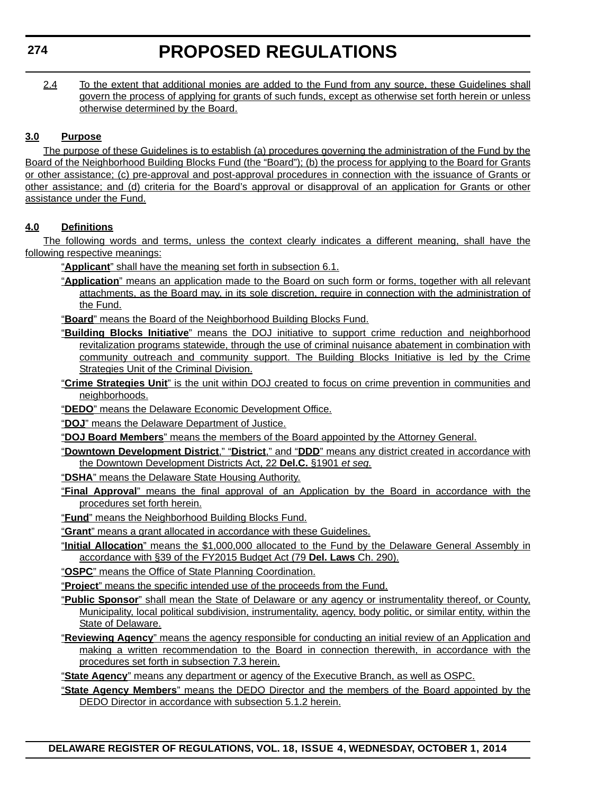2.4 To the extent that additional monies are added to the Fund from any source, these Guidelines shall govern the process of applying for grants of such funds, except as otherwise set forth herein or unless otherwise determined by the Board.

# **3.0 Purpose**

The purpose of these Guidelines is to establish (a) procedures governing the administration of the Fund by the Board of the Neighborhood Building Blocks Fund (the "Board"); (b) the process for applying to the Board for Grants or other assistance; (c) pre-approval and post-approval procedures in connection with the issuance of Grants or other assistance; and (d) criteria for the Board's approval or disapproval of an application for Grants or other assistance under the Fund.

# **4.0 Definitions**

The following words and terms, unless the context clearly indicates a different meaning, shall have the following respective meanings:

"**Applicant**" shall have the meaning set forth in subsection 6.1.

- "**Application**" means an application made to the Board on such form or forms, together with all relevant attachments, as the Board may, in its sole discretion, require in connection with the administration of the Fund.
- "**Board**" means the Board of the Neighborhood Building Blocks Fund.
- "**Building Blocks Initiative**" means the DOJ initiative to support crime reduction and neighborhood revitalization programs statewide, through the use of criminal nuisance abatement in combination with community outreach and community support. The Building Blocks Initiative is led by the Crime **Strategies Unit of the Criminal Division.**
- "**Crime Strategies Unit**" is the unit within DOJ created to focus on crime prevention in communities and neighborhoods.
- "**DEDO**" means the Delaware Economic Development Office.
- "**DOJ**" means the Delaware Department of Justice.
- "**DOJ Board Members**" means the members of the Board appointed by the Attorney General.
- "**Downtown Development District**," "**District**," and "**DDD**" means any district created in accordance with the Downtown Development Districts Act, 22 **Del.C.** §1901 *et seq.*
- "**DSHA**" means the Delaware State Housing Authority.
- "**Final Approval**" means the final approval of an Application by the Board in accordance with the procedures set forth herein.
- "**Fund**" means the Neighborhood Building Blocks Fund.
- "**Grant**" means a grant allocated in accordance with these Guidelines.
- "**Initial Allocation**" means the \$1,000,000 allocated to the Fund by the Delaware General Assembly in accordance with §39 of the FY2015 Budget Act (79 **Del. Laws** Ch. 290).
- "**OSPC**" means the Office of State Planning Coordination.
- "**Project**" means the specific intended use of the proceeds from the Fund.
- "**Public Sponsor**" shall mean the State of Delaware or any agency or instrumentality thereof, or County, Municipality, local political subdivision, instrumentality, agency, body politic, or similar entity, within the State of Delaware.
- "**Reviewing Agency**" means the agency responsible for conducting an initial review of an Application and making a written recommendation to the Board in connection therewith, in accordance with the procedures set forth in subsection 7.3 herein.
- "**State Agency**" means any department or agency of the Executive Branch, as well as OSPC.
- "**State Agency Members**" means the DEDO Director and the members of the Board appointed by the DEDO Director in accordance with subsection 5.1.2 herein.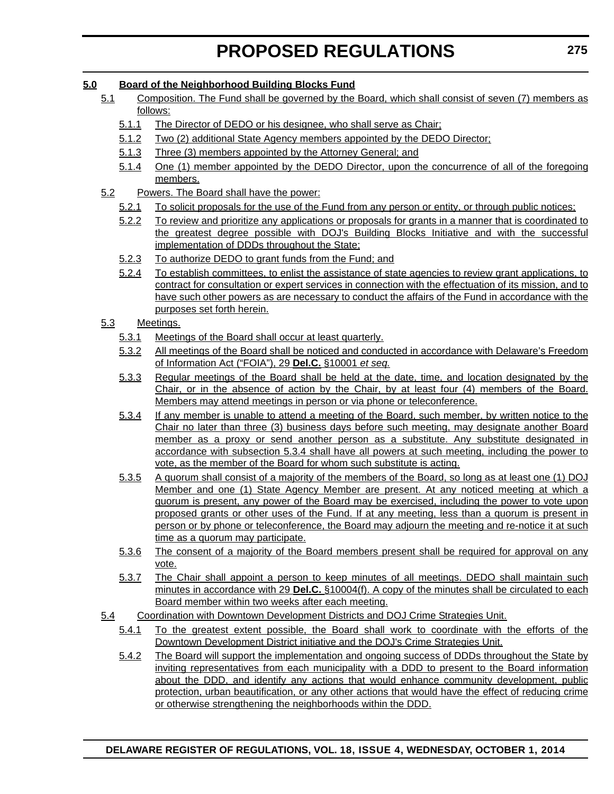# **5.0 Board of the Neighborhood Building Blocks Fund**

- 5.1 Composition. The Fund shall be governed by the Board, which shall consist of seven (7) members as follows:
	- 5.1.1 The Director of DEDO or his designee, who shall serve as Chair;
	- 5.1.2 Two (2) additional State Agency members appointed by the DEDO Director;
	- 5.1.3 Three (3) members appointed by the Attorney General; and
	- 5.1.4 One (1) member appointed by the DEDO Director, upon the concurrence of all of the foregoing members.
- 5.2 Powers. The Board shall have the power:
	- 5.2.1 To solicit proposals for the use of the Fund from any person or entity, or through public notices;
	- 5.2.2 To review and prioritize any applications or proposals for grants in a manner that is coordinated to the greatest degree possible with DOJ's Building Blocks Initiative and with the successful implementation of DDDs throughout the State;
	- 5.2.3 To authorize DEDO to grant funds from the Fund; and
	- 5.2.4 To establish committees, to enlist the assistance of state agencies to review grant applications, to contract for consultation or expert services in connection with the effectuation of its mission, and to have such other powers as are necessary to conduct the affairs of the Fund in accordance with the purposes set forth herein.

# 5.3 Meetings.

- 5.3.1 Meetings of the Board shall occur at least quarterly.
- 5.3.2 All meetings of the Board shall be noticed and conducted in accordance with Delaware's Freedom of Information Act ("FOIA"), 29 **Del.C.** §10001 *et seq.*
- 5.3.3 Regular meetings of the Board shall be held at the date, time, and location designated by the Chair, or in the absence of action by the Chair, by at least four (4) members of the Board. Members may attend meetings in person or via phone or teleconference.
- 5.3.4 If any member is unable to attend a meeting of the Board, such member, by written notice to the Chair no later than three (3) business days before such meeting, may designate another Board member as a proxy or send another person as a substitute. Any substitute designated in accordance with subsection 5.3.4 shall have all powers at such meeting, including the power to vote, as the member of the Board for whom such substitute is acting.
- 5.3.5 A quorum shall consist of a majority of the members of the Board, so long as at least one (1) DOJ Member and one (1) State Agency Member are present. At any noticed meeting at which a quorum is present, any power of the Board may be exercised, including the power to vote upon proposed grants or other uses of the Fund. If at any meeting, less than a quorum is present in person or by phone or teleconference, the Board may adjourn the meeting and re-notice it at such time as a quorum may participate.
- 5.3.6 The consent of a majority of the Board members present shall be required for approval on any vote.
- 5.3.7 The Chair shall appoint a person to keep minutes of all meetings. DEDO shall maintain such minutes in accordance with 29 **Del.C.** §10004(f). A copy of the minutes shall be circulated to each Board member within two weeks after each meeting.
- 5.4 Coordination with Downtown Development Districts and DOJ Crime Strategies Unit.
	- 5.4.1 To the greatest extent possible, the Board shall work to coordinate with the efforts of the Downtown Development District initiative and the DOJ's Crime Strategies Unit.
	- 5.4.2 The Board will support the implementation and ongoing success of DDDs throughout the State by inviting representatives from each municipality with a DDD to present to the Board information about the DDD, and identify any actions that would enhance community development, public protection, urban beautification, or any other actions that would have the effect of reducing crime or otherwise strengthening the neighborhoods within the DDD.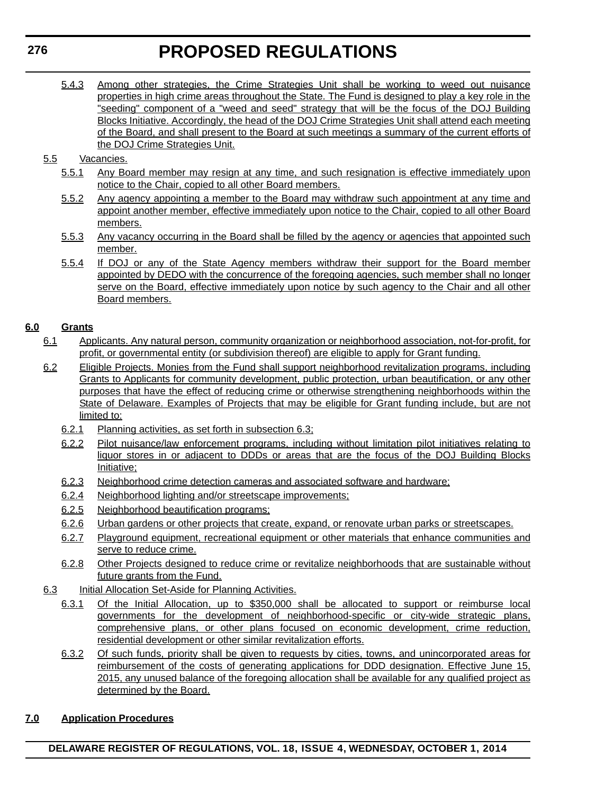5.4.3 Among other strategies, the Crime Strategies Unit shall be working to weed out nuisance properties in high crime areas throughout the State. The Fund is designed to play a key role in the "seeding" component of a "weed and seed" strategy that will be the focus of the DOJ Building Blocks Initiative. Accordingly, the head of the DOJ Crime Strategies Unit shall attend each meeting of the Board, and shall present to the Board at such meetings a summary of the current efforts of the DOJ Crime Strategies Unit.

### 5.5 Vacancies.

- 5.5.1 Any Board member may resign at any time, and such resignation is effective immediately upon notice to the Chair, copied to all other Board members.
- 5.5.2 Any agency appointing a member to the Board may withdraw such appointment at any time and appoint another member, effective immediately upon notice to the Chair, copied to all other Board members.
- 5.5.3 Any vacancy occurring in the Board shall be filled by the agency or agencies that appointed such member.
- 5.5.4 If DOJ or any of the State Agency members withdraw their support for the Board member appointed by DEDO with the concurrence of the foregoing agencies, such member shall no longer serve on the Board, effective immediately upon notice by such agency to the Chair and all other Board members.

# **6.0 Grants**

- 6.1 Applicants. Any natural person, community organization or neighborhood association, not-for-profit, for profit, or governmental entity (or subdivision thereof) are eligible to apply for Grant funding.
- 6.2 Eligible Projects. Monies from the Fund shall support neighborhood revitalization programs, including Grants to Applicants for community development, public protection, urban beautification, or any other purposes that have the effect of reducing crime or otherwise strengthening neighborhoods within the State of Delaware. Examples of Projects that may be eligible for Grant funding include, but are not limited to:
	- 6.2.1 Planning activities, as set forth in subsection 6.3;
	- 6.2.2 Pilot nuisance/law enforcement programs, including without limitation pilot initiatives relating to liquor stores in or adjacent to DDDs or areas that are the focus of the DOJ Building Blocks Initiative;
	- 6.2.3 Neighborhood crime detection cameras and associated software and hardware;
	- 6.2.4 Neighborhood lighting and/or streetscape improvements;
	- 6.2.5 Neighborhood beautification programs;
	- 6.2.6 Urban gardens or other projects that create, expand, or renovate urban parks or streetscapes.
	- 6.2.7 Playground equipment, recreational equipment or other materials that enhance communities and serve to reduce crime.
	- 6.2.8 Other Projects designed to reduce crime or revitalize neighborhoods that are sustainable without future grants from the Fund.
- 6.3 Initial Allocation Set-Aside for Planning Activities.
	- 6.3.1 Of the Initial Allocation, up to \$350,000 shall be allocated to support or reimburse local governments for the development of neighborhood-specific or city-wide strategic plans, comprehensive plans, or other plans focused on economic development, crime reduction, residential development or other similar revitalization efforts.
	- 6.3.2 Of such funds, priority shall be given to requests by cities, towns, and unincorporated areas for reimbursement of the costs of generating applications for DDD designation. Effective June 15, 2015, any unused balance of the foregoing allocation shall be available for any qualified project as determined by the Board.

### **7.0 Application Procedures**

**DELAWARE REGISTER OF REGULATIONS, VOL. 18, ISSUE 4, WEDNESDAY, OCTOBER 1, 2014**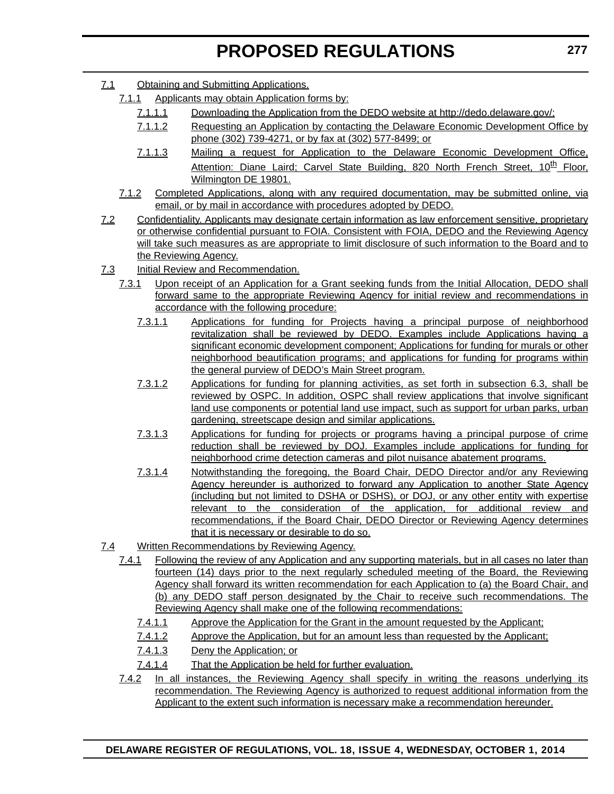- 7.1 Obtaining and Submitting Applications.
	- 7.1.1 Applicants may obtain Application forms by:
		- 7.1.1.1 Downloading the Application from the DEDO website at http://dedo.delaware.gov/;
		- 7.1.1.2 Requesting an Application by contacting the Delaware Economic Development Office by phone (302) 739-4271, or by fax at (302) 577-8499; or
		- 7.1.1.3 Mailing a request for Application to the Delaware Economic Development Office, Attention: Diane Laird; Carvel State Building, 820 North French Street, 10<sup>th</sup> Floor, Wilmington DE 19801.
	- 7.1.2 Completed Applications, along with any required documentation, may be submitted online, via email, or by mail in accordance with procedures adopted by DEDO.
- 7.2 Confidentiality. Applicants may designate certain information as law enforcement sensitive, proprietary or otherwise confidential pursuant to FOIA. Consistent with FOIA, DEDO and the Reviewing Agency will take such measures as are appropriate to limit disclosure of such information to the Board and to the Reviewing Agency.
- 7.3 Initial Review and Recommendation.
	- 7.3.1 Upon receipt of an Application for a Grant seeking funds from the Initial Allocation, DEDO shall forward same to the appropriate Reviewing Agency for initial review and recommendations in accordance with the following procedure:
		- 7.3.1.1 Applications for funding for Projects having a principal purpose of neighborhood revitalization shall be reviewed by DEDO. Examples include Applications having a significant economic development component; Applications for funding for murals or other neighborhood beautification programs; and applications for funding for programs within the general purview of DEDO's Main Street program.
		- 7.3.1.2 Applications for funding for planning activities, as set forth in subsection 6.3, shall be reviewed by OSPC. In addition, OSPC shall review applications that involve significant land use components or potential land use impact, such as support for urban parks, urban gardening, streetscape design and similar applications.
		- 7.3.1.3 Applications for funding for projects or programs having a principal purpose of crime reduction shall be reviewed by DOJ. Examples include applications for funding for neighborhood crime detection cameras and pilot nuisance abatement programs.
		- 7.3.1.4 Notwithstanding the foregoing, the Board Chair, DEDO Director and/or any Reviewing Agency hereunder is authorized to forward any Application to another State Agency (including but not limited to DSHA or DSHS), or DOJ, or any other entity with expertise relevant to the consideration of the application, for additional review and recommendations, if the Board Chair, DEDO Director or Reviewing Agency determines that it is necessary or desirable to do so.
- 7.4 Written Recommendations by Reviewing Agency.
	- 7.4.1 Following the review of any Application and any supporting materials, but in all cases no later than fourteen (14) days prior to the next regularly scheduled meeting of the Board, the Reviewing Agency shall forward its written recommendation for each Application to (a) the Board Chair, and (b) any DEDO staff person designated by the Chair to receive such recommendations. The Reviewing Agency shall make one of the following recommendations:
		- 7.4.1.1 Approve the Application for the Grant in the amount requested by the Applicant;
		- 7.4.1.2 Approve the Application, but for an amount less than requested by the Applicant;
		- 7.4.1.3 Deny the Application; or
		- 7.4.1.4 That the Application be held for further evaluation.
	- 7.4.2 In all instances, the Reviewing Agency shall specify in writing the reasons underlying its recommendation. The Reviewing Agency is authorized to request additional information from the Applicant to the extent such information is necessary make a recommendation hereunder.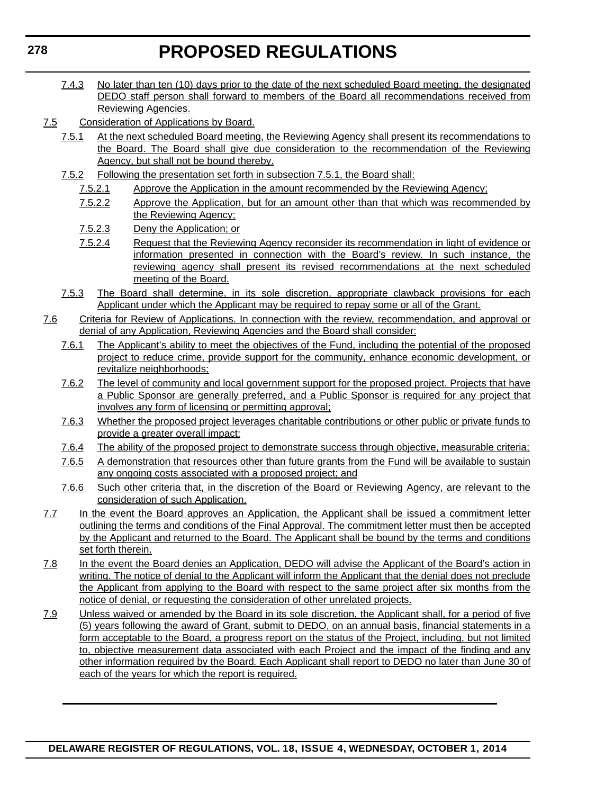- 7.4.3 No later than ten (10) days prior to the date of the next scheduled Board meeting, the designated DEDO staff person shall forward to members of the Board all recommendations received from Reviewing Agencies.
- 7.5 Consideration of Applications by Board.
	- 7.5.1 At the next scheduled Board meeting, the Reviewing Agency shall present its recommendations to the Board. The Board shall give due consideration to the recommendation of the Reviewing Agency, but shall not be bound thereby.
	- 7.5.2 Following the presentation set forth in subsection 7.5.1, the Board shall:
		- 7.5.2.1 Approve the Application in the amount recommended by the Reviewing Agency;
		- 7.5.2.2 Approve the Application, but for an amount other than that which was recommended by the Reviewing Agency;
		- 7.5.2.3 Deny the Application; or
		- 7.5.2.4 Request that the Reviewing Agency reconsider its recommendation in light of evidence or information presented in connection with the Board's review. In such instance, the reviewing agency shall present its revised recommendations at the next scheduled meeting of the Board.
	- 7.5.3 The Board shall determine, in its sole discretion, appropriate clawback provisions for each Applicant under which the Applicant may be required to repay some or all of the Grant.
- 7.6 Criteria for Review of Applications. In connection with the review, recommendation, and approval or denial of any Application, Reviewing Agencies and the Board shall consider:
	- 7.6.1 The Applicant's ability to meet the objectives of the Fund, including the potential of the proposed project to reduce crime, provide support for the community, enhance economic development, or revitalize neighborhoods;
	- 7.6.2 The level of community and local government support for the proposed project. Projects that have a Public Sponsor are generally preferred, and a Public Sponsor is required for any project that involves any form of licensing or permitting approval;
	- 7.6.3 Whether the proposed project leverages charitable contributions or other public or private funds to provide a greater overall impact;
	- 7.6.4 The ability of the proposed project to demonstrate success through objective, measurable criteria;
	- 7.6.5 A demonstration that resources other than future grants from the Fund will be available to sustain any ongoing costs associated with a proposed project; and
	- 7.6.6 Such other criteria that, in the discretion of the Board or Reviewing Agency, are relevant to the consideration of such Application.
- 7.7 In the event the Board approves an Application, the Applicant shall be issued a commitment letter outlining the terms and conditions of the Final Approval. The commitment letter must then be accepted by the Applicant and returned to the Board. The Applicant shall be bound by the terms and conditions set forth therein.
- 7.8 In the event the Board denies an Application, DEDO will advise the Applicant of the Board's action in writing. The notice of denial to the Applicant will inform the Applicant that the denial does not preclude the Applicant from applying to the Board with respect to the same project after six months from the notice of denial, or requesting the consideration of other unrelated projects.
- 7.9 Unless waived or amended by the Board in its sole discretion, the Applicant shall, for a period of five (5) years following the award of Grant, submit to DEDO, on an annual basis, financial statements in a form acceptable to the Board, a progress report on the status of the Project, including, but not limited to, objective measurement data associated with each Project and the impact of the finding and any other information required by the Board*.* Each Applicant shall report to DEDO no later than June 30 of each of the years for which the report is required.

**DELAWARE REGISTER OF REGULATIONS, VOL. 18, ISSUE 4, WEDNESDAY, OCTOBER 1, 2014**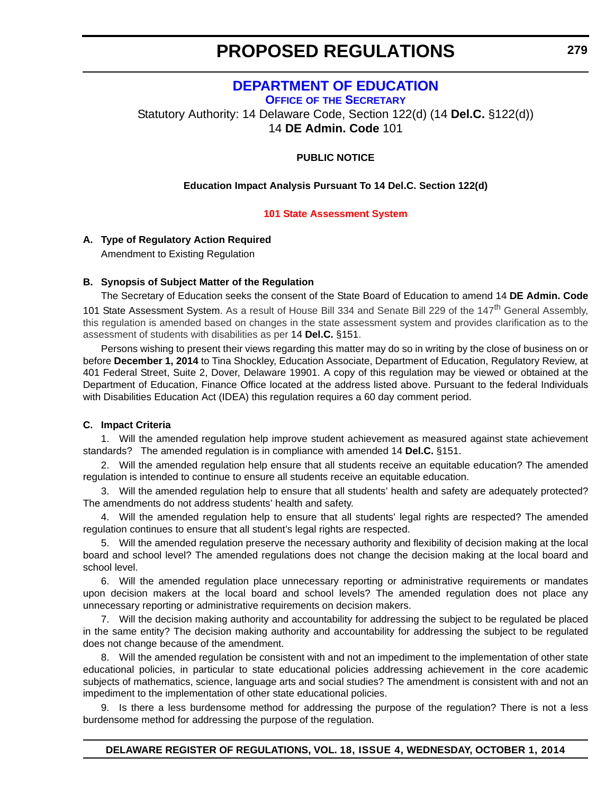# **[DEPARTMENT OF EDUCATION](http://www.doe.k12.de.us/)**

**OFFICE OF THE SECRETARY**

<span id="page-30-0"></span>Statutory Authority: 14 Delaware Code, Section 122(d) (14 **Del.C.** §122(d)) 14 **DE Admin. Code** 101

### **PUBLIC NOTICE**

### **Education Impact Analysis Pursuant To 14 Del.C. Section 122(d)**

#### **[101 State Assessment System](#page-3-0)**

### **A. Type of Regulatory Action Required**

Amendment to Existing Regulation

### **B. Synopsis of Subject Matter of the Regulation**

The Secretary of Education seeks the consent of the State Board of Education to amend 14 **DE Admin. Code**

101 State Assessment System. As a result of House Bill 334 and Senate Bill 229 of the 147<sup>th</sup> General Assembly. this regulation is amended based on changes in the state assessment system and provides clarification as to the assessment of students with disabilities as per 14 **Del.C.** §151.

Persons wishing to present their views regarding this matter may do so in writing by the close of business on or before **December 1, 2014** to Tina Shockley, Education Associate, Department of Education, Regulatory Review, at 401 Federal Street, Suite 2, Dover, Delaware 19901. A copy of this regulation may be viewed or obtained at the Department of Education, Finance Office located at the address listed above. Pursuant to the federal Individuals with Disabilities Education Act (IDEA) this regulation requires a 60 day comment period.

### **C. Impact Criteria**

1. Will the amended regulation help improve student achievement as measured against state achievement standards? The amended regulation is in compliance with amended 14 **Del.C.** §151.

2. Will the amended regulation help ensure that all students receive an equitable education? The amended regulation is intended to continue to ensure all students receive an equitable education.

3. Will the amended regulation help to ensure that all students' health and safety are adequately protected? The amendments do not address students' health and safety.

4. Will the amended regulation help to ensure that all students' legal rights are respected? The amended regulation continues to ensure that all student's legal rights are respected.

5. Will the amended regulation preserve the necessary authority and flexibility of decision making at the local board and school level? The amended regulations does not change the decision making at the local board and school level.

6. Will the amended regulation place unnecessary reporting or administrative requirements or mandates upon decision makers at the local board and school levels? The amended regulation does not place any unnecessary reporting or administrative requirements on decision makers.

7. Will the decision making authority and accountability for addressing the subject to be regulated be placed in the same entity? The decision making authority and accountability for addressing the subject to be regulated does not change because of the amendment.

8. Will the amended regulation be consistent with and not an impediment to the implementation of other state educational policies, in particular to state educational policies addressing achievement in the core academic subjects of mathematics, science, language arts and social studies? The amendment is consistent with and not an impediment to the implementation of other state educational policies.

9. Is there a less burdensome method for addressing the purpose of the regulation? There is not a less burdensome method for addressing the purpose of the regulation.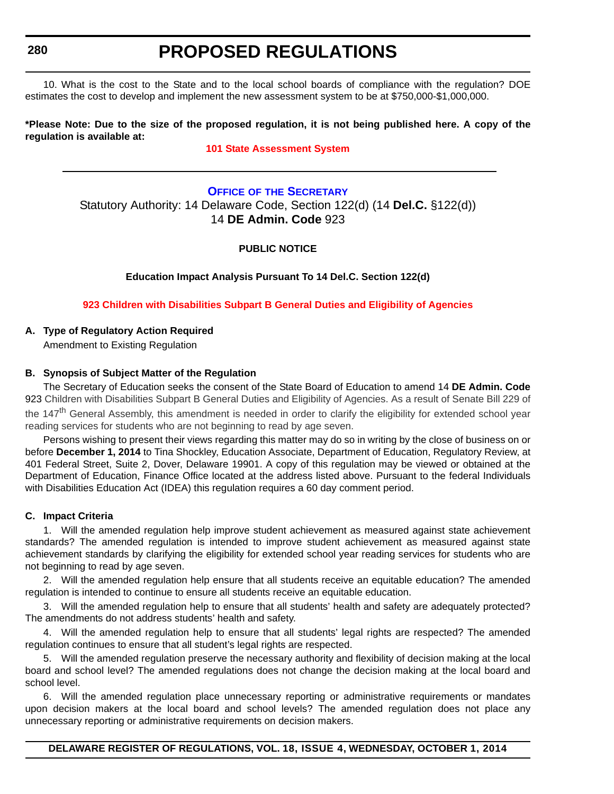<span id="page-31-0"></span>**280**

# **PROPOSED REGULATIONS**

10. What is the cost to the State and to the local school boards of compliance with the regulation? DOE estimates the cost to develop and implement the new assessment system to be at \$750,000-\$1,000,000.

**\*Please Note: Due to the size of the proposed regulation, it is not being published here. A copy of the regulation is available at:**

#### **[101 State Assessment System](http://regulations.delaware.gov/register/october2014/proposed/18 DE Reg 279 10-01-14.htm)**

#### **OFFICE OF [THE SECRETARY](http://www.doe.k12.de.us/)**

Statutory Authority: 14 Delaware Code, Section 122(d) (14 **Del.C.** §122(d)) 14 **DE Admin. Code** 923

### **PUBLIC NOTICE**

#### **Education Impact Analysis Pursuant To 14 Del.C. Section 122(d)**

**[923 Children with Disabilities Subpart B General Duties and Eligibility of Agencies](#page-3-0)**

#### **A. Type of Regulatory Action Required**

Amendment to Existing Regulation

#### **B. Synopsis of Subject Matter of the Regulation**

The Secretary of Education seeks the consent of the State Board of Education to amend 14 **DE Admin. Code** 923 Children with Disabilities Subpart B General Duties and Eligibility of Agencies. As a result of Senate Bill 229 of the 147<sup>th</sup> General Assembly, this amendment is needed in order to clarify the eligibility for extended school year reading services for students who are not beginning to read by age seven.

Persons wishing to present their views regarding this matter may do so in writing by the close of business on or before **December 1, 2014** to Tina Shockley, Education Associate, Department of Education, Regulatory Review, at 401 Federal Street, Suite 2, Dover, Delaware 19901. A copy of this regulation may be viewed or obtained at the Department of Education, Finance Office located at the address listed above. Pursuant to the federal Individuals with Disabilities Education Act (IDEA) this regulation requires a 60 day comment period.

#### **C. Impact Criteria**

1. Will the amended regulation help improve student achievement as measured against state achievement standards? The amended regulation is intended to improve student achievement as measured against state achievement standards by clarifying the eligibility for extended school year reading services for students who are not beginning to read by age seven.

2. Will the amended regulation help ensure that all students receive an equitable education? The amended regulation is intended to continue to ensure all students receive an equitable education.

3. Will the amended regulation help to ensure that all students' health and safety are adequately protected? The amendments do not address students' health and safety.

4. Will the amended regulation help to ensure that all students' legal rights are respected? The amended regulation continues to ensure that all student's legal rights are respected.

5. Will the amended regulation preserve the necessary authority and flexibility of decision making at the local board and school level? The amended regulations does not change the decision making at the local board and school level.

6. Will the amended regulation place unnecessary reporting or administrative requirements or mandates upon decision makers at the local board and school levels? The amended regulation does not place any unnecessary reporting or administrative requirements on decision makers.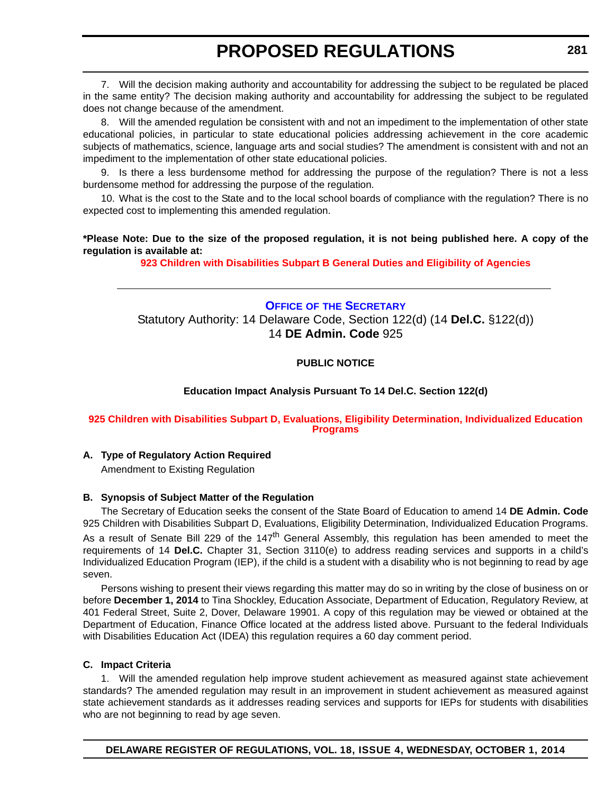<span id="page-32-0"></span>7. Will the decision making authority and accountability for addressing the subject to be regulated be placed in the same entity? The decision making authority and accountability for addressing the subject to be regulated does not change because of the amendment.

8. Will the amended regulation be consistent with and not an impediment to the implementation of other state educational policies, in particular to state educational policies addressing achievement in the core academic subjects of mathematics, science, language arts and social studies? The amendment is consistent with and not an impediment to the implementation of other state educational policies.

9. Is there a less burdensome method for addressing the purpose of the regulation? There is not a less burdensome method for addressing the purpose of the regulation.

10. What is the cost to the State and to the local school boards of compliance with the regulation? There is no expected cost to implementing this amended regulation.

### **\*Please Note: Due to the size of the proposed regulation, it is not being published here. A copy of the regulation is available at:**

**[923 Children with Disabilities Subpart B General Duties and Eligibility of Agencies](http://regulations.delaware.gov/register/october2014/proposed/18 DE Reg 280 10-01-14.htm)**

### **OFFICE OF [THE SECRETARY](http://www.doe.k12.de.us/)**

Statutory Authority: 14 Delaware Code, Section 122(d) (14 **Del.C.** §122(d)) 14 **DE Admin. Code** 925

### **PUBLIC NOTICE**

#### **Education Impact Analysis Pursuant To 14 Del.C. Section 122(d)**

### **[925 Children with Disabilities Subpart D, Evaluations, Eligibility Determination, Individualized Education](#page-3-0)  Programs**

### **A. Type of Regulatory Action Required**

Amendment to Existing Regulation

### **B. Synopsis of Subject Matter of the Regulation**

The Secretary of Education seeks the consent of the State Board of Education to amend 14 **DE Admin. Code** 925 Children with Disabilities Subpart D, Evaluations, Eligibility Determination, Individualized Education Programs. As a result of Senate Bill 229 of the 147<sup>th</sup> General Assembly, this regulation has been amended to meet the requirements of 14 **Del.C.** Chapter 31, Section 3110(e) to address reading services and supports in a child's Individualized Education Program (IEP), if the child is a student with a disability who is not beginning to read by age seven.

Persons wishing to present their views regarding this matter may do so in writing by the close of business on or before **December 1, 2014** to Tina Shockley, Education Associate, Department of Education, Regulatory Review, at 401 Federal Street, Suite 2, Dover, Delaware 19901. A copy of this regulation may be viewed or obtained at the Department of Education, Finance Office located at the address listed above. Pursuant to the federal Individuals with Disabilities Education Act (IDEA) this regulation requires a 60 day comment period.

#### **C. Impact Criteria**

1. Will the amended regulation help improve student achievement as measured against state achievement standards? The amended regulation may result in an improvement in student achievement as measured against state achievement standards as it addresses reading services and supports for IEPs for students with disabilities who are not beginning to read by age seven.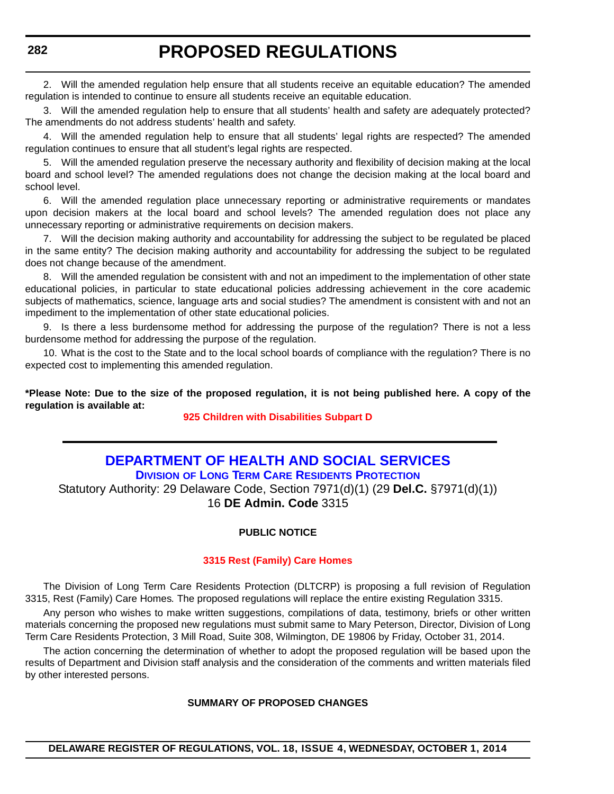<span id="page-33-0"></span>2. Will the amended regulation help ensure that all students receive an equitable education? The amended regulation is intended to continue to ensure all students receive an equitable education.

3. Will the amended regulation help to ensure that all students' health and safety are adequately protected? The amendments do not address students' health and safety.

4. Will the amended regulation help to ensure that all students' legal rights are respected? The amended regulation continues to ensure that all student's legal rights are respected.

5. Will the amended regulation preserve the necessary authority and flexibility of decision making at the local board and school level? The amended regulations does not change the decision making at the local board and school level.

6. Will the amended regulation place unnecessary reporting or administrative requirements or mandates upon decision makers at the local board and school levels? The amended regulation does not place any unnecessary reporting or administrative requirements on decision makers.

7. Will the decision making authority and accountability for addressing the subject to be regulated be placed in the same entity? The decision making authority and accountability for addressing the subject to be regulated does not change because of the amendment.

8. Will the amended regulation be consistent with and not an impediment to the implementation of other state educational policies, in particular to state educational policies addressing achievement in the core academic subjects of mathematics, science, language arts and social studies? The amendment is consistent with and not an impediment to the implementation of other state educational policies.

9. Is there a less burdensome method for addressing the purpose of the regulation? There is not a less burdensome method for addressing the purpose of the regulation.

10. What is the cost to the State and to the local school boards of compliance with the regulation? There is no expected cost to implementing this amended regulation.

**\*Please Note: Due to the size of the proposed regulation, it is not being published here. A copy of the regulation is available at:**

**[925 Children with Disabilities Subpart D](http://regulations.delaware.gov/register/october2014/proposed/18 DE Reg 281 10-01-14.htm)**

# **[DEPARTMENT OF HEALTH AND SOCIAL SERVICES](http://www.dhss.delaware.gov/dhss/dltcrp/index.html) DIVISION OF LONG TERM CARE RESIDENTS PROTECTION**

Statutory Authority: 29 Delaware Code, Section 7971(d)(1) (29 **Del.C.** §7971(d)(1)) 16 **DE Admin. Code** 3315

### **PUBLIC NOTICE**

### **[3315 Rest \(Family\) Care Homes](#page-3-0)**

The Division of Long Term Care Residents Protection (DLTCRP) is proposing a full revision of Regulation 3315, Rest (Family) Care Homes*.* The proposed regulations will replace the entire existing Regulation 3315.

Any person who wishes to make written suggestions, compilations of data, testimony, briefs or other written materials concerning the proposed new regulations must submit same to Mary Peterson, Director, Division of Long Term Care Residents Protection, 3 Mill Road, Suite 308, Wilmington, DE 19806 by Friday, October 31, 2014.

The action concerning the determination of whether to adopt the proposed regulation will be based upon the results of Department and Division staff analysis and the consideration of the comments and written materials filed by other interested persons.

#### **SUMMARY OF PROPOSED CHANGES**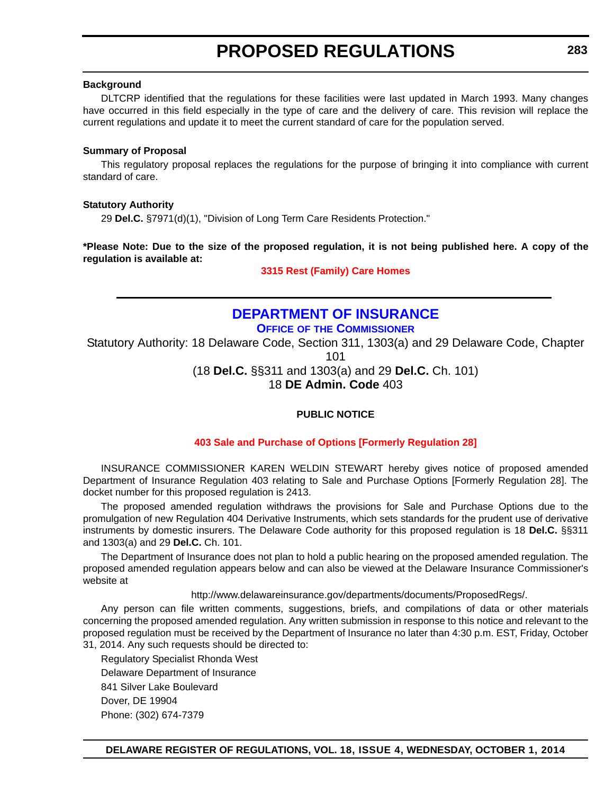#### <span id="page-34-0"></span>**Background**

DLTCRP identified that the regulations for these facilities were last updated in March 1993. Many changes have occurred in this field especially in the type of care and the delivery of care. This revision will replace the current regulations and update it to meet the current standard of care for the population served.

#### **Summary of Proposal**

This regulatory proposal replaces the regulations for the purpose of bringing it into compliance with current standard of care.

#### **Statutory Authority**

29 **Del.C.** §7971(d)(1), "Division of Long Term Care Residents Protection."

**\*Please Note: Due to the size of the proposed regulation, it is not being published here. A copy of the regulation is available at:**

#### **[3315 Rest \(Family\) Care Homes](http://regulations.delaware.gov/register/october2014/proposed/18 DE Reg 282 10-01-14.htm)**

# **[DEPARTMENT OF INSURANCE](http://www.delawareinsurance.gov/)**

### **OFFICE OF THE COMMISSIONER**

Statutory Authority: 18 Delaware Code, Section 311, 1303(a) and 29 Delaware Code, Chapter

101

(18 **Del.C.** §§311 and 1303(a) and 29 **Del.C.** Ch. 101) 18 **DE Admin. Code** 403

### **PUBLIC NOTICE**

### **[403 Sale and Purchase of Options \[Formerly Regulation 28\]](#page-3-0)**

INSURANCE COMMISSIONER KAREN WELDIN STEWART hereby gives notice of proposed amended Department of Insurance Regulation 403 relating to Sale and Purchase Options [Formerly Regulation 28]. The docket number for this proposed regulation is 2413.

The proposed amended regulation withdraws the provisions for Sale and Purchase Options due to the promulgation of new Regulation 404 Derivative Instruments, which sets standards for the prudent use of derivative instruments by domestic insurers. The Delaware Code authority for this proposed regulation is 18 **Del.C.** §§311 and 1303(a) and 29 **Del.C.** Ch. 101.

The Department of Insurance does not plan to hold a public hearing on the proposed amended regulation. The proposed amended regulation appears below and can also be viewed at the Delaware Insurance Commissioner's website at

http://www.delawareinsurance.gov/departments/documents/ProposedRegs/.

Any person can file written comments, suggestions, briefs, and compilations of data or other materials concerning the proposed amended regulation. Any written submission in response to this notice and relevant to the proposed regulation must be received by the Department of Insurance no later than 4:30 p.m. EST, Friday, October 31, 2014. Any such requests should be directed to:

Regulatory Specialist Rhonda West Delaware Department of Insurance 841 Silver Lake Boulevard Dover, DE 19904 Phone: (302) 674-7379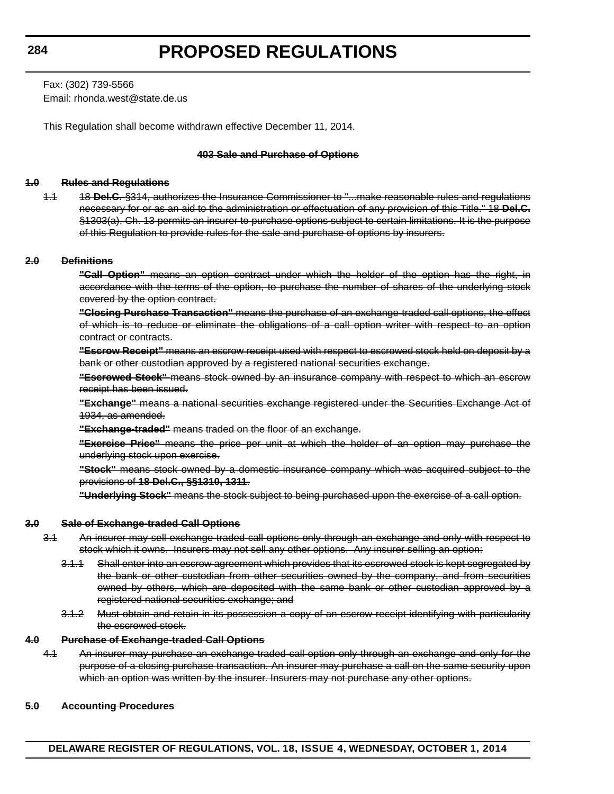Fax: (302) 739-5566 Email: rhonda.west@state.de.us

This Regulation shall become withdrawn effective December 11, 2014.

#### **403 Sale and Purchase of Options**

#### **1.0 Rules and Regulations**

1.1 18 **Del.C.** §314, authorizes the Insurance Commissioner to "...make reasonable rules and regulations necessary for or as an aid to the administration or effectuation of any provision of this Title." 18 **Del.C.** §1303(a), Ch. 13 permits an insurer to purchase options subject to certain limitations. It is the purpose of this Regulation to provide rules for the sale and purchase of options by insurers.

#### **2.0 Definitions**

**"Call Option"** means an option contract under which the holder of the option has the right, in accordance with the terms of the option, to purchase the number of shares of the underlying stock covered by the option contract.

**"Closing Purchase Transaction"** means the purchase of an exchange-traded call options, the effect of which is to reduce or eliminate the obligations of a call option writer with respect to an option contract or contracts.

**"Escrow Receipt"** means an escrow receipt used with respect to escrowed stock held on deposit by a bank or other custodian approved by a registered national securities exchange.

**"Escrowed Stock"** means stock owned by an insurance company with respect to which an escrow receipt has been issued.

**"Exchange"** means a national securities exchange registered under the Securities Exchange Act of 1934, as amended.

**"Exchange-traded"** means traded on the floor of an exchange.

**"Exercise Price"** means the price per unit at which the holder of an option may purchase the underlying stock upon exercise.

**"Stock"** means stock owned by a domestic insurance company which was acquired subject to the provisions of **18 Del.C., §§1310, 1311**.

**"Underlying Stock"** means the stock subject to being purchased upon the exercise of a call option.

#### **3.0 Sale of Exchange-traded Call Options**

- 3.1 An insurer may sell exchange-traded call options only through an exchange and only with respect to stock which it owns. Insurers may not sell any other options. Any insurer selling an option:
	- 3.1.1 Shall enter into an escrow agreement which provides that its escrowed stock is kept segregated by the bank or other custodian from other securities owned by the company, and from securities owned by others, which are deposited with the same bank or other custodian approved by a registered national securities exchange; and
	- 3.1.2 Must obtain and retain in its possession a copy of an escrow receipt identifying with particularity the escrowed stock.

#### **4.0 Purchase of Exchange-traded Call Options**

4.1 An insurer may purchase an exchange-traded call option only through an exchange and only for the purpose of a closing purchase transaction. An insurer may purchase a call on the same security upon which an option was written by the insurer. Insurers may not purchase any other options.

#### **5.0 Accounting Procedures**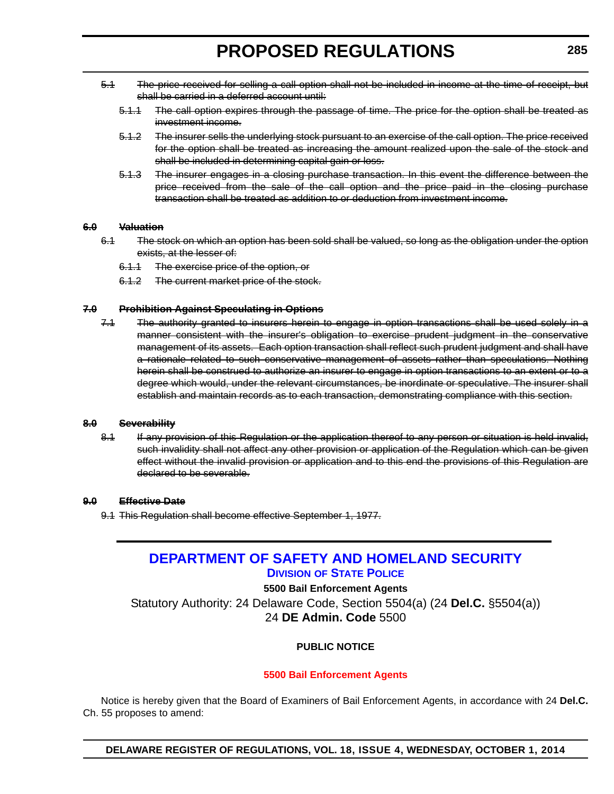- 5.1 The price received for selling a call option shall not be included in income at the time of receipt, but shall be carried in a deferred account until:
	- 5.1.1 The call option expires through the passage of time. The price for the option shall be treated as investment income.
	- 5.1.2 The insurer sells the underlying stock pursuant to an exercise of the call option. The price received for the option shall be treated as increasing the amount realized upon the sale of the stock and shall be included in determining capital gain or loss.
	- 5.1.3 The insurer engages in a closing purchase transaction. In this event the difference between the price received from the sale of the call option and the price paid in the closing purchase transaction shall be treated as addition to or deduction from investment income.

#### **6.0 Valuation**

- 6.1 The stock on which an option has been sold shall be valued, so long as the obligation under the option exists, at the lesser of:
	- 6.1.1 The exercise price of the option, or
	- 6.1.2 The current market price of the stock.

### **7.0 Prohibition Against Speculating in Options**

7.1 The authority granted to insurers herein to engage in option transactions shall be used solely in a manner consistent with the insurer's obligation to exercise prudent judgment in the conservative management of its assets. Each option transaction shall reflect such prudent judgment and shall have a rationale related to such conservative management of assets rather than speculations. Nothing herein shall be construed to authorize an insurer to engage in option transactions to an extent or to a degree which would, under the relevant circumstances, be inordinate or speculative. The insurer shall establish and maintain records as to each transaction, demonstrating compliance with this section.

#### **8.0 Severability**

8.1 If any provision of this Regulation or the application thereof to any person or situation is held invalid, such invalidity shall not affect any other provision or application of the Regulation which can be given effect without the invalid provision or application and to this end the provisions of this Regulation are declared to be severable.

### **9.0 Effective Date**

9.1 This Regulation shall become effective September 1, 1977.

## **[DEPARTMENT OF SAFETY AND HOMELAND SECURITY](http://dsp.delaware.gov/) DIVISION OF STATE POLICE**

#### **5500 Bail Enforcement Agents**

Statutory Authority: 24 Delaware Code, Section 5504(a) (24 **Del.C.** §5504(a)) 24 **DE Admin. Code** 5500

### **PUBLIC NOTICE**

### **[5500 Bail Enforcement Agents](#page-3-0)**

Notice is hereby given that the Board of Examiners of Bail Enforcement Agents, in accordance with 24 **Del.C.** Ch. 55 proposes to amend: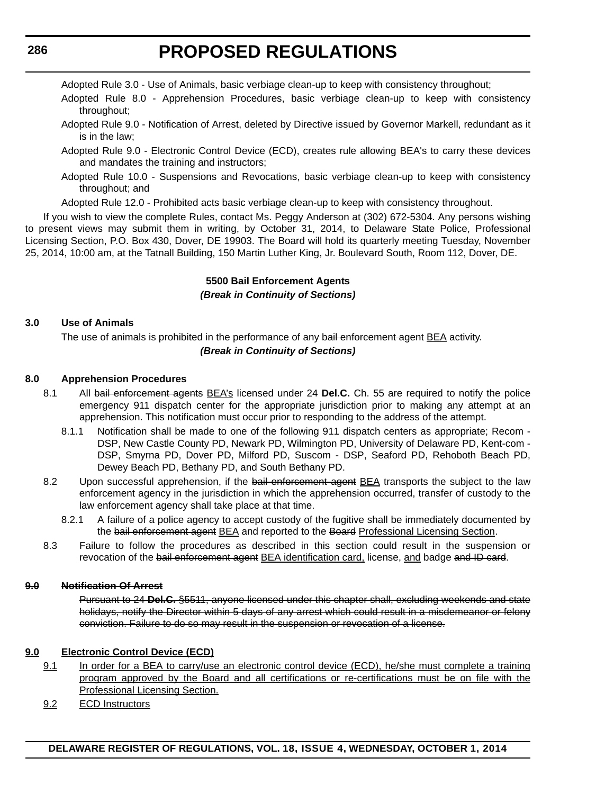Adopted Rule 3.0 - Use of Animals, basic verbiage clean-up to keep with consistency throughout;

- Adopted Rule 8.0 Apprehension Procedures, basic verbiage clean-up to keep with consistency throughout;
- Adopted Rule 9.0 Notification of Arrest, deleted by Directive issued by Governor Markell, redundant as it is in the law;
- Adopted Rule 9.0 Electronic Control Device (ECD), creates rule allowing BEA's to carry these devices and mandates the training and instructors;
- Adopted Rule 10.0 Suspensions and Revocations, basic verbiage clean-up to keep with consistency throughout; and

Adopted Rule 12.0 - Prohibited acts basic verbiage clean-up to keep with consistency throughout.

If you wish to view the complete Rules, contact Ms. Peggy Anderson at (302) 672-5304. Any persons wishing to present views may submit them in writing, by October 31, 2014, to Delaware State Police, Professional Licensing Section, P.O. Box 430, Dover, DE 19903. The Board will hold its quarterly meeting Tuesday, November 25, 2014, 10:00 am, at the Tatnall Building, 150 Martin Luther King, Jr. Boulevard South, Room 112, Dover, DE.

## **5500 Bail Enforcement Agents** *(Break in Continuity of Sections)*

#### **3.0 Use of Animals**

The use of animals is prohibited in the performance of any bail enforcement agent BEA activity.

#### *(Break in Continuity of Sections)*

#### **8.0 Apprehension Procedures**

- 8.1 All bail enforcement agents BEA's licensed under 24 **Del.C.** Ch. 55 are required to notify the police emergency 911 dispatch center for the appropriate jurisdiction prior to making any attempt at an apprehension. This notification must occur prior to responding to the address of the attempt.
	- 8.1.1 Notification shall be made to one of the following 911 dispatch centers as appropriate; Recom DSP, New Castle County PD, Newark PD, Wilmington PD, University of Delaware PD, Kent-com - DSP, Smyrna PD, Dover PD, Milford PD, Suscom - DSP, Seaford PD, Rehoboth Beach PD, Dewey Beach PD, Bethany PD, and South Bethany PD.
- 8.2 Upon successful apprehension, if the bail enforcement agent BEA transports the subject to the law enforcement agency in the jurisdiction in which the apprehension occurred, transfer of custody to the law enforcement agency shall take place at that time.
	- 8.2.1 A failure of a police agency to accept custody of the fugitive shall be immediately documented by the bail enforcement agent **BEA** and reported to the Board Professional Licensing Section.
- 8.3 Failure to follow the procedures as described in this section could result in the suspension or revocation of the bail enforcement agent BEA identification card, license, and badge and ID card.

#### **9.0 Notification Of Arrest**

Pursuant to 24 **Del.C.** §5511, anyone licensed under this chapter shall, excluding weekends and state holidays, notify the Director within 5 days of any arrest which could result in a misdemeanor or felony conviction. Failure to do so may result in the suspension or revocation of a license.

## **9.0 Electronic Control Device (ECD)**

- 9.1 In order for a BEA to carry/use an electronic control device (ECD), he/she must complete a training program approved by the Board and all certifications or re-certifications must be on file with the Professional Licensing Section.
- 9.2 ECD Instructors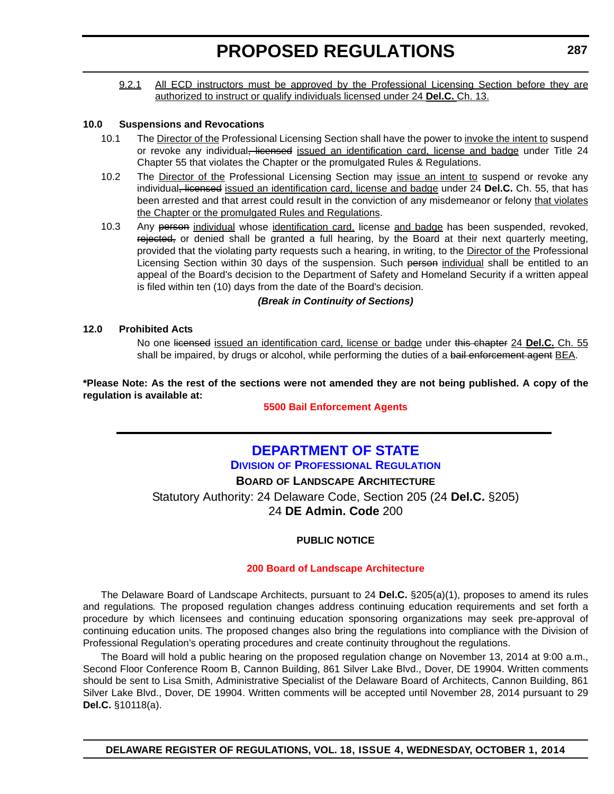9.2.1 All ECD instructors must be approved by the Professional Licensing Section before they are authorized to instruct or qualify individuals licensed under 24 **Del.C.** Ch. 13.

#### **10.0 Suspensions and Revocations**

- 10.1 The Director of the Professional Licensing Section shall have the power to invoke the intent to suspend or revoke any individual<del>, licensed</del> issued an identification card, license and badge under Title 24 Chapter 55 that violates the Chapter or the promulgated Rules & Regulations.
- 10.2 The Director of the Professional Licensing Section may issue an intent to suspend or revoke any individual, licensed issued an identification card, license and badge under 24 **Del.C.** Ch. 55, that has been arrested and that arrest could result in the conviction of any misdemeanor or felony that violates the Chapter or the promulgated Rules and Regulations.
- 10.3 Any person individual whose identification card, license and badge has been suspended, revoked, rejected, or denied shall be granted a full hearing, by the Board at their next quarterly meeting, provided that the violating party requests such a hearing, in writing, to the Director of the Professional Licensing Section within 30 days of the suspension. Such person individual shall be entitled to an appeal of the Board's decision to the Department of Safety and Homeland Security if a written appeal is filed within ten (10) days from the date of the Board's decision.

### *(Break in Continuity of Sections)*

#### **12.0 Prohibited Acts**

No one licensed issued an identification card, license or badge under this chapter 24 Del.C. Ch. 55 shall be impaired, by drugs or alcohol, while performing the duties of a bail enforcement agent BEA.

**\*Please Note: As the rest of the sections were not amended they are not being published. A copy of the regulation is available at:**

#### **[5500 Bail Enforcement Agents](http://regulations.delaware.gov/register/october2014/proposed/18 DE Reg 285 10-01-14.htm)**

## **[DEPARTMENT OF STATE](http://dpr.delaware.gov/) DIVISION OF PROFESSIONAL REGULATION BOARD OF LANDSCAPE ARCHITECTURE** Statutory Authority: 24 Delaware Code, Section 205 (24 **Del.C.** §205) 24 **DE Admin. Code** 200

### **PUBLIC NOTICE**

### **[200 Board of Landscape Architecture](#page-3-0)**

The Delaware Board of Landscape Architects, pursuant to 24 **Del.C.** §205(a)(1), proposes to amend its rules and regulations*.* The proposed regulation changes address continuing education requirements and set forth a procedure by which licensees and continuing education sponsoring organizations may seek pre-approval of continuing education units. The proposed changes also bring the regulations into compliance with the Division of Professional Regulation's operating procedures and create continuity throughout the regulations.

The Board will hold a public hearing on the proposed regulation change on November 13, 2014 at 9:00 a.m., Second Floor Conference Room B, Cannon Building, 861 Silver Lake Blvd., Dover, DE 19904. Written comments should be sent to Lisa Smith, Administrative Specialist of the Delaware Board of Architects, Cannon Building, 861 Silver Lake Blvd., Dover, DE 19904. Written comments will be accepted until November 28, 2014 pursuant to 29 **Del.C.** §10118(a).

**DELAWARE REGISTER OF REGULATIONS, VOL. 18, ISSUE 4, WEDNESDAY, OCTOBER 1, 2014**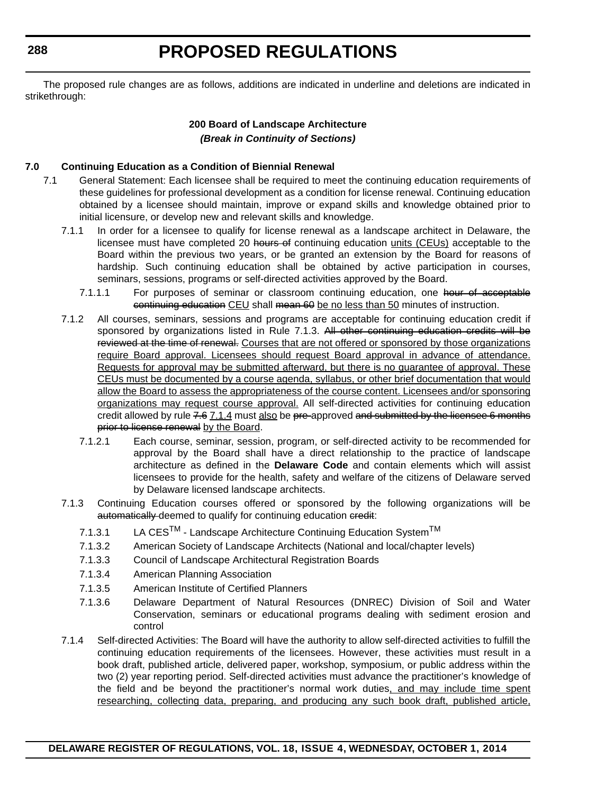The proposed rule changes are as follows, additions are indicated in underline and deletions are indicated in strikethrough:

## **200 Board of Landscape Architecture** *(Break in Continuity of Sections)*

## **7.0 Continuing Education as a Condition of Biennial Renewal**

- 7.1 General Statement: Each licensee shall be required to meet the continuing education requirements of these guidelines for professional development as a condition for license renewal. Continuing education obtained by a licensee should maintain, improve or expand skills and knowledge obtained prior to initial licensure, or develop new and relevant skills and knowledge.
	- 7.1.1 In order for a licensee to qualify for license renewal as a landscape architect in Delaware, the licensee must have completed 20 hours of continuing education units (CEUs) acceptable to the Board within the previous two years, or be granted an extension by the Board for reasons of hardship. Such continuing education shall be obtained by active participation in courses, seminars, sessions, programs or self-directed activities approved by the Board.
		- 7.1.1.1 For purposes of seminar or classroom continuing education, one hour of acceptable continuing education CEU shall mean 60 be no less than 50 minutes of instruction.
	- 7.1.2 All courses, seminars, sessions and programs are acceptable for continuing education credit if sponsored by organizations listed in Rule 7.1.3. All other continuing education credits will be reviewed at the time of renewal. Courses that are not offered or sponsored by those organizations require Board approval. Licensees should request Board approval in advance of attendance. Requests for approval may be submitted afterward, but there is no guarantee of approval. These CEUs must be documented by a course agenda, syllabus, or other brief documentation that would allow the Board to assess the appropriateness of the course content. Licensees and/or sponsoring organizations may request course approval. All self-directed activities for continuing education credit allowed by rule 7.6 7.1.4 must also be pre-approved and submitted by the licensee 6 months prior to license renewal by the Board.
		- 7.1.2.1 Each course, seminar, session, program, or self-directed activity to be recommended for approval by the Board shall have a direct relationship to the practice of landscape architecture as defined in the **Delaware Code** and contain elements which will assist licensees to provide for the health, safety and welfare of the citizens of Delaware served by Delaware licensed landscape architects.
	- 7.1.3 Continuing Education courses offered or sponsored by the following organizations will be automatically deemed to qualify for continuing education credit:
		- 7.1.3.1 LA CES<sup>TM</sup> Landscape Architecture Continuing Education System<sup>TM</sup>
		- 7.1.3.2 American Society of Landscape Architects (National and local/chapter levels)
		- 7.1.3.3 Council of Landscape Architectural Registration Boards
		- 7.1.3.4 American Planning Association
		- 7.1.3.5 American Institute of Certified Planners
		- 7.1.3.6 Delaware Department of Natural Resources (DNREC) Division of Soil and Water Conservation, seminars or educational programs dealing with sediment erosion and control
	- 7.1.4 Self-directed Activities: The Board will have the authority to allow self-directed activities to fulfill the continuing education requirements of the licensees. However, these activities must result in a book draft, published article, delivered paper, workshop, symposium, or public address within the two (2) year reporting period. Self-directed activities must advance the practitioner's knowledge of the field and be beyond the practitioner's normal work duties, and may include time spent researching, collecting data, preparing, and producing any such book draft, published article,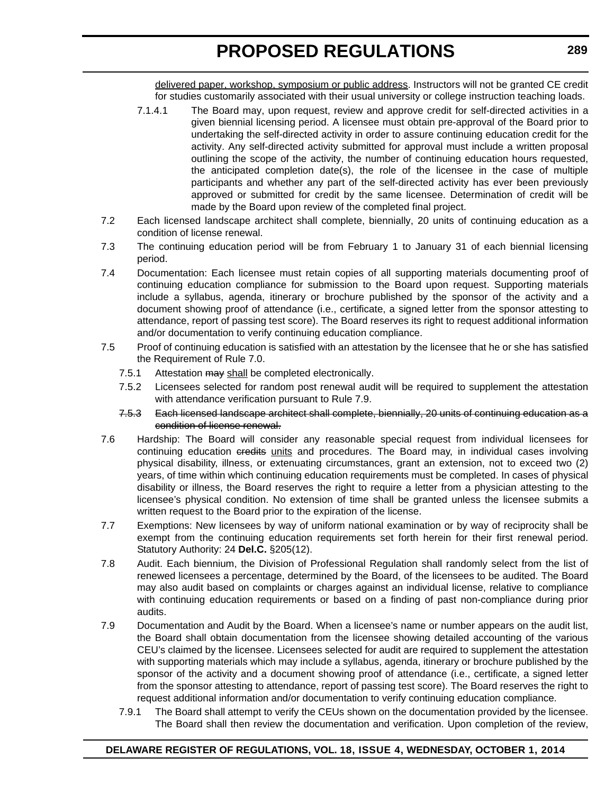delivered paper, workshop, symposium or public address. Instructors will not be granted CE credit for studies customarily associated with their usual university or college instruction teaching loads.

- 7.1.4.1 The Board may, upon request, review and approve credit for self-directed activities in a given biennial licensing period. A licensee must obtain pre-approval of the Board prior to undertaking the self-directed activity in order to assure continuing education credit for the activity. Any self-directed activity submitted for approval must include a written proposal outlining the scope of the activity, the number of continuing education hours requested, the anticipated completion date(s), the role of the licensee in the case of multiple participants and whether any part of the self-directed activity has ever been previously approved or submitted for credit by the same licensee. Determination of credit will be made by the Board upon review of the completed final project.
- 7.2 Each licensed landscape architect shall complete, biennially, 20 units of continuing education as a condition of license renewal.
- 7.3 The continuing education period will be from February 1 to January 31 of each biennial licensing period.
- 7.4 Documentation: Each licensee must retain copies of all supporting materials documenting proof of continuing education compliance for submission to the Board upon request. Supporting materials include a syllabus, agenda, itinerary or brochure published by the sponsor of the activity and a document showing proof of attendance (i.e., certificate, a signed letter from the sponsor attesting to attendance, report of passing test score). The Board reserves its right to request additional information and/or documentation to verify continuing education compliance.
- 7.5 Proof of continuing education is satisfied with an attestation by the licensee that he or she has satisfied the Requirement of Rule 7.0.
	- 7.5.1 Attestation may shall be completed electronically.
	- 7.5.2 Licensees selected for random post renewal audit will be required to supplement the attestation with attendance verification pursuant to Rule 7.9.
	- 7.5.3 Each licensed landscape architect shall complete, biennially, 20 units of continuing education as a condition of license renewal.
- 7.6 Hardship: The Board will consider any reasonable special request from individual licensees for continuing education eredits units and procedures. The Board may, in individual cases involving physical disability, illness, or extenuating circumstances, grant an extension, not to exceed two (2) years, of time within which continuing education requirements must be completed. In cases of physical disability or illness, the Board reserves the right to require a letter from a physician attesting to the licensee's physical condition. No extension of time shall be granted unless the licensee submits a written request to the Board prior to the expiration of the license.
- 7.7 Exemptions: New licensees by way of uniform national examination or by way of reciprocity shall be exempt from the continuing education requirements set forth herein for their first renewal period. Statutory Authority: 24 **Del.C.** §205(12).
- 7.8 Audit. Each biennium, the Division of Professional Regulation shall randomly select from the list of renewed licensees a percentage, determined by the Board, of the licensees to be audited. The Board may also audit based on complaints or charges against an individual license, relative to compliance with continuing education requirements or based on a finding of past non-compliance during prior audits.
- 7.9 Documentation and Audit by the Board. When a licensee's name or number appears on the audit list, the Board shall obtain documentation from the licensee showing detailed accounting of the various CEU's claimed by the licensee. Licensees selected for audit are required to supplement the attestation with supporting materials which may include a syllabus, agenda, itinerary or brochure published by the sponsor of the activity and a document showing proof of attendance (i.e., certificate, a signed letter from the sponsor attesting to attendance, report of passing test score). The Board reserves the right to request additional information and/or documentation to verify continuing education compliance.
	- 7.9.1 The Board shall attempt to verify the CEUs shown on the documentation provided by the licensee. The Board shall then review the documentation and verification. Upon completion of the review,

## **DELAWARE REGISTER OF REGULATIONS, VOL. 18, ISSUE 4, WEDNESDAY, OCTOBER 1, 2014**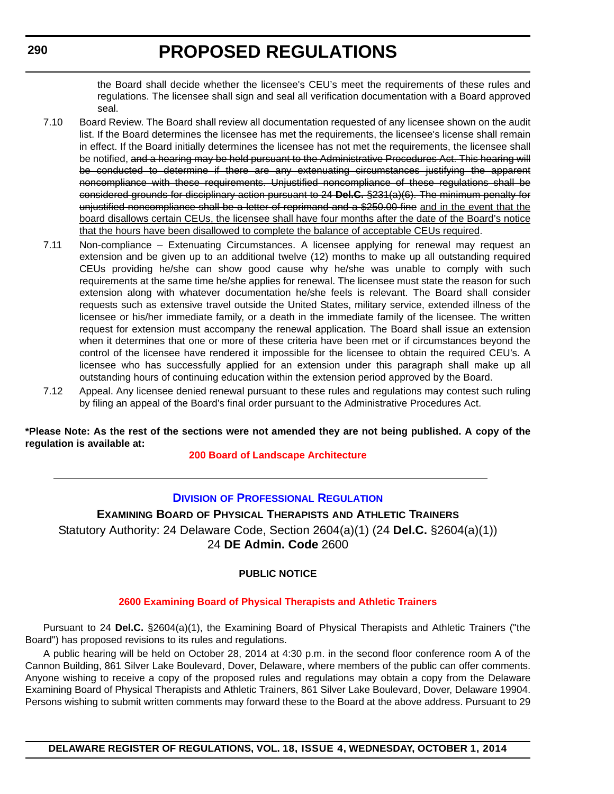the Board shall decide whether the licensee's CEU's meet the requirements of these rules and regulations. The licensee shall sign and seal all verification documentation with a Board approved seal.

- 7.10 Board Review. The Board shall review all documentation requested of any licensee shown on the audit list. If the Board determines the licensee has met the requirements, the licensee's license shall remain in effect. If the Board initially determines the licensee has not met the requirements, the licensee shall be notified, and a hearing may be held pursuant to the Administrative Procedures Act. This hearing will be conducted to determine if there are any extenuating circumstances justifying the apparent noncompliance with these requirements. Unjustified noncompliance of these regulations shall be considered grounds for disciplinary action pursuant to 24 **Del.C.** §231(a)(6). The minimum penalty for unjustified noncompliance shall be a letter of reprimand and a \$250.00 fine and in the event that the board disallows certain CEUs, the licensee shall have four months after the date of the Board's notice that the hours have been disallowed to complete the balance of acceptable CEUs required.
- 7.11 Non-compliance Extenuating Circumstances. A licensee applying for renewal may request an extension and be given up to an additional twelve (12) months to make up all outstanding required CEUs providing he/she can show good cause why he/she was unable to comply with such requirements at the same time he/she applies for renewal. The licensee must state the reason for such extension along with whatever documentation he/she feels is relevant. The Board shall consider requests such as extensive travel outside the United States, military service, extended illness of the licensee or his/her immediate family, or a death in the immediate family of the licensee. The written request for extension must accompany the renewal application. The Board shall issue an extension when it determines that one or more of these criteria have been met or if circumstances beyond the control of the licensee have rendered it impossible for the licensee to obtain the required CEU's. A licensee who has successfully applied for an extension under this paragraph shall make up all outstanding hours of continuing education within the extension period approved by the Board.
- 7.12 Appeal. Any licensee denied renewal pursuant to these rules and regulations may contest such ruling by filing an appeal of the Board's final order pursuant to the Administrative Procedures Act.

**\*Please Note: As the rest of the sections were not amended they are not being published. A copy of the regulation is available at:**

**[200 Board of Landscape Architecture](http://regulations.delaware.gov/register/october2014/proposed/18 DE Reg 287 10-01-14.htm)**

## **DIVISION [OF PROFESSIONAL REGULATION](http://dpr.delaware.gov/)**

**EXAMINING BOARD OF PHYSICAL THERAPISTS AND ATHLETIC TRAINERS** Statutory Authority: 24 Delaware Code, Section 2604(a)(1) (24 **Del.C.** §2604(a)(1)) 24 **DE Admin. Code** 2600

## **PUBLIC NOTICE**

## **[2600 Examining Board of Physical Therapists and Athletic Trainers](#page-3-0)**

Pursuant to 24 **Del.C.** §2604(a)(1), the Examining Board of Physical Therapists and Athletic Trainers ("the Board") has proposed revisions to its rules and regulations.

A public hearing will be held on October 28, 2014 at 4:30 p.m. in the second floor conference room A of the Cannon Building, 861 Silver Lake Boulevard, Dover, Delaware, where members of the public can offer comments. Anyone wishing to receive a copy of the proposed rules and regulations may obtain a copy from the Delaware Examining Board of Physical Therapists and Athletic Trainers, 861 Silver Lake Boulevard, Dover, Delaware 19904. Persons wishing to submit written comments may forward these to the Board at the above address. Pursuant to 29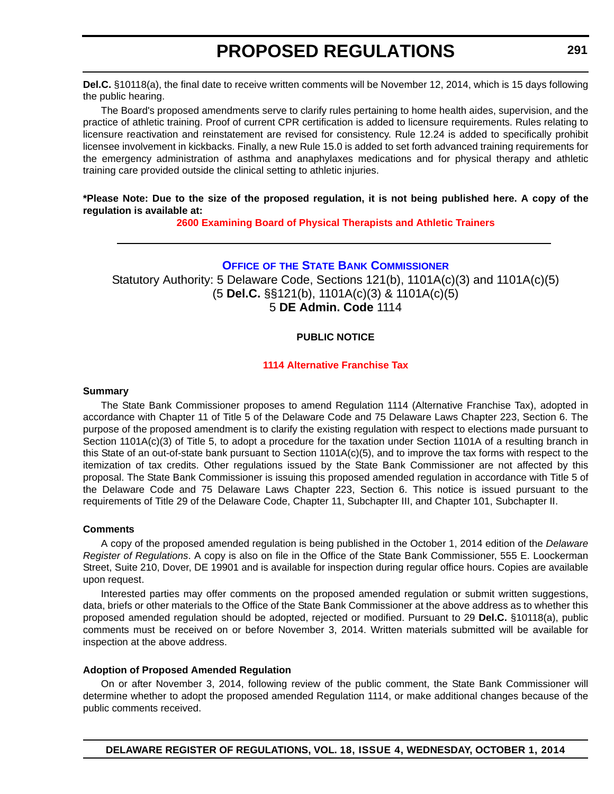**Del.C.** §10118(a), the final date to receive written comments will be November 12, 2014, which is 15 days following the public hearing.

The Board's proposed amendments serve to clarify rules pertaining to home health aides, supervision, and the practice of athletic training. Proof of current CPR certification is added to licensure requirements. Rules relating to licensure reactivation and reinstatement are revised for consistency. Rule 12.24 is added to specifically prohibit licensee involvement in kickbacks. Finally, a new Rule 15.0 is added to set forth advanced training requirements for the emergency administration of asthma and anaphylaxes medications and for physical therapy and athletic training care provided outside the clinical setting to athletic injuries.

## **\*Please Note: Due to the size of the proposed regulation, it is not being published here. A copy of the regulation is available at:**

**[2600 Examining Board of Physical Therapists and Athletic Trainers](http://regulations.delaware.gov/register/october2014/proposed/18 DE Reg 290 10-01-14.htm)**

## **OFFICE OF [THE STATE BANK COMMISSIONER](http://banking.delaware.gov/)**

Statutory Authority: 5 Delaware Code, Sections 121(b), 1101A(c)(3) and 1101A(c)(5) (5 **Del.C.** §§121(b), 1101A(c)(3) & 1101A(c)(5) 5 **DE Admin. Code** 1114

## **PUBLIC NOTICE**

## **[1114 Alternative Franchise Tax](#page-3-0)**

#### **Summary**

The State Bank Commissioner proposes to amend Regulation 1114 (Alternative Franchise Tax), adopted in accordance with Chapter 11 of Title 5 of the Delaware Code and 75 Delaware Laws Chapter 223, Section 6. The purpose of the proposed amendment is to clarify the existing regulation with respect to elections made pursuant to Section 1101A(c)(3) of Title 5, to adopt a procedure for the taxation under Section 1101A of a resulting branch in this State of an out-of-state bank pursuant to Section 1101A(c)(5), and to improve the tax forms with respect to the itemization of tax credits. Other regulations issued by the State Bank Commissioner are not affected by this proposal. The State Bank Commissioner is issuing this proposed amended regulation in accordance with Title 5 of the Delaware Code and 75 Delaware Laws Chapter 223, Section 6. This notice is issued pursuant to the requirements of Title 29 of the Delaware Code, Chapter 11, Subchapter III, and Chapter 101, Subchapter II.

### **Comments**

A copy of the proposed amended regulation is being published in the October 1, 2014 edition of the *Delaware Register of Regulations*. A copy is also on file in the Office of the State Bank Commissioner, 555 E. Loockerman Street, Suite 210, Dover, DE 19901 and is available for inspection during regular office hours. Copies are available upon request.

Interested parties may offer comments on the proposed amended regulation or submit written suggestions, data, briefs or other materials to the Office of the State Bank Commissioner at the above address as to whether this proposed amended regulation should be adopted, rejected or modified. Pursuant to 29 **Del.C.** §10118(a), public comments must be received on or before November 3, 2014. Written materials submitted will be available for inspection at the above address.

### **Adoption of Proposed Amended Regulation**

On or after November 3, 2014, following review of the public comment, the State Bank Commissioner will determine whether to adopt the proposed amended Regulation 1114, or make additional changes because of the public comments received.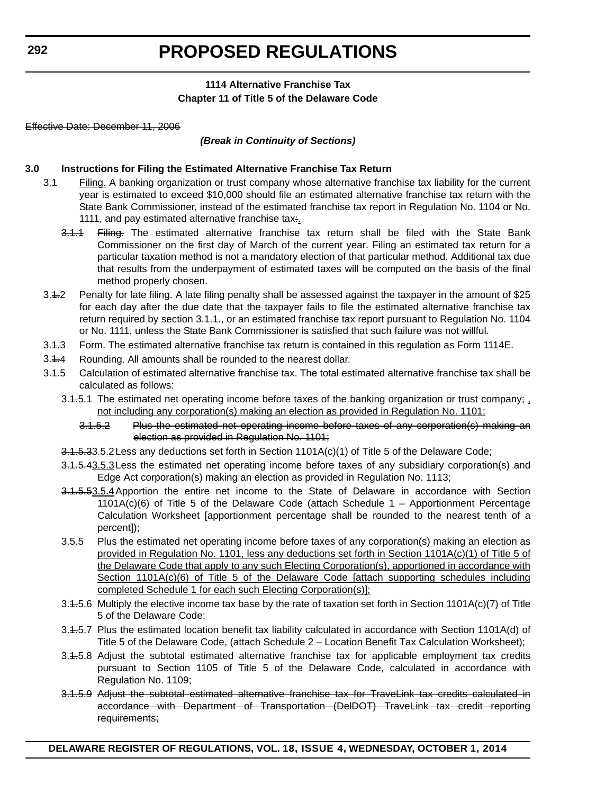## **1114 Alternative Franchise Tax Chapter 11 of Title 5 of the Delaware Code**

Effective Date: December 11, 2006

## *(Break in Continuity of Sections)*

### **3.0 Instructions for Filing the Estimated Alternative Franchise Tax Return**

- 3.1 Filing. A banking organization or trust company whose alternative franchise tax liability for the current year is estimated to exceed \$10,000 should file an estimated alternative franchise tax return with the State Bank Commissioner, instead of the estimated franchise tax report in Regulation No. 1104 or No. 1111, and pay estimated alternative franchise tax.
	- 3.1.1 Filing. The estimated alternative franchise tax return shall be filed with the State Bank Commissioner on the first day of March of the current year. Filing an estimated tax return for a particular taxation method is not a mandatory election of that particular method. Additional tax due that results from the underpayment of estimated taxes will be computed on the basis of the final method properly chosen.
- 3.1.2 Penalty for late filing. A late filing penalty shall be assessed against the taxpayer in the amount of \$25 for each day after the due date that the taxpayer fails to file the estimated alternative franchise tax return required by section 3.1.4., or an estimated franchise tax report pursuant to Regulation No. 1104 or No. 1111, unless the State Bank Commissioner is satisfied that such failure was not willful.
- 3.1.3 Form. The estimated alternative franchise tax return is contained in this regulation as Form 1114E.
- 3.1.4 Rounding. All amounts shall be rounded to the nearest dollar.
- 3.1.5 Calculation of estimated alternative franchise tax. The total estimated alternative franchise tax shall be calculated as follows:
	- 3.4.5.1 The estimated net operating income before taxes of the banking organization or trust company;  $\frac{1}{1}$ not including any corporation(s) making an election as provided in Regulation No. 1101;
		- 3.1.5.2 Plus the estimated net operating income before taxes of any corporation(s) making an election as provided in Regulation No. 1101;
	- 3.1.5.33.5.2 Less any deductions set forth in Section 1101A(c)(1) of Title 5 of the Delaware Code;
	- 3.1.5.43.5.3Less the estimated net operating income before taxes of any subsidiary corporation(s) and Edge Act corporation(s) making an election as provided in Regulation No. 1113;
	- 3.1.5.53.5.4Apportion the entire net income to the State of Delaware in accordance with Section 1101A( $c$ )(6) of Title 5 of the Delaware Code (attach Schedule 1 – Apportionment Percentage Calculation Worksheet [apportionment percentage shall be rounded to the nearest tenth of a percent]);
	- 3.5.5 Plus the estimated net operating income before taxes of any corporation(s) making an election as provided in Regulation No. 1101, less any deductions set forth in Section 1101A(c)(1) of Title 5 of the Delaware Code that apply to any such Electing Corporation(s), apportioned in accordance with Section 1101A(c)(6) of Title 5 of the Delaware Code [attach supporting schedules including completed Schedule 1 for each such Electing Corporation(s)];
	- 3.4.5.6 Multiply the elective income tax base by the rate of taxation set forth in Section 1101A(c)(7) of Title 5 of the Delaware Code;
	- 3.1.5.7 Plus the estimated location benefit tax liability calculated in accordance with Section 1101A(d) of Title 5 of the Delaware Code, (attach Schedule 2 – Location Benefit Tax Calculation Worksheet);
	- 3.1.5.8 Adjust the subtotal estimated alternative franchise tax for applicable employment tax credits pursuant to Section 1105 of Title 5 of the Delaware Code, calculated in accordance with Regulation No. 1109;
	- 3.1.5.9 Adjust the subtotal estimated alternative franchise tax for TraveLink tax credits calculated in accordance with Department of Transportation (DelDOT) TraveLink tax credit reporting requirements;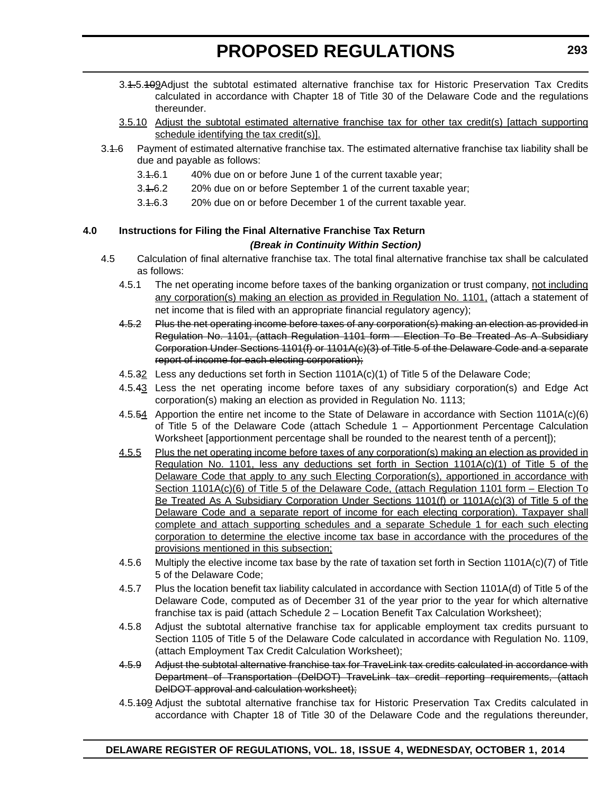- 3.1.5.109Adjust the subtotal estimated alternative franchise tax for Historic Preservation Tax Credits calculated in accordance with Chapter 18 of Title 30 of the Delaware Code and the regulations thereunder.
- 3.5.10 Adjust the subtotal estimated alternative franchise tax for other tax credit(s) [attach supporting schedule identifying the tax credit(s)].
- 3.1.6 Payment of estimated alternative franchise tax. The estimated alternative franchise tax liability shall be due and payable as follows:
	- 3.1.6.1 40% due on or before June 1 of the current taxable year;
	- 3.1.6.2 20% due on or before September 1 of the current taxable year;
	- 3.1.6.3 20% due on or before December 1 of the current taxable year.

#### **4.0 Instructions for Filing the Final Alternative Franchise Tax Return**  *(Break in Continuity Within Section)*

- 4.5 Calculation of final alternative franchise tax. The total final alternative franchise tax shall be calculated as follows:
	- 4.5.1 The net operating income before taxes of the banking organization or trust company, not including any corporation(s) making an election as provided in Regulation No. 1101, (attach a statement of net income that is filed with an appropriate financial regulatory agency);
	- 4.5.2 Plus the net operating income before taxes of any corporation(s) making an election as provided in Regulation No. 1101, (attach Regulation 1101 form – Election To Be Treated As A Subsidiary Corporation Under Sections 1101(f) or 1101A(c)(3) of Title 5 of the Delaware Code and a separate report of income for each electing corporation);
	- 4.5.32 Less any deductions set forth in Section 1101A(c)(1) of Title 5 of the Delaware Code;
	- 4.5.43 Less the net operating income before taxes of any subsidiary corporation(s) and Edge Act corporation(s) making an election as provided in Regulation No. 1113;
	- 4.5.54 Apportion the entire net income to the State of Delaware in accordance with Section 1101A(c)(6) of Title 5 of the Delaware Code (attach Schedule 1 – Apportionment Percentage Calculation Worksheet [apportionment percentage shall be rounded to the nearest tenth of a percent]);
	- 4.5.5 Plus the net operating income before taxes of any corporation(s) making an election as provided in Regulation No. 1101, less any deductions set forth in Section 1101A(c)(1) of Title 5 of the Delaware Code that apply to any such Electing Corporation(s), apportioned in accordance with Section 1101A(c)(6) of Title 5 of the Delaware Code, (attach Regulation 1101 form – Election To Be Treated As A Subsidiary Corporation Under Sections 1101(f) or 1101A(c)(3) of Title 5 of the Delaware Code and a separate report of income for each electing corporation). Taxpayer shall complete and attach supporting schedules and a separate Schedule 1 for each such electing corporation to determine the elective income tax base in accordance with the procedures of the provisions mentioned in this subsection;
	- 4.5.6 Multiply the elective income tax base by the rate of taxation set forth in Section 1101A(c)(7) of Title 5 of the Delaware Code;
	- 4.5.7 Plus the location benefit tax liability calculated in accordance with Section 1101A(d) of Title 5 of the Delaware Code, computed as of December 31 of the year prior to the year for which alternative franchise tax is paid (attach Schedule 2 – Location Benefit Tax Calculation Worksheet);
	- 4.5.8 Adjust the subtotal alternative franchise tax for applicable employment tax credits pursuant to Section 1105 of Title 5 of the Delaware Code calculated in accordance with Regulation No. 1109, (attach Employment Tax Credit Calculation Worksheet);
	- 4.5.9 Adjust the subtotal alternative franchise tax for TraveLink tax credits calculated in accordance with Department of Transportation (DelDOT) TraveLink tax credit reporting requirements, (attach DelDOT approval and calculation worksheet);
	- 4.5.109 Adjust the subtotal alternative franchise tax for Historic Preservation Tax Credits calculated in accordance with Chapter 18 of Title 30 of the Delaware Code and the regulations thereunder,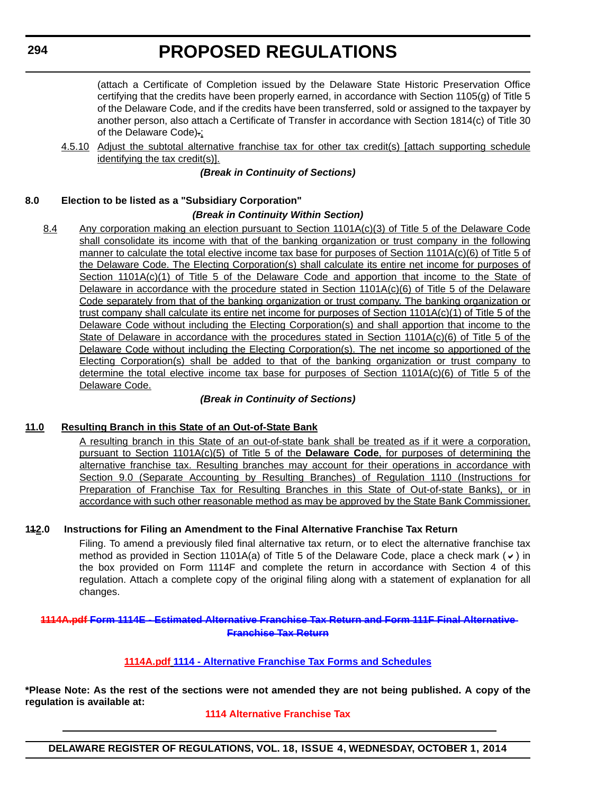(attach a Certificate of Completion issued by the Delaware State Historic Preservation Office certifying that the credits have been properly earned, in accordance with Section 1105(g) of Title 5 of the Delaware Code, and if the credits have been transferred, sold or assigned to the taxpayer by another person, also attach a Certificate of Transfer in accordance with Section 1814(c) of Title 30 of the Delaware Code).;

4.5.10 Adjust the subtotal alternative franchise tax for other tax credit(s) [attach supporting schedule identifying the tax credit(s)].

*(Break in Continuity of Sections)*

## **8.0 Election to be listed as a "Subsidiary Corporation"**

## *(Break in Continuity Within Section)*

8.4 Any corporation making an election pursuant to Section 1101A(c)(3) of Title 5 of the Delaware Code shall consolidate its income with that of the banking organization or trust company in the following manner to calculate the total elective income tax base for purposes of Section 1101A(c)(6) of Title 5 of the Delaware Code. The Electing Corporation(s) shall calculate its entire net income for purposes of Section 1101A(c)(1) of Title 5 of the Delaware Code and apportion that income to the State of Delaware in accordance with the procedure stated in Section 1101A(c)(6) of Title 5 of the Delaware Code separately from that of the banking organization or trust company. The banking organization or trust company shall calculate its entire net income for purposes of Section 1101A(c)(1) of Title 5 of the Delaware Code without including the Electing Corporation(s) and shall apportion that income to the State of Delaware in accordance with the procedures stated in Section 1101A(c)(6) of Title 5 of the Delaware Code without including the Electing Corporation(s). The net income so apportioned of the Electing Corporation(s) shall be added to that of the banking organization or trust company to determine the total elective income tax base for purposes of Section 1101A(c)(6) of Title 5 of the Delaware Code.

## *(Break in Continuity of Sections)*

## **11.0 Resulting Branch in this State of an Out-of-State Bank**

A resulting branch in this State of an out-of-state bank shall be treated as if it were a corporation, pursuant to Section 1101A(c)(5) of Title 5 of the **Delaware Code**, for purposes of determining the alternative franchise tax. Resulting branches may account for their operations in accordance with Section 9.0 (Separate Accounting by Resulting Branches) of Regulation 1110 (Instructions for Preparation of Franchise Tax for Resulting Branches in this State of Out-of-state Banks), or in accordance with such other reasonable method as may be approved by the State Bank Commissioner.

## **112.0 Instructions for Filing an Amendment to the Final Alternative Franchise Tax Return**

Filing. To amend a previously filed final alternative tax return, or to elect the alternative franchise tax method as provided in Section 1101A(a) of Title 5 of the Delaware Code, place a check mark ( $\vee$ ) in the box provided on Form 1114F and complete the return in accordance with Section 4 of this regulation. Attach a complete copy of the original filing along with a statement of explanation for all changes.

## **1114A.pdf Form 1114E - Estimated Alternative Franchise Tax Return and Form 111F Final Alternative Franchise Tax Return**

## **1114A.pdf [1114 - Alternative Franchise Tax Forms and Schedules](http://regulations.delaware.gov/register/october2014/proposed/1114A.pdf)**

**\*Please Note: As the rest of the sections were not amended they are not being published. A copy of the regulation is available at:**

**[1114 Alternative Franchise Tax](http://regulations.delaware.gov/register/october2014/proposed/18 DE Reg 291 10-01-14.htm)**

**DELAWARE REGISTER OF REGULATIONS, VOL. 18, ISSUE 4, WEDNESDAY, OCTOBER 1, 2014**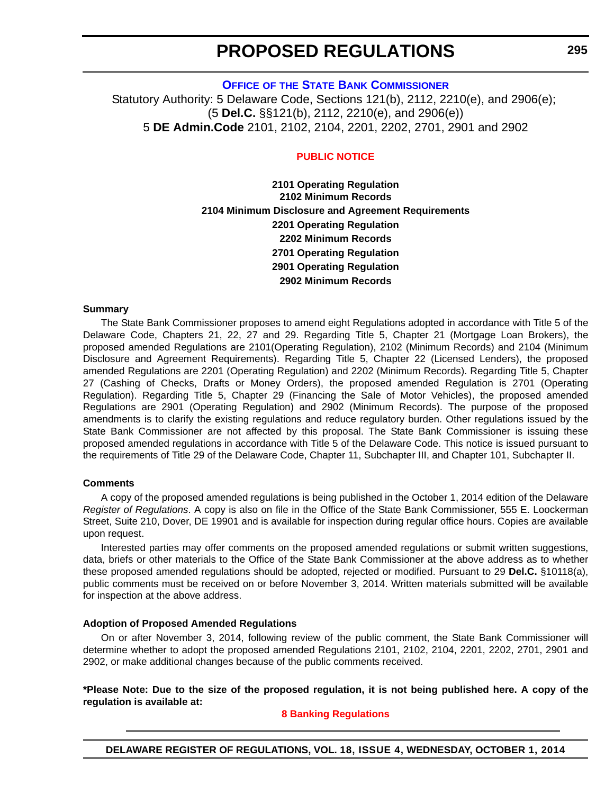**OFFICE OF [THE STATE BANK COMMISSIONER](http://regulations.delaware.gov/register/october2014/proposed/18 DE Reg 291 10-01-14.htm)**

Statutory Authority: 5 Delaware Code, Sections 121(b), 2112, 2210(e), and 2906(e); (5 **Del.C.** §§121(b), 2112, 2210(e), and 2906(e)) 5 **DE Admin.Code** 2101, 2102, 2104, 2201, 2202, 2701, 2901 and 2902

## **[PUBLIC NOTICE](#page-3-0)**

**2101 Operating Regulation 2102 Minimum Records 2104 Minimum Disclosure and Agreement Requirements 2201 Operating Regulation 2202 Minimum Records 2701 Operating Regulation 2901 Operating Regulation 2902 Minimum Records**

#### **Summary**

The State Bank Commissioner proposes to amend eight Regulations adopted in accordance with Title 5 of the Delaware Code, Chapters 21, 22, 27 and 29. Regarding Title 5, Chapter 21 (Mortgage Loan Brokers), the proposed amended Regulations are 2101(Operating Regulation), 2102 (Minimum Records) and 2104 (Minimum Disclosure and Agreement Requirements). Regarding Title 5, Chapter 22 (Licensed Lenders), the proposed amended Regulations are 2201 (Operating Regulation) and 2202 (Minimum Records). Regarding Title 5, Chapter 27 (Cashing of Checks, Drafts or Money Orders), the proposed amended Regulation is 2701 (Operating Regulation). Regarding Title 5, Chapter 29 (Financing the Sale of Motor Vehicles), the proposed amended Regulations are 2901 (Operating Regulation) and 2902 (Minimum Records). The purpose of the proposed amendments is to clarify the existing regulations and reduce regulatory burden. Other regulations issued by the State Bank Commissioner are not affected by this proposal. The State Bank Commissioner is issuing these proposed amended regulations in accordance with Title 5 of the Delaware Code. This notice is issued pursuant to the requirements of Title 29 of the Delaware Code, Chapter 11, Subchapter III, and Chapter 101, Subchapter II.

#### **Comments**

A copy of the proposed amended regulations is being published in the October 1, 2014 edition of the Delaware *Register of Regulations*. A copy is also on file in the Office of the State Bank Commissioner, 555 E. Loockerman Street, Suite 210, Dover, DE 19901 and is available for inspection during regular office hours. Copies are available upon request.

Interested parties may offer comments on the proposed amended regulations or submit written suggestions, data, briefs or other materials to the Office of the State Bank Commissioner at the above address as to whether these proposed amended regulations should be adopted, rejected or modified. Pursuant to 29 **Del.C.** §10118(a), public comments must be received on or before November 3, 2014. Written materials submitted will be available for inspection at the above address.

### **Adoption of Proposed Amended Regulations**

On or after November 3, 2014, following review of the public comment, the State Bank Commissioner will determine whether to adopt the proposed amended Regulations 2101, 2102, 2104, 2201, 2202, 2701, 2901 and 2902, or make additional changes because of the public comments received.

**\*Please Note: Due to the size of the proposed regulation, it is not being published here. A copy of the regulation is available at:**

### **[8 Banking Regulations](http://regulations.delaware.gov/register/october2014/proposed/18 DE Reg 295 10-01-14.htm)**

**DELAWARE REGISTER OF REGULATIONS, VOL. 18, ISSUE 4, WEDNESDAY, OCTOBER 1, 2014**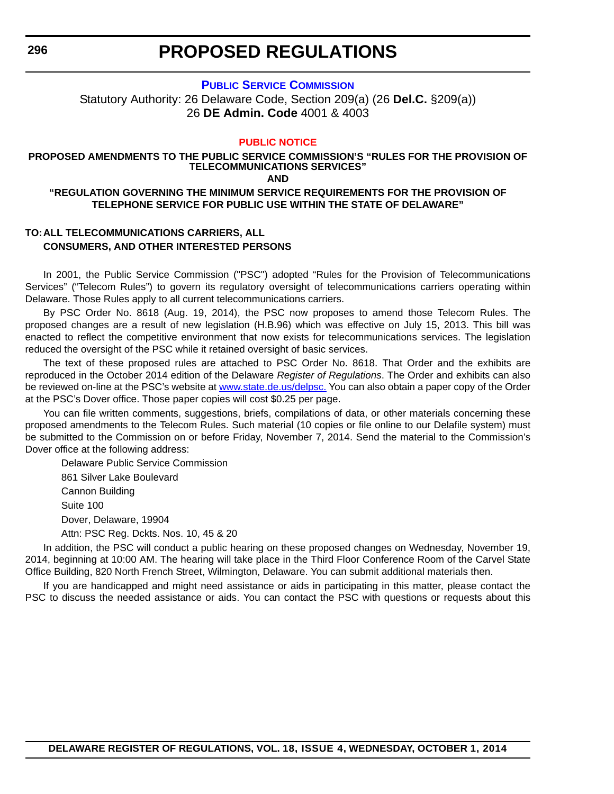Statutory Authority: 26 Delaware Code, Section 209(a) (26 **Del.C.** §209(a)) 26 **DE Admin. Code** 4001 & 4003

#### **[PUBLIC NOTICE](#page-3-0)**

**PROPOSED AMENDMENTS TO THE PUBLIC SERVICE COMMISSION'S "RULES FOR THE PROVISION OF TELECOMMUNICATIONS SERVICES" AND "REGULATION GOVERNING THE MINIMUM SERVICE REQUIREMENTS FOR THE PROVISION OF** 

# **TELEPHONE SERVICE FOR PUBLIC USE WITHIN THE STATE OF DELAWARE"**

## **TO:ALL TELECOMMUNICATIONS CARRIERS, ALL CONSUMERS, AND OTHER INTERESTED PERSONS**

In 2001, the Public Service Commission ("PSC") adopted "Rules for the Provision of Telecommunications Services" ("Telecom Rules") to govern its regulatory oversight of telecommunications carriers operating within Delaware. Those Rules apply to all current telecommunications carriers.

By PSC Order No. 8618 (Aug. 19, 2014), the PSC now proposes to amend those Telecom Rules. The proposed changes are a result of new legislation (H.B.96) which was effective on July 15, 2013. This bill was enacted to reflect the competitive environment that now exists for telecommunications services. The legislation reduced the oversight of the PSC while it retained oversight of basic services.

The text of these proposed rules are attached to PSC Order No. 8618. That Order and the exhibits are reproduced in the October 2014 edition of the Delaware *Register of Regulations*. The Order and exhibits can also be reviewed on-line at the PSC's website at [www.state.de.us/delpsc.](http://www.state.de.us/delpsc,) You can also obtain a paper copy of the Order at the PSC's Dover office. Those paper copies will cost \$0.25 per page.

You can file written comments, suggestions, briefs, compilations of data, or other materials concerning these proposed amendments to the Telecom Rules. Such material (10 copies or file online to our Delafile system) must be submitted to the Commission on or before Friday, November 7, 2014. Send the material to the Commission's Dover office at the following address:

Delaware Public Service Commission 861 Silver Lake Boulevard Cannon Building Suite 100 Dover, Delaware, 19904 Attn: PSC Reg. Dckts. Nos. 10, 45 & 20

In addition, the PSC will conduct a public hearing on these proposed changes on Wednesday, November 19, 2014, beginning at 10:00 AM. The hearing will take place in the Third Floor Conference Room of the Carvel State Office Building, 820 North French Street, Wilmington, Delaware. You can submit additional materials then.

If you are handicapped and might need assistance or aids in participating in this matter, please contact the PSC to discuss the needed assistance or aids. You can contact the PSC with questions or requests about this

**DELAWARE REGISTER OF REGULATIONS, VOL. 18, ISSUE 4, WEDNESDAY, OCTOBER 1, 2014**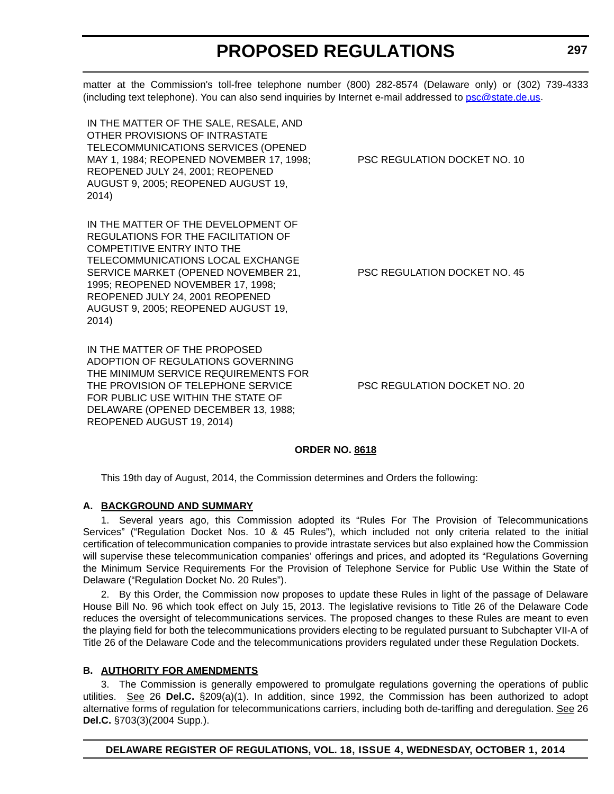matter at the Commission's toll-free telephone number (800) 282-8574 (Delaware only) or (302) 739-4333 (including text telephone). You can also send inquiries by Internet e-mail addressed to [psc@state.de.us](mailto:psc@state.de.us).

IN THE MATTER OF THE SALE, RESALE, AND OTHER PROVISIONS OF INTRASTATE TELECOMMUNICATIONS SERVICES (OPENED MAY 1, 1984; REOPENED NOVEMBER 17, 1998; REOPENED JULY 24, 2001; REOPENED AUGUST 9, 2005; REOPENED AUGUST 19, 2014)

IN THE MATTER OF THE DEVELOPMENT OF REGULATIONS FOR THE FACILITATION OF COMPETITIVE ENTRY INTO THE TELECOMMUNICATIONS LOCAL EXCHANGE SERVICE MARKET (OPENED NOVEMBER 21, 1995; REOPENED NOVEMBER 17, 1998; REOPENED JULY 24, 2001 REOPENED AUGUST 9, 2005; REOPENED AUGUST 19, 2014)

IN THE MATTER OF THE PROPOSED ADOPTION OF REGULATIONS GOVERNING THE MINIMUM SERVICE REQUIREMENTS FOR THE PROVISION OF TELEPHONE SERVICE FOR PUBLIC USE WITHIN THE STATE OF DELAWARE (OPENED DECEMBER 13, 1988; REOPENED AUGUST 19, 2014)

PSC REGULATION DOCKET NO. 10

PSC REGULATION DOCKET NO. 45

PSC REGULATION DOCKET NO. 20

#### **ORDER NO. 8618**

This 19th day of August, 2014, the Commission determines and Orders the following:

#### **A. BACKGROUND AND SUMMARY**

1. Several years ago, this Commission adopted its "Rules For The Provision of Telecommunications Services" ("Regulation Docket Nos. 10 & 45 Rules"), which included not only criteria related to the initial certification of telecommunication companies to provide intrastate services but also explained how the Commission will supervise these telecommunication companies' offerings and prices, and adopted its "Regulations Governing the Minimum Service Requirements For the Provision of Telephone Service for Public Use Within the State of Delaware ("Regulation Docket No. 20 Rules").

2. By this Order, the Commission now proposes to update these Rules in light of the passage of Delaware House Bill No. 96 which took effect on July 15, 2013. The legislative revisions to Title 26 of the Delaware Code reduces the oversight of telecommunications services. The proposed changes to these Rules are meant to even the playing field for both the telecommunications providers electing to be regulated pursuant to Subchapter VII-A of Title 26 of the Delaware Code and the telecommunications providers regulated under these Regulation Dockets.

#### **B. AUTHORITY FOR AMENDMENTS**

3. The Commission is generally empowered to promulgate regulations governing the operations of public utilities. See 26 **Del.C.** §209(a)(1). In addition, since 1992, the Commission has been authorized to adopt alternative forms of regulation for telecommunications carriers, including both de-tariffing and deregulation. See 26 **Del.C.** §703(3)(2004 Supp.).

### **DELAWARE REGISTER OF REGULATIONS, VOL. 18, ISSUE 4, WEDNESDAY, OCTOBER 1, 2014**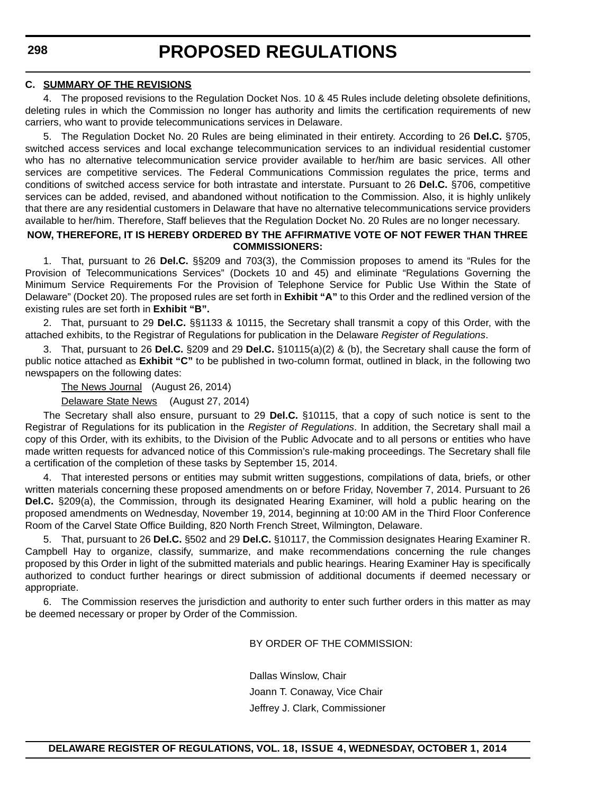#### **C. SUMMARY OF THE REVISIONS**

4. The proposed revisions to the Regulation Docket Nos. 10 & 45 Rules include deleting obsolete definitions, deleting rules in which the Commission no longer has authority and limits the certification requirements of new carriers, who want to provide telecommunications services in Delaware.

5. The Regulation Docket No. 20 Rules are being eliminated in their entirety. According to 26 **Del.C.** §705, switched access services and local exchange telecommunication services to an individual residential customer who has no alternative telecommunication service provider available to her/him are basic services. All other services are competitive services. The Federal Communications Commission regulates the price, terms and conditions of switched access service for both intrastate and interstate. Pursuant to 26 **Del.C.** §706, competitive services can be added, revised, and abandoned without notification to the Commission. Also, it is highly unlikely that there are any residential customers in Delaware that have no alternative telecommunications service providers available to her/him. Therefore, Staff believes that the Regulation Docket No. 20 Rules are no longer necessary.

## **NOW, THEREFORE, IT IS HEREBY ORDERED BY THE AFFIRMATIVE VOTE OF NOT FEWER THAN THREE COMMISSIONERS:**

1. That, pursuant to 26 **Del.C.** §§209 and 703(3), the Commission proposes to amend its "Rules for the Provision of Telecommunications Services" (Dockets 10 and 45) and eliminate "Regulations Governing the Minimum Service Requirements For the Provision of Telephone Service for Public Use Within the State of Delaware" (Docket 20). The proposed rules are set forth in **Exhibit "A"** to this Order and the redlined version of the existing rules are set forth in **Exhibit "B".**

2. That, pursuant to 29 **Del.C.** §§1133 & 10115, the Secretary shall transmit a copy of this Order, with the attached exhibits, to the Registrar of Regulations for publication in the Delaware *Register of Regulations*.

3. That, pursuant to 26 **Del.C.** §209 and 29 **Del.C.** §10115(a)(2) & (b), the Secretary shall cause the form of public notice attached as **Exhibit "C"** to be published in two-column format, outlined in black, in the following two newspapers on the following dates:

The News Journal (August 26, 2014)

Delaware State News (August 27, 2014)

The Secretary shall also ensure, pursuant to 29 **Del.C.** §10115, that a copy of such notice is sent to the Registrar of Regulations for its publication in the *Register of Regulations*. In addition, the Secretary shall mail a copy of this Order, with its exhibits, to the Division of the Public Advocate and to all persons or entities who have made written requests for advanced notice of this Commission's rule-making proceedings. The Secretary shall file a certification of the completion of these tasks by September 15, 2014.

4. That interested persons or entities may submit written suggestions, compilations of data, briefs, or other written materials concerning these proposed amendments on or before Friday, November 7, 2014. Pursuant to 26 **Del.C.** §209(a), the Commission, through its designated Hearing Examiner, will hold a public hearing on the proposed amendments on Wednesday, November 19, 2014, beginning at 10:00 AM in the Third Floor Conference Room of the Carvel State Office Building, 820 North French Street, Wilmington, Delaware.

5. That, pursuant to 26 **Del.C.** §502 and 29 **Del.C.** §10117, the Commission designates Hearing Examiner R. Campbell Hay to organize, classify, summarize, and make recommendations concerning the rule changes proposed by this Order in light of the submitted materials and public hearings. Hearing Examiner Hay is specifically authorized to conduct further hearings or direct submission of additional documents if deemed necessary or appropriate.

6. The Commission reserves the jurisdiction and authority to enter such further orders in this matter as may be deemed necessary or proper by Order of the Commission.

BY ORDER OF THE COMMISSION:

Dallas Winslow, Chair Joann T. Conaway, Vice Chair Jeffrey J. Clark, Commissioner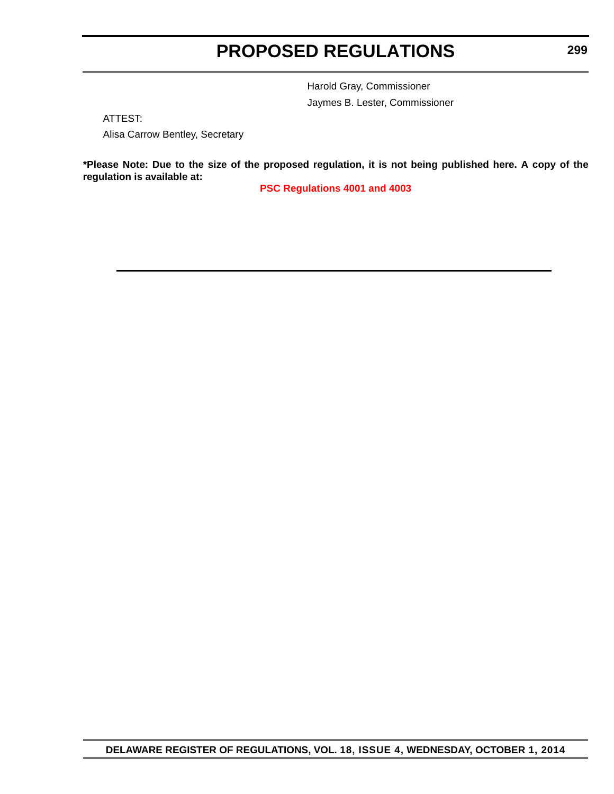Harold Gray, Commissioner Jaymes B. Lester, Commissioner

ATTEST:

Alisa Carrow Bentley, Secretary

**\*Please Note: Due to the size of the proposed regulation, it is not being published here. A copy of the regulation is available at:**

**[PSC Regulations 4001 and 4003](http://regulations.delaware.gov/register/october2014/proposed/18 DE Reg 296 10-01-14.htm)**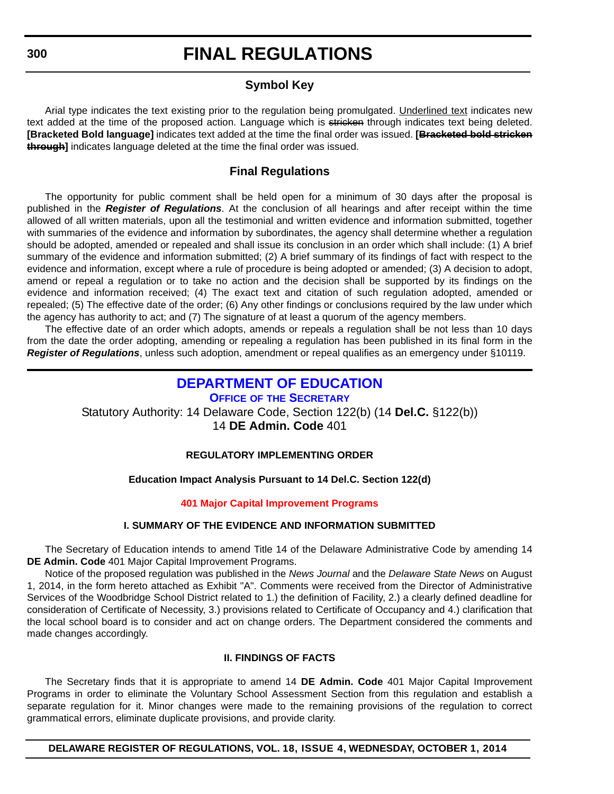## **Symbol Key**

Arial type indicates the text existing prior to the regulation being promulgated. Underlined text indicates new text added at the time of the proposed action. Language which is stricken through indicates text being deleted. **[Bracketed Bold language]** indicates text added at the time the final order was issued. **[Bracketed bold stricken through]** indicates language deleted at the time the final order was issued.

## **Final Regulations**

The opportunity for public comment shall be held open for a minimum of 30 days after the proposal is published in the *Register of Regulations*. At the conclusion of all hearings and after receipt within the time allowed of all written materials, upon all the testimonial and written evidence and information submitted, together with summaries of the evidence and information by subordinates, the agency shall determine whether a regulation should be adopted, amended or repealed and shall issue its conclusion in an order which shall include: (1) A brief summary of the evidence and information submitted; (2) A brief summary of its findings of fact with respect to the evidence and information, except where a rule of procedure is being adopted or amended; (3) A decision to adopt, amend or repeal a regulation or to take no action and the decision shall be supported by its findings on the evidence and information received; (4) The exact text and citation of such regulation adopted, amended or repealed; (5) The effective date of the order; (6) Any other findings or conclusions required by the law under which the agency has authority to act; and (7) The signature of at least a quorum of the agency members.

The effective date of an order which adopts, amends or repeals a regulation shall be not less than 10 days from the date the order adopting, amending or repealing a regulation has been published in its final form in the *Register of Regulations*, unless such adoption, amendment or repeal qualifies as an emergency under §10119.

## **[DEPARTMENT OF EDUCATION](http://www.doe.k12.de.us/)**

**OFFICE OF THE SECRETARY**

Statutory Authority: 14 Delaware Code, Section 122(b) (14 **Del.C.** §122(b))

14 **DE Admin. Code** 401

## **REGULATORY IMPLEMENTING ORDER**

## **Education Impact Analysis Pursuant to 14 Del.C. Section 122(d)**

### **[401 Major Capital Improvement Programs](#page-3-0)**

## **I. SUMMARY OF THE EVIDENCE AND INFORMATION SUBMITTED**

The Secretary of Education intends to amend Title 14 of the Delaware Administrative Code by amending 14 **DE Admin. Code** 401 Major Capital Improvement Programs.

Notice of the proposed regulation was published in the *News Journal* and the *Delaware State News* on August 1, 2014, in the form hereto attached as Exhibit "A". Comments were received from the Director of Administrative Services of the Woodbridge School District related to 1.) the definition of Facility, 2.) a clearly defined deadline for consideration of Certificate of Necessity, 3.) provisions related to Certificate of Occupancy and 4.) clarification that the local school board is to consider and act on change orders. The Department considered the comments and made changes accordingly.

### **II. FINDINGS OF FACTS**

The Secretary finds that it is appropriate to amend 14 **DE Admin. Code** 401 Major Capital Improvement Programs in order to eliminate the Voluntary School Assessment Section from this regulation and establish a separate regulation for it. Minor changes were made to the remaining provisions of the regulation to correct grammatical errors, eliminate duplicate provisions, and provide clarity.

**DELAWARE REGISTER OF REGULATIONS, VOL. 18, ISSUE 4, WEDNESDAY, OCTOBER 1, 2014**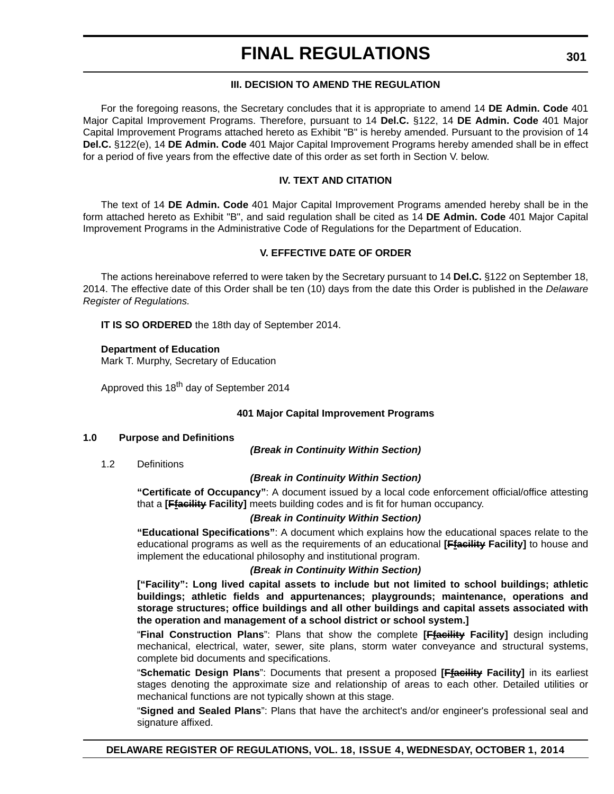## **III. DECISION TO AMEND THE REGULATION**

For the foregoing reasons, the Secretary concludes that it is appropriate to amend 14 **DE Admin. Code** 401 Major Capital Improvement Programs. Therefore, pursuant to 14 **Del.C.** §122, 14 **DE Admin. Code** 401 Major Capital Improvement Programs attached hereto as Exhibit "B" is hereby amended. Pursuant to the provision of 14 **Del.C.** §122(e), 14 **DE Admin. Code** 401 Major Capital Improvement Programs hereby amended shall be in effect for a period of five years from the effective date of this order as set forth in Section V. below.

#### **IV. TEXT AND CITATION**

The text of 14 **DE Admin. Code** 401 Major Capital Improvement Programs amended hereby shall be in the form attached hereto as Exhibit "B", and said regulation shall be cited as 14 **DE Admin. Code** 401 Major Capital Improvement Programs in the Administrative Code of Regulations for the Department of Education.

#### **V. EFFECTIVE DATE OF ORDER**

The actions hereinabove referred to were taken by the Secretary pursuant to 14 **Del.C.** §122 on September 18, 2014. The effective date of this Order shall be ten (10) days from the date this Order is published in the *Delaware Register of Regulations.*

**IT IS SO ORDERED** the 18th day of September 2014.

#### **Department of Education**

Mark T. Murphy, Secretary of Education

Approved this 18<sup>th</sup> day of September 2014

#### **401 Major Capital Improvement Programs**

#### **1.0 Purpose and Definitions**

*(Break in Continuity Within Section)*

1.2 Definitions

#### *(Break in Continuity Within Section)*

**"Certificate of Occupancy"**: A document issued by a local code enforcement official/office attesting that a **[Ffacility Facility]** meets building codes and is fit for human occupancy.

#### *(Break in Continuity Within Section)*

**"Educational Specifications"**: A document which explains how the educational spaces relate to the educational programs as well as the requirements of an educational **[Ffacility Facility]** to house and implement the educational philosophy and institutional program.

#### *(Break in Continuity Within Section)*

**["Facility": Long lived capital assets to include but not limited to school buildings; athletic buildings; athletic fields and appurtenances; playgrounds; maintenance, operations and storage structures; office buildings and all other buildings and capital assets associated with the operation and management of a school district or school system.]**

"**Final Construction Plans**": Plans that show the complete **[Ffacility Facility]** design including mechanical, electrical, water, sewer, site plans, storm water conveyance and structural systems, complete bid documents and specifications.

"**Schematic Design Plans**": Documents that present a proposed **[Ffacility Facility]** in its earliest stages denoting the approximate size and relationship of areas to each other. Detailed utilities or mechanical functions are not typically shown at this stage.

"**Signed and Sealed Plans**": Plans that have the architect's and/or engineer's professional seal and signature affixed.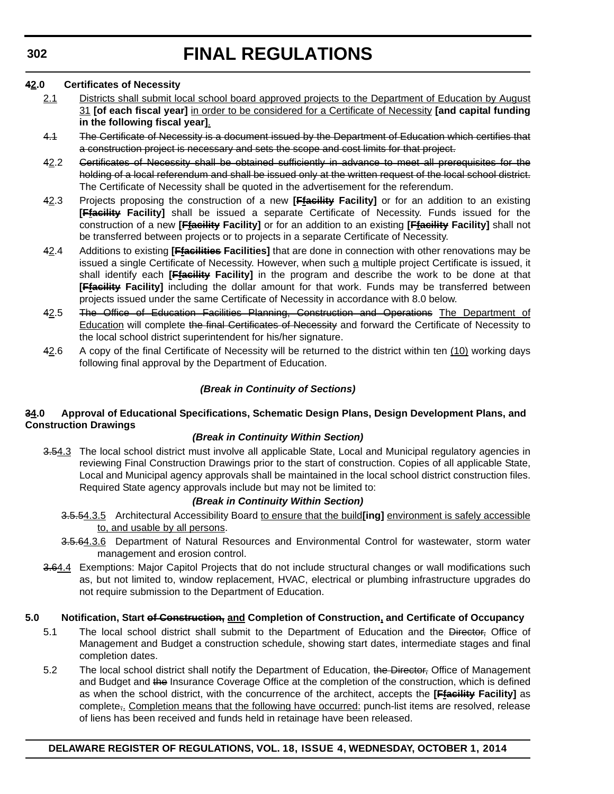## **42.0 Certificates of Necessity**

- 2.1 Districts shall submit local school board approved projects to the Department of Education by August 31 **[of each fiscal year]** in order to be considered for a Certificate of Necessity **[and capital funding in the following fiscal year]**.
- 4.1 The Certificate of Necessity is a document issued by the Department of Education which certifies that a construction project is necessary and sets the scope and cost limits for that project.
- 42.2 Gertificates of Necessity shall be obtained sufficiently in advance to meet all prerequisites for the holding of a local referendum and shall be issued only at the written request of the local school district. The Certificate of Necessity shall be quoted in the advertisement for the referendum.
- 42.3 Projects proposing the construction of a new **[Ffacility Facility]** or for an addition to an existing **[Ffacility Facility]** shall be issued a separate Certificate of Necessity. Funds issued for the construction of a new **[Ffacility Facility]** or for an addition to an existing **[Ffacility Facility]** shall not be transferred between projects or to projects in a separate Certificate of Necessity.
- 42.4 Additions to existing **[Ffacilities Facilities]** that are done in connection with other renovations may be issued a single Certificate of Necessity. However, when such a multiple project Certificate is issued, it shall identify each **[Ffacility Facility]** in the program and describe the work to be done at that **[Ffacility Facility]** including the dollar amount for that work. Funds may be transferred between projects issued under the same Certificate of Necessity in accordance with 8.0 below.
- 42.5 The Office of Education Facilities Planning, Construction and Operations The Department of Education will complete the final Certificates of Necessity and forward the Certificate of Necessity to the local school district superintendent for his/her signature.
- 42.6 A copy of the final Certificate of Necessity will be returned to the district within ten (10) working days following final approval by the Department of Education.

## *(Break in Continuity of Sections)*

### **34.0 Approval of Educational Specifications, Schematic Design Plans, Design Development Plans, and Construction Drawings**

### *(Break in Continuity Within Section)*

3.54.3 The local school district must involve all applicable State, Local and Municipal regulatory agencies in reviewing Final Construction Drawings prior to the start of construction. Copies of all applicable State, Local and Municipal agency approvals shall be maintained in the local school district construction files. Required State agency approvals include but may not be limited to:

### *(Break in Continuity Within Section)*

- 3.5.54.3.5 Architectural Accessibility Board to ensure that the build**[ing]** environment is safely accessible to, and usable by all persons.
- 3.5.64.3.6 Department of Natural Resources and Environmental Control for wastewater, storm water management and erosion control.
- 3.64.4 Exemptions: Major Capitol Projects that do not include structural changes or wall modifications such as, but not limited to, window replacement, HVAC, electrical or plumbing infrastructure upgrades do not require submission to the Department of Education.

#### **5.0 Notification, Start of Construction, and Completion of Construction, and Certificate of Occupancy**

- 5.1 The local school district shall submit to the Department of Education and the Director, Office of Management and Budget a construction schedule, showing start dates, intermediate stages and final completion dates.
- 5.2 The local school district shall notify the Department of Education, the Director, Office of Management and Budget and the Insurance Coverage Office at the completion of the construction, which is defined as when the school district, with the concurrence of the architect, accepts the **[Ffacility Facility]** as complete<sub>7</sub>. Completion means that the following have occurred: punch-list items are resolved, release of liens has been received and funds held in retainage have been released.

## **DELAWARE REGISTER OF REGULATIONS, VOL. 18, ISSUE 4, WEDNESDAY, OCTOBER 1, 2014**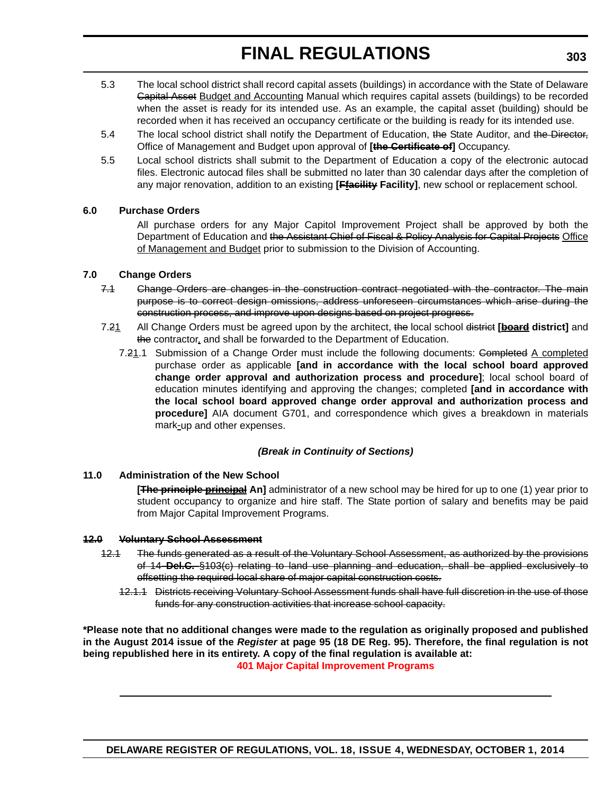- 5.3 The local school district shall record capital assets (buildings) in accordance with the State of Delaware Capital Asset Budget and Accounting Manual which requires capital assets (buildings) to be recorded when the asset is ready for its intended use. As an example, the capital asset (building) should be recorded when it has received an occupancy certificate or the building is ready for its intended use.
- 5.4 The local school district shall notify the Department of Education, the State Auditor, and the Director, Office of Management and Budget upon approval of **[the Certificate of]** Occupancy.
- 5.5 Local school districts shall submit to the Department of Education a copy of the electronic autocad files. Electronic autocad files shall be submitted no later than 30 calendar days after the completion of any major renovation, addition to an existing **[Ffacility Facility]**, new school or replacement school.

### **6.0 Purchase Orders**

All purchase orders for any Major Capitol Improvement Project shall be approved by both the Department of Education and the Assistant Chief of Fiscal & Policy Analysis for Capital Projects Office of Management and Budget prior to submission to the Division of Accounting.

#### **7.0 Change Orders**

- 7.1 Change Orders are changes in the construction contract negotiated with the contractor. The main purpose is to correct design omissions, address unforeseen circumstances which arise during the construction process, and improve upon designs based on project progress.
- 7.21 All Change Orders must be agreed upon by the architect, the local school district [beard district] and the contractor, and shall be forwarded to the Department of Education.
	- 7.21.1 Submission of a Change Order must include the following documents: Completed A completed purchase order as applicable **[and in accordance with the local school board approved change order approval and authorization process and procedure]**; local school board of education minutes identifying and approving the changes; completed **[and in accordance with the local school board approved change order approval and authorization process and procedure]** AIA document G701, and correspondence which gives a breakdown in materials mark-up and other expenses.

### *(Break in Continuity of Sections)*

### **11.0 Administration of the New School**

**[The principle principal An]** administrator of a new school may be hired for up to one (1) year prior to student occupancy to organize and hire staff. The State portion of salary and benefits may be paid from Major Capital Improvement Programs.

#### **12.0 Voluntary School Assessment**

- 12.1 The funds generated as a result of the Voluntary School Assessment, as authorized by the provisions of 14 **Del.C.** §103(c) relating to land use planning and education, shall be applied exclusively to offsetting the required local share of major capital construction costs.
	- 12.1.1 Districts receiving Voluntary School Assessment funds shall have full discretion in the use of those funds for any construction activities that increase school capacity.

**\*Please note that no additional changes were made to the regulation as originally proposed and published in the August 2014 issue of the** *Register* **at page 95 (18 DE Reg. 95). Therefore, the final regulation is not being republished here in its entirety. A copy of the final regulation is available at: [401 Major Capital Improvement Programs](http://regulations.delaware.gov/register/october2014/final/18 DE Reg 300 10-01-14.htm)**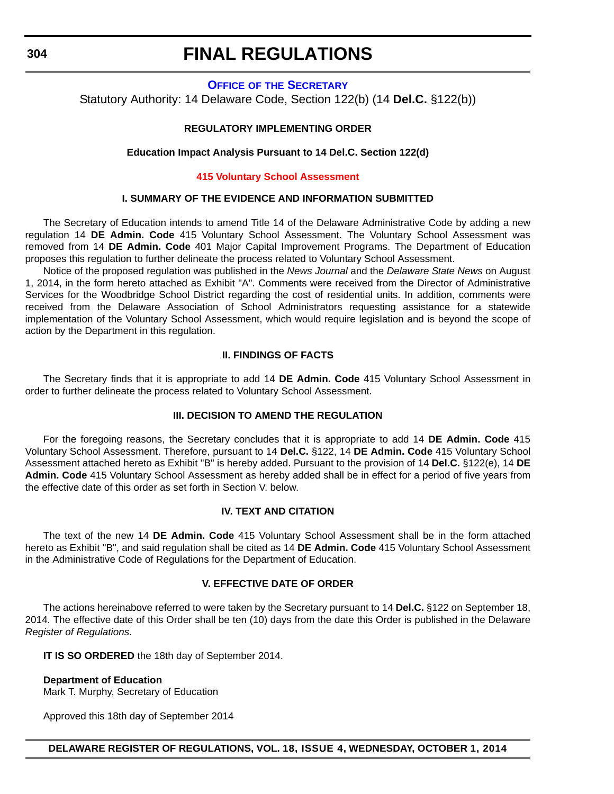#### **OFFICE OF [THE SECRETARY](http://www.doe.k12.de.us/)**

Statutory Authority: 14 Delaware Code, Section 122(b) (14 **Del.C.** §122(b))

#### **REGULATORY IMPLEMENTING ORDER**

#### **Education Impact Analysis Pursuant to 14 Del.C. Section 122(d)**

#### **[415 Voluntary School Assessment](#page-3-0)**

#### **I. SUMMARY OF THE EVIDENCE AND INFORMATION SUBMITTED**

The Secretary of Education intends to amend Title 14 of the Delaware Administrative Code by adding a new regulation 14 **DE Admin. Code** 415 Voluntary School Assessment. The Voluntary School Assessment was removed from 14 **DE Admin. Code** 401 Major Capital Improvement Programs. The Department of Education proposes this regulation to further delineate the process related to Voluntary School Assessment.

Notice of the proposed regulation was published in the *News Journal* and the *Delaware State News* on August 1, 2014, in the form hereto attached as Exhibit "A". Comments were received from the Director of Administrative Services for the Woodbridge School District regarding the cost of residential units. In addition, comments were received from the Delaware Association of School Administrators requesting assistance for a statewide implementation of the Voluntary School Assessment, which would require legislation and is beyond the scope of action by the Department in this regulation.

#### **II. FINDINGS OF FACTS**

The Secretary finds that it is appropriate to add 14 **DE Admin. Code** 415 Voluntary School Assessment in order to further delineate the process related to Voluntary School Assessment.

#### **III. DECISION TO AMEND THE REGULATION**

For the foregoing reasons, the Secretary concludes that it is appropriate to add 14 **DE Admin. Code** 415 Voluntary School Assessment. Therefore, pursuant to 14 **Del.C.** §122, 14 **DE Admin. Code** 415 Voluntary School Assessment attached hereto as Exhibit "B" is hereby added. Pursuant to the provision of 14 **Del.C.** §122(e), 14 **DE Admin. Code** 415 Voluntary School Assessment as hereby added shall be in effect for a period of five years from the effective date of this order as set forth in Section V. below.

#### **IV. TEXT AND CITATION**

The text of the new 14 **DE Admin. Code** 415 Voluntary School Assessment shall be in the form attached hereto as Exhibit "B", and said regulation shall be cited as 14 **DE Admin. Code** 415 Voluntary School Assessment in the Administrative Code of Regulations for the Department of Education.

#### **V. EFFECTIVE DATE OF ORDER**

The actions hereinabove referred to were taken by the Secretary pursuant to 14 **Del.C.** §122 on September 18, 2014. The effective date of this Order shall be ten (10) days from the date this Order is published in the Delaware *Register of Regulations*.

**IT IS SO ORDERED** the 18th day of September 2014.

#### **Department of Education**

Mark T. Murphy, Secretary of Education

Approved this 18th day of September 2014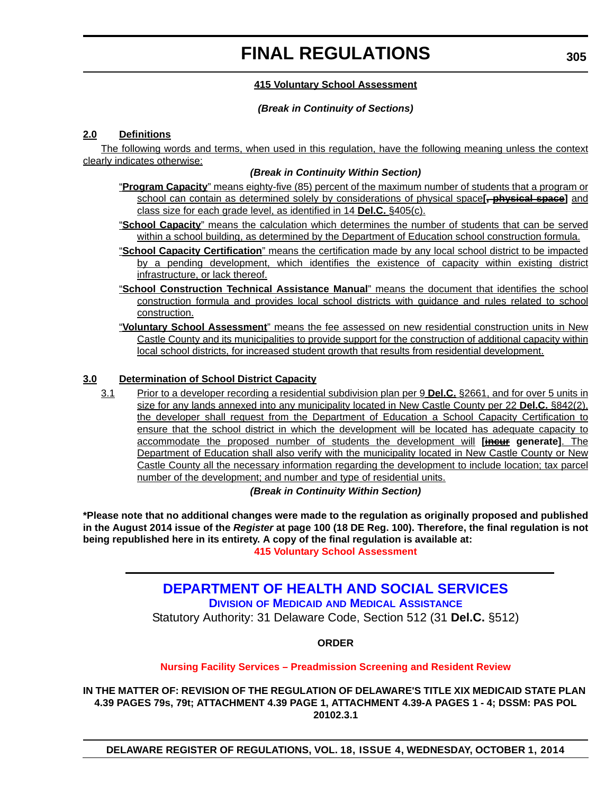## **415 Voluntary School Assessment**

#### *(Break in Continuity of Sections)*

## **2.0 Definitions**

The following words and terms, when used in this regulation, have the following meaning unless the context clearly indicates otherwise:

#### *(Break in Continuity Within Section)*

- "**Program Capacity**" means eighty-five (85) percent of the maximum number of students that a program or school can contain as determined solely by considerations of physical space**[, physical space]** and class size for each grade level, as identified in 14 **Del.C.** §405(c).
- "**School Capacity**" means the calculation which determines the number of students that can be served within a school building, as determined by the Department of Education school construction formula.
- "**School Capacity Certification**" means the certification made by any local school district to be impacted by a pending development, which identifies the existence of capacity within existing district infrastructure, or lack thereof.
- "**School Construction Technical Assistance Manual**" means the document that identifies the school construction formula and provides local school districts with guidance and rules related to school construction.
- "**Voluntary School Assessment**" means the fee assessed on new residential construction units in New Castle County and its municipalities to provide support for the construction of additional capacity within local school districts, for increased student growth that results from residential development.

## **3.0 Determination of School District Capacity**

3.1 Prior to a developer recording a residential subdivision plan per 9 **Del.C.** §2661, and for over 5 units in size for any lands annexed into any municipality located in New Castle County per 22 **Del.C.** §842(2), the developer shall request from the Department of Education a School Capacity Certification to ensure that the school district in which the development will be located has adequate capacity to accommodate the proposed number of students the development will **[incur generate]**. The Department of Education shall also verify with the municipality located in New Castle County or New Castle County all the necessary information regarding the development to include location; tax parcel number of the development; and number and type of residential units.

### *(Break in Continuity Within Section)*

**\*Please note that no additional changes were made to the regulation as originally proposed and published in the August 2014 issue of the** *Register* **at page 100 (18 DE Reg. 100). Therefore, the final regulation is not being republished here in its entirety. A copy of the final regulation is available at: [415 Voluntary School Assessment](http://regulations.delaware.gov/register/october2014/final/18 DE Reg 304 10-01-14.htm)**

> **[DEPARTMENT OF HEALTH AND SOCIAL SERVICES](http://www.dhss.delaware.gov/dhss/dmma/) DIVISION OF MEDICAID AND MEDICAL ASSISTANCE** Statutory Authority: 31 Delaware Code, Section 512 (31 **Del.C.** §512)

> > **ORDER**

### **[Nursing Facility Services – Preadmission Screening and Resident Review](#page-4-0)**

**IN THE MATTER OF: REVISION OF THE REGULATION OF DELAWARE'S TITLE XIX MEDICAID STATE PLAN 4.39 PAGES 79s, 79t; ATTACHMENT 4.39 PAGE 1, ATTACHMENT 4.39-A PAGES 1 - 4; DSSM: PAS POL 20102.3.1**

**DELAWARE REGISTER OF REGULATIONS, VOL. 18, ISSUE 4, WEDNESDAY, OCTOBER 1, 2014**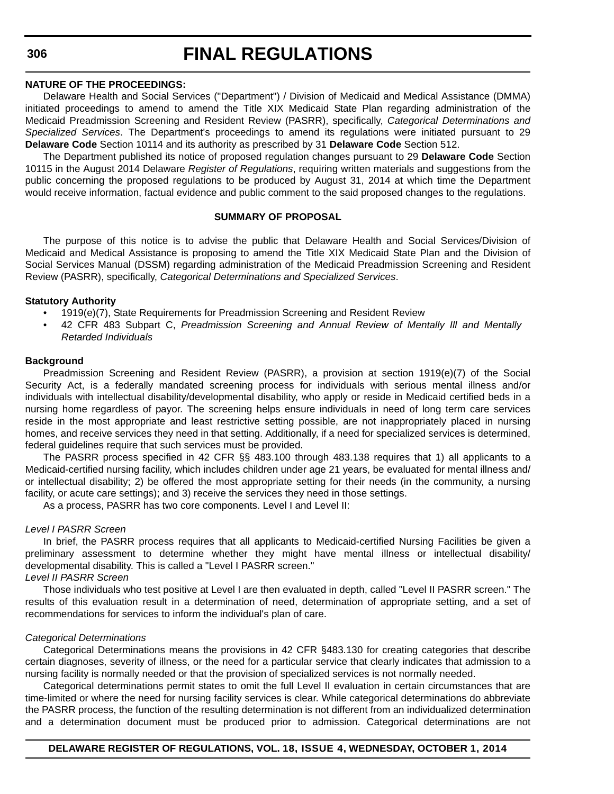#### **306**

## **FINAL REGULATIONS**

#### **NATURE OF THE PROCEEDINGS:**

Delaware Health and Social Services ("Department") / Division of Medicaid and Medical Assistance (DMMA) initiated proceedings to amend to amend the Title XIX Medicaid State Plan regarding administration of the Medicaid Preadmission Screening and Resident Review (PASRR), specifically, *Categorical Determinations and Specialized Services*. The Department's proceedings to amend its regulations were initiated pursuant to 29 **Delaware Code** Section 10114 and its authority as prescribed by 31 **Delaware Code** Section 512.

The Department published its notice of proposed regulation changes pursuant to 29 **Delaware Code** Section 10115 in the August 2014 Delaware *Register of Regulations*, requiring written materials and suggestions from the public concerning the proposed regulations to be produced by August 31, 2014 at which time the Department would receive information, factual evidence and public comment to the said proposed changes to the regulations.

#### **SUMMARY OF PROPOSAL**

The purpose of this notice is to advise the public that Delaware Health and Social Services/Division of Medicaid and Medical Assistance is proposing to amend the Title XIX Medicaid State Plan and the Division of Social Services Manual (DSSM) regarding administration of the Medicaid Preadmission Screening and Resident Review (PASRR), specifically, *Categorical Determinations and Specialized Services*.

#### **Statutory Authority**

- 1919(e)(7), State Requirements for Preadmission Screening and Resident Review
- 42 CFR 483 Subpart C, *Preadmission Screening and Annual Review of Mentally Ill and Mentally Retarded Individuals*

#### **Background**

Preadmission Screening and Resident Review (PASRR), a provision at section 1919(e)(7) of the Social Security Act, is a federally mandated screening process for individuals with serious mental illness and/or individuals with intellectual disability/developmental disability, who apply or reside in Medicaid certified beds in a nursing home regardless of payor. The screening helps ensure individuals in need of long term care services reside in the most appropriate and least restrictive setting possible, are not inappropriately placed in nursing homes, and receive services they need in that setting. Additionally, if a need for specialized services is determined, federal guidelines require that such services must be provided.

The PASRR process specified in 42 CFR §§ 483.100 through 483.138 requires that 1) all applicants to a Medicaid-certified nursing facility, which includes children under age 21 years, be evaluated for mental illness and/ or intellectual disability; 2) be offered the most appropriate setting for their needs (in the community, a nursing facility, or acute care settings); and 3) receive the services they need in those settings.

As a process, PASRR has two core components. Level I and Level II:

#### *Level I PASRR Screen*

In brief, the PASRR process requires that all applicants to Medicaid-certified Nursing Facilities be given a preliminary assessment to determine whether they might have mental illness or intellectual disability/ developmental disability. This is called a "Level I PASRR screen."

#### *Level II PASRR Screen*

Those individuals who test positive at Level I are then evaluated in depth, called "Level II PASRR screen." The results of this evaluation result in a determination of need, determination of appropriate setting, and a set of recommendations for services to inform the individual's plan of care.

#### *Categorical Determinations*

Categorical Determinations means the provisions in 42 CFR §483.130 for creating categories that describe certain diagnoses, severity of illness, or the need for a particular service that clearly indicates that admission to a nursing facility is normally needed or that the provision of specialized services is not normally needed.

Categorical determinations permit states to omit the full Level II evaluation in certain circumstances that are time-limited or where the need for nursing facility services is clear. While categorical determinations do abbreviate the PASRR process, the function of the resulting determination is not different from an individualized determination and a determination document must be produced prior to admission. Categorical determinations are not

#### **DELAWARE REGISTER OF REGULATIONS, VOL. 18, ISSUE 4, WEDNESDAY, OCTOBER 1, 2014**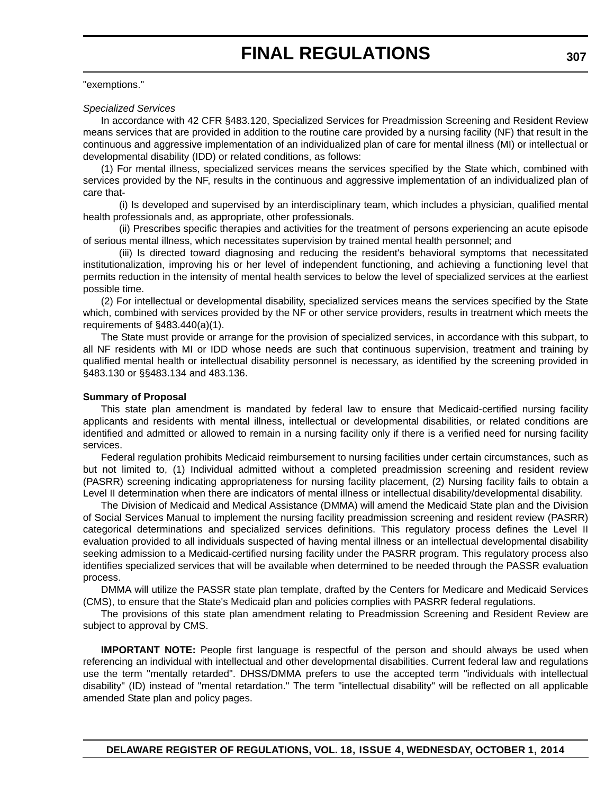#### "exemptions."

#### *Specialized Services*

In accordance with 42 CFR §483.120, Specialized Services for Preadmission Screening and Resident Review means services that are provided in addition to the routine care provided by a nursing facility (NF) that result in the continuous and aggressive implementation of an individualized plan of care for mental illness (MI) or intellectual or developmental disability (IDD) or related conditions, as follows:

(1) For mental illness, specialized services means the services specified by the State which, combined with services provided by the NF, results in the continuous and aggressive implementation of an individualized plan of care that-

(i) Is developed and supervised by an interdisciplinary team, which includes a physician, qualified mental health professionals and, as appropriate, other professionals.

(ii) Prescribes specific therapies and activities for the treatment of persons experiencing an acute episode of serious mental illness, which necessitates supervision by trained mental health personnel; and

(iii) Is directed toward diagnosing and reducing the resident's behavioral symptoms that necessitated institutionalization, improving his or her level of independent functioning, and achieving a functioning level that permits reduction in the intensity of mental health services to below the level of specialized services at the earliest possible time.

(2) For intellectual or developmental disability, specialized services means the services specified by the State which, combined with services provided by the NF or other service providers, results in treatment which meets the requirements of §483.440(a)(1).

The State must provide or arrange for the provision of specialized services, in accordance with this subpart, to all NF residents with MI or IDD whose needs are such that continuous supervision, treatment and training by qualified mental health or intellectual disability personnel is necessary, as identified by the screening provided in §483.130 or §§483.134 and 483.136.

#### **Summary of Proposal**

This state plan amendment is mandated by federal law to ensure that Medicaid-certified nursing facility applicants and residents with mental illness, intellectual or developmental disabilities, or related conditions are identified and admitted or allowed to remain in a nursing facility only if there is a verified need for nursing facility services.

Federal regulation prohibits Medicaid reimbursement to nursing facilities under certain circumstances, such as but not limited to, (1) Individual admitted without a completed preadmission screening and resident review (PASRR) screening indicating appropriateness for nursing facility placement, (2) Nursing facility fails to obtain a Level II determination when there are indicators of mental illness or intellectual disability/developmental disability.

The Division of Medicaid and Medical Assistance (DMMA) will amend the Medicaid State plan and the Division of Social Services Manual to implement the nursing facility preadmission screening and resident review (PASRR) categorical determinations and specialized services definitions. This regulatory process defines the Level II evaluation provided to all individuals suspected of having mental illness or an intellectual developmental disability seeking admission to a Medicaid-certified nursing facility under the PASRR program. This regulatory process also identifies specialized services that will be available when determined to be needed through the PASSR evaluation process.

DMMA will utilize the PASSR state plan template, drafted by the Centers for Medicare and Medicaid Services (CMS), to ensure that the State's Medicaid plan and policies complies with PASRR federal regulations.

The provisions of this state plan amendment relating to Preadmission Screening and Resident Review are subject to approval by CMS.

**IMPORTANT NOTE:** People first language is respectful of the person and should always be used when referencing an individual with intellectual and other developmental disabilities. Current federal law and regulations use the term "mentally retarded". DHSS/DMMA prefers to use the accepted term "individuals with intellectual disability" (ID) instead of "mental retardation." The term "intellectual disability" will be reflected on all applicable amended State plan and policy pages.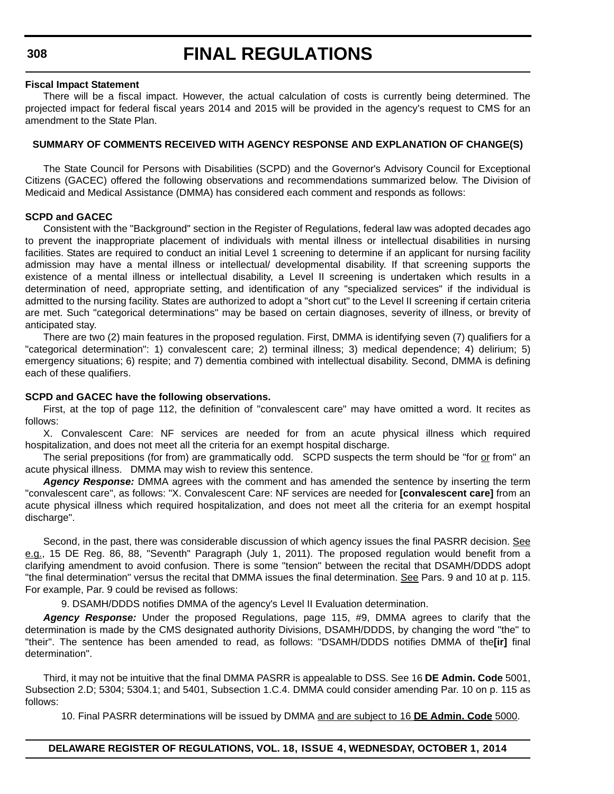**308**

## **FINAL REGULATIONS**

#### **Fiscal Impact Statement**

There will be a fiscal impact. However, the actual calculation of costs is currently being determined. The projected impact for federal fiscal years 2014 and 2015 will be provided in the agency's request to CMS for an amendment to the State Plan.

#### **SUMMARY OF COMMENTS RECEIVED WITH AGENCY RESPONSE AND EXPLANATION OF CHANGE(S)**

The State Council for Persons with Disabilities (SCPD) and the Governor's Advisory Council for Exceptional Citizens (GACEC) offered the following observations and recommendations summarized below. The Division of Medicaid and Medical Assistance (DMMA) has considered each comment and responds as follows:

#### **SCPD and GACEC**

Consistent with the "Background" section in the Register of Regulations, federal law was adopted decades ago to prevent the inappropriate placement of individuals with mental illness or intellectual disabilities in nursing facilities. States are required to conduct an initial Level 1 screening to determine if an applicant for nursing facility admission may have a mental illness or intellectual/ developmental disability. If that screening supports the existence of a mental illness or intellectual disability, a Level II screening is undertaken which results in a determination of need, appropriate setting, and identification of any "specialized services" if the individual is admitted to the nursing facility. States are authorized to adopt a "short cut" to the Level II screening if certain criteria are met. Such "categorical determinations" may be based on certain diagnoses, severity of illness, or brevity of anticipated stay.

There are two (2) main features in the proposed regulation. First, DMMA is identifying seven (7) qualifiers for a "categorical determination": 1) convalescent care; 2) terminal illness; 3) medical dependence; 4) delirium; 5) emergency situations; 6) respite; and 7) dementia combined with intellectual disability. Second, DMMA is defining each of these qualifiers.

#### **SCPD and GACEC have the following observations.**

First, at the top of page 112, the definition of "convalescent care" may have omitted a word. It recites as follows:

X. Convalescent Care: NF services are needed for from an acute physical illness which required hospitalization, and does not meet all the criteria for an exempt hospital discharge.

The serial prepositions (for from) are grammatically odd. SCPD suspects the term should be "for or from" an acute physical illness. DMMA may wish to review this sentence.

*Agency Response:* DMMA agrees with the comment and has amended the sentence by inserting the term "convalescent care", as follows: "X. Convalescent Care: NF services are needed for **[convalescent care]** from an acute physical illness which required hospitalization, and does not meet all the criteria for an exempt hospital discharge".

Second, in the past, there was considerable discussion of which agency issues the final PASRR decision. See e.g., 15 DE Reg. 86, 88, "Seventh" Paragraph (July 1, 2011). The proposed regulation would benefit from a clarifying amendment to avoid confusion. There is some "tension" between the recital that DSAMH/DDDS adopt "the final determination" versus the recital that DMMA issues the final determination. See Pars. 9 and 10 at p. 115. For example, Par. 9 could be revised as follows:

9. DSAMH/DDDS notifies DMMA of the agency's Level II Evaluation determination.

*Agency Response:* Under the proposed Regulations, page 115, #9, DMMA agrees to clarify that the determination is made by the CMS designated authority Divisions, DSAMH/DDDS, by changing the word "the" to "their". The sentence has been amended to read, as follows: "DSAMH/DDDS notifies DMMA of the**[ir]** final determination".

Third, it may not be intuitive that the final DMMA PASRR is appealable to DSS. See 16 **DE Admin. Code** 5001, Subsection 2.D; 5304; 5304.1; and 5401, Subsection 1.C.4. DMMA could consider amending Par. 10 on p. 115 as follows:

10. Final PASRR determinations will be issued by DMMA and are subject to 16 **DE Admin. Code** 5000.

### **DELAWARE REGISTER OF REGULATIONS, VOL. 18, ISSUE 4, WEDNESDAY, OCTOBER 1, 2014**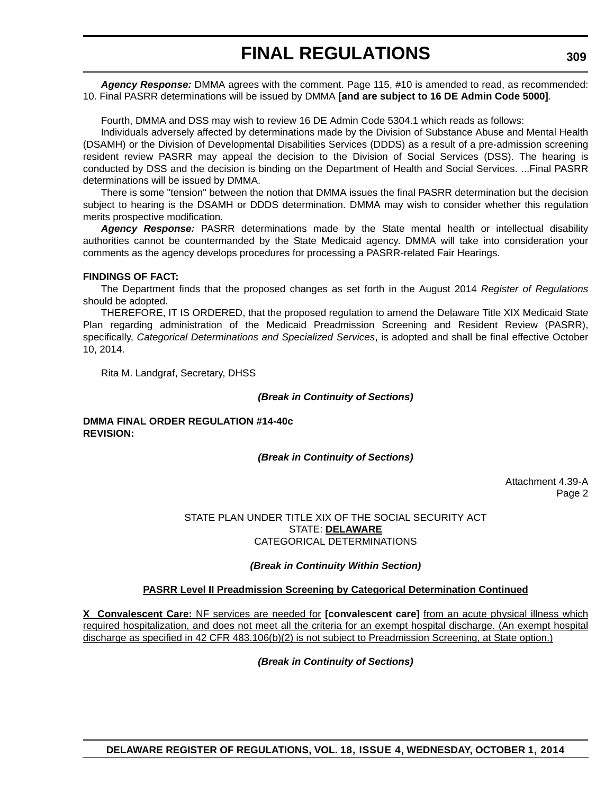*Agency Response:* DMMA agrees with the comment. Page 115, #10 is amended to read, as recommended: 10. Final PASRR determinations will be issued by DMMA **[and are subject to 16 DE Admin Code 5000]**.

Fourth, DMMA and DSS may wish to review 16 DE Admin Code 5304.1 which reads as follows:

Individuals adversely affected by determinations made by the Division of Substance Abuse and Mental Health (DSAMH) or the Division of Developmental Disabilities Services (DDDS) as a result of a pre-admission screening resident review PASRR may appeal the decision to the Division of Social Services (DSS). The hearing is conducted by DSS and the decision is binding on the Department of Health and Social Services. ...Final PASRR determinations will be issued by DMMA.

There is some "tension" between the notion that DMMA issues the final PASRR determination but the decision subject to hearing is the DSAMH or DDDS determination. DMMA may wish to consider whether this regulation merits prospective modification.

*Agency Response:* PASRR determinations made by the State mental health or intellectual disability authorities cannot be countermanded by the State Medicaid agency. DMMA will take into consideration your comments as the agency develops procedures for processing a PASRR-related Fair Hearings.

#### **FINDINGS OF FACT:**

The Department finds that the proposed changes as set forth in the August 2014 *Register of Regulations* should be adopted.

THEREFORE, IT IS ORDERED, that the proposed regulation to amend the Delaware Title XIX Medicaid State Plan regarding administration of the Medicaid Preadmission Screening and Resident Review (PASRR), specifically, *Categorical Determinations and Specialized Services*, is adopted and shall be final effective October 10, 2014.

Rita M. Landgraf, Secretary, DHSS

#### *(Break in Continuity of Sections)*

#### **DMMA FINAL ORDER REGULATION #14-40c REVISION:**

### *(Break in Continuity of Sections)*

Attachment 4.39-A Page 2

### STATE PLAN UNDER TITLE XIX OF THE SOCIAL SECURITY ACT STATE: **DELAWARE** CATEGORICAL DETERMINATIONS

### *(Break in Continuity Within Section)*

### **PASRR Level II Preadmission Screening by Categorical Determination Continued**

**X Convalescent Care:** NF services are needed for **[convalescent care]** from an acute physical illness which required hospitalization, and does not meet all the criteria for an exempt hospital discharge. (An exempt hospital discharge as specified in 42 CFR 483.106(b)(2) is not subject to Preadmission Screening, at State option.)

### *(Break in Continuity of Sections)*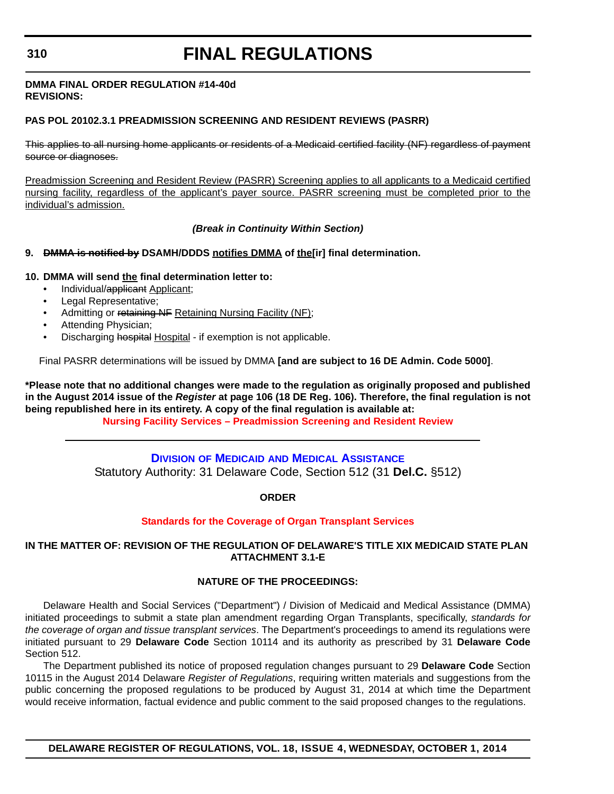#### **DMMA FINAL ORDER REGULATION #14-40d REVISIONS:**

## **PAS POL 20102.3.1 PREADMISSION SCREENING AND RESIDENT REVIEWS (PASRR)**

This applies to all nursing home applicants or residents of a Medicaid certified facility (NF) regardless of payment source or diagnoses.

Preadmission Screening and Resident Review (PASRR) Screening applies to all applicants to a Medicaid certified nursing facility, regardless of the applicant's payer source. PASRR screening must be completed prior to the individual's admission.

## *(Break in Continuity Within Section)*

## 9. **DMMA is notified by** DSAMH/DDDS notifies DMMA of the [ir] final determination.

### **10. DMMA will send the final determination letter to:**

- Individual/applicant Applicant;
- Legal Representative;
- Admitting or retaining NF Retaining Nursing Facility (NF);
- Attending Physician;
- Discharging hospital Hospital if exemption is not applicable.

Final PASRR determinations will be issued by DMMA **[and are subject to 16 DE Admin. Code 5000]**.

**\*Please note that no additional changes were made to the regulation as originally proposed and published in the August 2014 issue of the** *Register* **at page 106 (18 DE Reg. 106). Therefore, the final regulation is not being republished here in its entirety. A copy of the final regulation is available at:**

**[Nursing Facility Services – Preadmission Screening and Resident Review](http://regulations.delaware.gov/register/october2014/final/18 DE Reg 305 10-01-14.htm)**

## **DIVISION OF MEDICAID [AND MEDICAL ASSISTANCE](http://www.dhss.delaware.gov/dhss/dmma/)** Statutory Authority: 31 Delaware Code, Section 512 (31 **Del.C.** §512)

**ORDER**

### **[Standards for the Coverage of Organ Transplant Services](#page-4-0)**

### **IN THE MATTER OF: REVISION OF THE REGULATION OF DELAWARE'S TITLE XIX MEDICAID STATE PLAN ATTACHMENT 3.1-E**

## **NATURE OF THE PROCEEDINGS:**

Delaware Health and Social Services ("Department") / Division of Medicaid and Medical Assistance (DMMA) initiated proceedings to submit a state plan amendment regarding Organ Transplants, specifically, *standards for the coverage of organ and tissue transplant services*. The Department's proceedings to amend its regulations were initiated pursuant to 29 **Delaware Code** Section 10114 and its authority as prescribed by 31 **Delaware Code** Section 512.

The Department published its notice of proposed regulation changes pursuant to 29 **Delaware Code** Section 10115 in the August 2014 Delaware *Register of Regulations*, requiring written materials and suggestions from the public concerning the proposed regulations to be produced by August 31, 2014 at which time the Department would receive information, factual evidence and public comment to the said proposed changes to the regulations.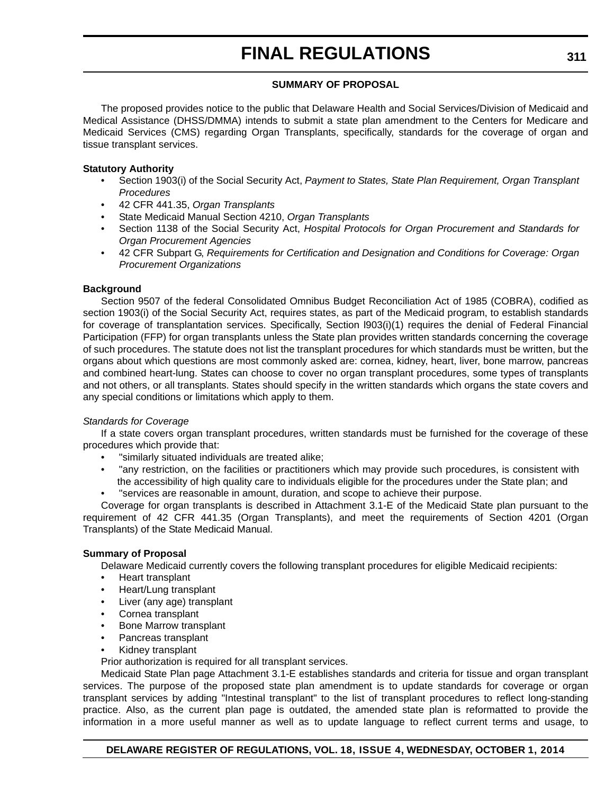## **SUMMARY OF PROPOSAL**

The proposed provides notice to the public that Delaware Health and Social Services/Division of Medicaid and Medical Assistance (DHSS/DMMA) intends to submit a state plan amendment to the Centers for Medicare and Medicaid Services (CMS) regarding Organ Transplants, specifically, standards for the coverage of organ and tissue transplant services.

### **Statutory Authority**

- Section 1903(i) of the Social Security Act, *Payment to States, State Plan Requirement, Organ Transplant Procedures*
- 42 CFR 441.35, *Organ Transplants*
- State Medicaid Manual Section 4210, *Organ Transplants*
- Section 1138 of the Social Security Act, *Hospital Protocols for Organ Procurement and Standards for Organ Procurement Agencies*
- 42 CFR Subpart G, *Requirements for Certification and Designation and Conditions for Coverage: Organ Procurement Organizations*

## **Background**

Section 9507 of the federal Consolidated Omnibus Budget Reconciliation Act of 1985 (COBRA), codified as section 1903(i) of the Social Security Act, requires states, as part of the Medicaid program, to establish standards for coverage of transplantation services. Specifically, Section l903(i)(1) requires the denial of Federal Financial Participation (FFP) for organ transplants unless the State plan provides written standards concerning the coverage of such procedures. The statute does not list the transplant procedures for which standards must be written, but the organs about which questions are most commonly asked are: cornea, kidney, heart, liver, bone marrow, pancreas and combined heart-lung. States can choose to cover no organ transplant procedures, some types of transplants and not others, or all transplants. States should specify in the written standards which organs the state covers and any special conditions or limitations which apply to them.

### *Standards for Coverage*

If a state covers organ transplant procedures, written standards must be furnished for the coverage of these procedures which provide that:

- "similarly situated individuals are treated alike;
- "any restriction, on the facilities or practitioners which may provide such procedures, is consistent with the accessibility of high quality care to individuals eligible for the procedures under the State plan; and
- "services are reasonable in amount, duration, and scope to achieve their purpose.

Coverage for organ transplants is described in Attachment 3.1-E of the Medicaid State plan pursuant to the requirement of 42 CFR 441.35 (Organ Transplants), and meet the requirements of Section 4201 (Organ Transplants) of the State Medicaid Manual.

### **Summary of Proposal**

Delaware Medicaid currently covers the following transplant procedures for eligible Medicaid recipients:

- Heart transplant
- Heart/Lung transplant
- Liver (any age) transplant
- Cornea transplant
- Bone Marrow transplant
- Pancreas transplant
- Kidney transplant

Prior authorization is required for all transplant services.

Medicaid State Plan page Attachment 3.1-E establishes standards and criteria for tissue and organ transplant services. The purpose of the proposed state plan amendment is to update standards for coverage or organ transplant services by adding "Intestinal transplant" to the list of transplant procedures to reflect long-standing practice. Also, as the current plan page is outdated, the amended state plan is reformatted to provide the information in a more useful manner as well as to update language to reflect current terms and usage, to

### **DELAWARE REGISTER OF REGULATIONS, VOL. 18, ISSUE 4, WEDNESDAY, OCTOBER 1, 2014**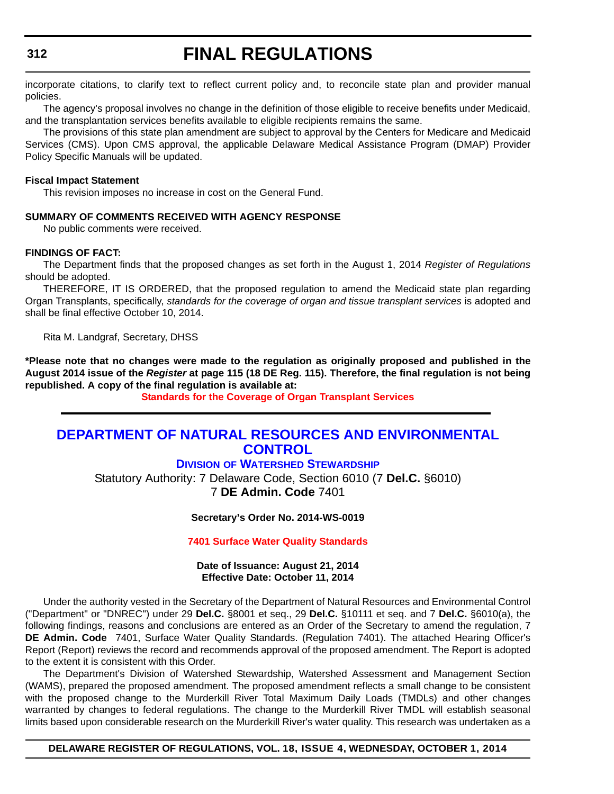incorporate citations, to clarify text to reflect current policy and, to reconcile state plan and provider manual policies.

The agency's proposal involves no change in the definition of those eligible to receive benefits under Medicaid, and the transplantation services benefits available to eligible recipients remains the same.

The provisions of this state plan amendment are subject to approval by the Centers for Medicare and Medicaid Services (CMS). Upon CMS approval, the applicable Delaware Medical Assistance Program (DMAP) Provider Policy Specific Manuals will be updated.

#### **Fiscal Impact Statement**

This revision imposes no increase in cost on the General Fund.

#### **SUMMARY OF COMMENTS RECEIVED WITH AGENCY RESPONSE**

No public comments were received.

#### **FINDINGS OF FACT:**

The Department finds that the proposed changes as set forth in the August 1, 2014 *Register of Regulations* should be adopted.

THEREFORE, IT IS ORDERED, that the proposed regulation to amend the Medicaid state plan regarding Organ Transplants, specifically, *standards for the coverage of organ and tissue transplant services* is adopted and shall be final effective October 10, 2014.

Rita M. Landgraf, Secretary, DHSS

**\*Please note that no changes were made to the regulation as originally proposed and published in the August 2014 issue of the** *Register* **at page 115 (18 DE Reg. 115). Therefore, the final regulation is not being republished. A copy of the final regulation is available at:**

**[Standards for the Coverage of Organ Transplant Services](http://regulations.delaware.gov/register/october2014/final/18 DE Reg 310 10-01-14.htm)**

## **[DEPARTMENT OF NATURAL RESOURCES AND ENVIRONMENTAL](http://www.dnrec.delaware.gov/swc/Pages/portal.aspx)  CONTROL**

**DIVISION [OF WATERSHED STEWARDSHIP](http://www.dnrec.delaware.gov/swc/Pages/portal.aspx)**

Statutory Authority: 7 Delaware Code, Section 6010 (7 **Del.C.** §6010) 7 **DE Admin. Code** 7401

#### **Secretary's Order No. 2014-WS-0019**

**[7401 Surface Water Quality Standards](#page-4-0)**

**Date of Issuance: August 21, 2014 Effective Date: October 11, 2014**

Under the authority vested in the Secretary of the Department of Natural Resources and Environmental Control ("Department" or "DNREC") under 29 **Del.C.** §8001 et seq., 29 **Del.C.** §10111 et seq. and 7 **Del.C.** §6010(a), the following findings, reasons and conclusions are entered as an Order of the Secretary to amend the regulation, 7 **DE Admin. Code** 7401, Surface Water Quality Standards. (Regulation 7401). The attached Hearing Officer's Report (Report) reviews the record and recommends approval of the proposed amendment. The Report is adopted to the extent it is consistent with this Order.

The Department's Division of Watershed Stewardship, Watershed Assessment and Management Section (WAMS), prepared the proposed amendment. The proposed amendment reflects a small change to be consistent with the proposed change to the Murderkill River Total Maximum Daily Loads (TMDLs) and other changes warranted by changes to federal regulations. The change to the Murderkill River TMDL will establish seasonal limits based upon considerable research on the Murderkill River's water quality. This research was undertaken as a

## **DELAWARE REGISTER OF REGULATIONS, VOL. 18, ISSUE 4, WEDNESDAY, OCTOBER 1, 2014**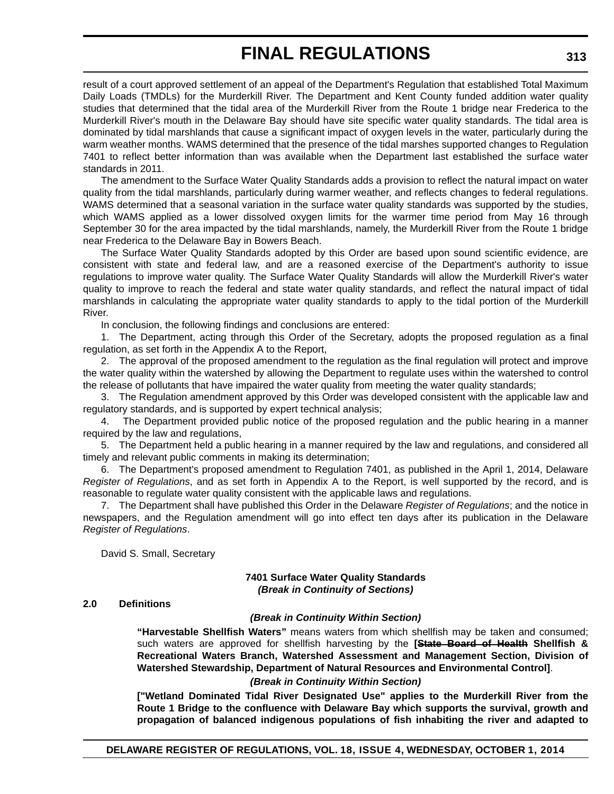result of a court approved settlement of an appeal of the Department's Regulation that established Total Maximum Daily Loads (TMDLs) for the Murderkill River. The Department and Kent County funded addition water quality studies that determined that the tidal area of the Murderkill River from the Route 1 bridge near Frederica to the Murderkill River's mouth in the Delaware Bay should have site specific water quality standards. The tidal area is dominated by tidal marshlands that cause a significant impact of oxygen levels in the water, particularly during the warm weather months. WAMS determined that the presence of the tidal marshes supported changes to Regulation 7401 to reflect better information than was available when the Department last established the surface water standards in 2011.

The amendment to the Surface Water Quality Standards adds a provision to reflect the natural impact on water quality from the tidal marshlands, particularly during warmer weather, and reflects changes to federal regulations. WAMS determined that a seasonal variation in the surface water quality standards was supported by the studies, which WAMS applied as a lower dissolved oxygen limits for the warmer time period from May 16 through September 30 for the area impacted by the tidal marshlands, namely, the Murderkill River from the Route 1 bridge near Frederica to the Delaware Bay in Bowers Beach.

The Surface Water Quality Standards adopted by this Order are based upon sound scientific evidence, are consistent with state and federal law, and are a reasoned exercise of the Department's authority to issue regulations to improve water quality. The Surface Water Quality Standards will allow the Murderkill River's water quality to improve to reach the federal and state water quality standards, and reflect the natural impact of tidal marshlands in calculating the appropriate water quality standards to apply to the tidal portion of the Murderkill River.

In conclusion, the following findings and conclusions are entered:

1. The Department, acting through this Order of the Secretary, adopts the proposed regulation as a final regulation, as set forth in the Appendix A to the Report,

2. The approval of the proposed amendment to the regulation as the final regulation will protect and improve the water quality within the watershed by allowing the Department to regulate uses within the watershed to control the release of pollutants that have impaired the water quality from meeting the water quality standards;

3. The Regulation amendment approved by this Order was developed consistent with the applicable law and regulatory standards, and is supported by expert technical analysis;

4. The Department provided public notice of the proposed regulation and the public hearing in a manner required by the law and regulations,

5. The Department held a public hearing in a manner required by the law and regulations, and considered all timely and relevant public comments in making its determination;

6. The Department's proposed amendment to Regulation 7401, as published in the April 1, 2014, Delaware *Register of Regulations*, and as set forth in Appendix A to the Report, is well supported by the record, and is reasonable to regulate water quality consistent with the applicable laws and regulations.

7. The Department shall have published this Order in the Delaware *Register of Regulations*; and the notice in newspapers, and the Regulation amendment will go into effect ten days after its publication in the Delaware *Register of Regulations*.

David S. Small, Secretary

#### **7401 Surface Water Quality Standards** *(Break in Continuity of Sections)*

#### **2.0 Definitions**

### *(Break in Continuity Within Section)*

**"Harvestable Shellfish Waters"** means waters from which shellfish may be taken and consumed; such waters are approved for shellfish harvesting by the **[State Board of Health Shellfish & Recreational Waters Branch, Watershed Assessment and Management Section, Division of Watershed Stewardship, Department of Natural Resources and Environmental Control]**.

#### *(Break in Continuity Within Section)*

**["Wetland Dominated Tidal River Designated Use" applies to the Murderkill River from the Route 1 Bridge to the confluence with Delaware Bay which supports the survival, growth and propagation of balanced indigenous populations of fish inhabiting the river and adapted to**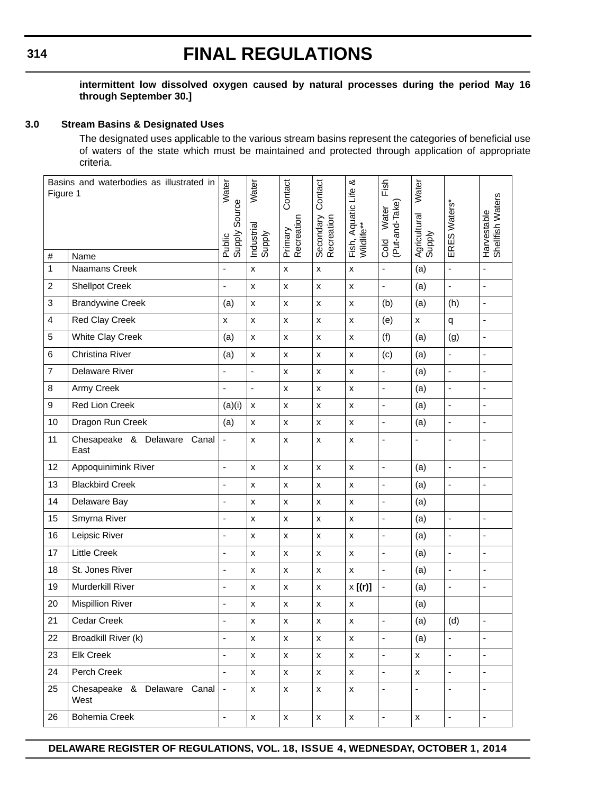## **314**

# **FINAL REGULATIONS**

### **intermittent low dissolved oxygen caused by natural processes during the period May 16 through September 30.]**

#### **3.0 Stream Basins & Designated Uses**

The designated uses applicable to the various stream basins represent the categories of beneficial use of waters of the state which must be maintained and protected through application of appropriate criteria.

| Basins and waterbodies as illustrated in<br>Figure 1 |                                        | Water<br>Supply Source<br>Public | Water<br>Industrial<br>Supply | Contact<br>Recreation<br>Primary | Contact<br>Secondary<br>Recreation | య<br>Fish, Aquatic Life<br>Wildlife** | Fish<br>(Put-and-Take)<br>Water<br>Cold | Water<br>Agricultural<br>Supply | ERES Waters*             | Shellfish Waters<br>Harvestable |
|------------------------------------------------------|----------------------------------------|----------------------------------|-------------------------------|----------------------------------|------------------------------------|---------------------------------------|-----------------------------------------|---------------------------------|--------------------------|---------------------------------|
| $\#$                                                 | Name                                   |                                  |                               |                                  |                                    |                                       |                                         |                                 |                          |                                 |
| $\mathbf 1$                                          | Naamans Creek                          | ÷,                               | $\pmb{\times}$                | $\pmb{\times}$                   | $\pmb{\mathsf{x}}$                 | $\pmb{\mathsf{X}}$                    | $\blacksquare$                          | (a)                             | $\blacksquare$           | $\blacksquare$                  |
| $\overline{c}$                                       | Shellpot Creek                         | $\overline{a}$                   | $\pmb{\times}$                | $\pmb{\mathsf{X}}$               | $\pmb{\mathsf{x}}$                 | X                                     | $\blacksquare$                          | (a)                             | $\blacksquare$           | $\blacksquare$                  |
| 3                                                    | <b>Brandywine Creek</b>                | (a)                              | $\pmb{\mathsf{x}}$            | $\pmb{\times}$                   | $\pmb{\times}$                     | $\pmb{\times}$                        | (b)                                     | (a)                             | (h)                      | $\blacksquare$                  |
| $\overline{4}$                                       | <b>Red Clay Creek</b>                  | x                                | $\pmb{\times}$                | $\pmb{\mathsf{x}}$               | X                                  | $\pmb{\mathsf{X}}$                    | (e)                                     | $\pmb{\mathsf{x}}$              | q                        | $\blacksquare$                  |
| 5                                                    | White Clay Creek                       | (a)                              | $\pmb{\mathsf{x}}$            | $\pmb{\mathsf{x}}$               | $\pmb{\mathsf{x}}$                 | X                                     | (f)                                     | (a)                             | (g)                      | $\blacksquare$                  |
| 6                                                    | Christina River                        | (a)                              | $\pmb{\times}$                | $\pmb{\times}$                   | x                                  | X                                     | (c)                                     | (a)                             | ÷,                       | ä,                              |
| $\overline{7}$                                       | Delaware River                         | ä,                               | $\overline{\phantom{a}}$      | $\pmb{\mathsf{x}}$               | $\pmb{\mathsf{x}}$                 | X                                     | $\overline{\phantom{a}}$                | (a)                             | $\blacksquare$           | ÷,                              |
| 8                                                    | Army Creek                             | ÷,                               | $\overline{\phantom{a}}$      | $\pmb{\times}$                   | $\pmb{\mathsf{x}}$                 | X                                     | $\overline{\phantom{a}}$                | (a)                             | $\blacksquare$           | $\blacksquare$                  |
| $\boldsymbol{9}$                                     | <b>Red Lion Creek</b>                  | (a)(i)                           | $\pmb{\times}$                | X                                | $\pmb{\times}$                     | $\pmb{\mathsf{X}}$                    | $\blacksquare$                          | (a)                             | $\blacksquare$           | $\blacksquare$                  |
| 10                                                   | Dragon Run Creek                       | (a)                              | $\pmb{\mathsf{x}}$            | $\pmb{\mathsf{x}}$               | $\pmb{\times}$                     | X                                     | $\qquad \qquad \blacksquare$            | (a)                             | $\blacksquare$           | $\blacksquare$                  |
| 11                                                   | Chesapeake & Delaware<br>Canal<br>East | $\blacksquare$                   | X                             | X                                | x                                  | x                                     | ÷,                                      | $\blacksquare$                  | $\overline{\phantom{a}}$ | $\blacksquare$                  |
| 12                                                   | Appoquinimink River                    | ÷,                               | $\pmb{\times}$                | $\pmb{\times}$                   | $\pmb{\mathsf{x}}$                 | X                                     | $\blacksquare$                          | (a)                             | $\blacksquare$           | ÷,                              |
| 13                                                   | <b>Blackbird Creek</b>                 | ÷,                               | $\pmb{\times}$                | $\pmb{\mathsf{x}}$               | $\pmb{\mathsf{x}}$                 | X                                     | $\overline{a}$                          | (a)                             | $\blacksquare$           | $\blacksquare$                  |
| 14                                                   | Delaware Bay                           | ä,                               | X                             | $\pmb{\times}$                   | $\pmb{\mathsf{x}}$                 | $\pmb{\mathsf{X}}$                    | $\blacksquare$                          | (a)                             |                          |                                 |
| 15                                                   | Smyrna River                           | ÷,                               | $\pmb{\times}$                | $\pmb{\mathsf{x}}$               | $\pmb{\times}$                     | X                                     | $\qquad \qquad \blacksquare$            | (a)                             | $\blacksquare$           | $\blacksquare$                  |
| 16                                                   | Leipsic River                          | ÷,                               | $\pmb{\times}$                | $\pmb{\mathsf{x}}$               | x                                  | X                                     | $\blacksquare$                          | (a)                             | $\blacksquare$           | $\blacksquare$                  |
| 17                                                   | Little Creek                           | ä,                               | $\pmb{\times}$                | $\pmb{\times}$                   | x                                  | X                                     | $\overline{a}$                          | (a)                             | ÷,                       | $\overline{\phantom{a}}$        |
| 18                                                   | St. Jones River                        | ä,                               | X                             | $\pmb{\times}$                   | $\pmb{\mathsf{x}}$                 | $\pmb{\times}$                        | $\overline{\phantom{a}}$                | (a)                             | $\blacksquare$           | ÷,                              |
| 19                                                   | Murderkill River                       | ÷,                               | $\pmb{\mathsf{x}}$            | $\pmb{\mathsf{x}}$               | $\pmb{\mathsf{x}}$                 | $\times$ [(r)]                        | $\blacksquare$                          | (a)                             | ÷,                       | $\blacksquare$                  |
| 20                                                   | <b>Mispillion River</b>                | ä,                               | $\pmb{\times}$                | X                                | x                                  | $\pmb{\times}$                        |                                         | (a)                             |                          |                                 |
| 21                                                   | Cedar Creek                            | L.                               | $\pmb{\times}$                | $\pmb{\times}$                   | $\pmb{\times}$                     | $\pmb{\times}$                        | $\blacksquare$                          | (a)                             | (d)                      | $\blacksquare$                  |
| 22                                                   | Broadkill River (k)                    | ä,                               | $\pmb{\mathsf{X}}$            | $\pmb{\mathsf{X}}$               | $\pmb{\mathsf{X}}$                 | X                                     | $\blacksquare$                          | (a)                             | $\blacksquare$           | ä,                              |
| 23                                                   | Elk Creek                              | L.                               | $\pmb{\mathsf{X}}$            | $\pmb{\mathsf{x}}$               | $\pmb{\mathsf{X}}$                 | $\pmb{\mathsf{x}}$                    | $\blacksquare$                          | $\mathsf{x}$                    | ä,                       |                                 |
| 24                                                   | Perch Creek                            | ä,                               | $\pmb{\mathsf{X}}$            | $\pmb{\mathsf{x}}$               | X                                  | X                                     | $\blacksquare$                          | $\boldsymbol{\mathsf{X}}$       | ÷,                       | $\blacksquare$                  |
| 25                                                   | Chesapeake & Delaware Canal<br>West    | $\blacksquare$                   | $\mathsf{x}$                  | $\pmb{\mathsf{X}}$               | $\pmb{\mathsf{X}}$                 | $\pmb{\mathsf{x}}$                    | $\blacksquare$                          | $\overline{\phantom{a}}$        | $\blacksquare$           | ä,                              |
| 26                                                   | Bohemia Creek                          | $\overline{a}$                   | $\mathsf X$                   | $\mathsf X$                      | $\mathsf X$                        | X                                     | $\blacksquare$                          | $\mathsf X$                     | $\blacksquare$           | $\blacksquare$                  |
|                                                      |                                        |                                  |                               |                                  |                                    |                                       |                                         |                                 |                          |                                 |

**DELAWARE REGISTER OF REGULATIONS, VOL. 18, ISSUE 4, WEDNESDAY, OCTOBER 1, 2014**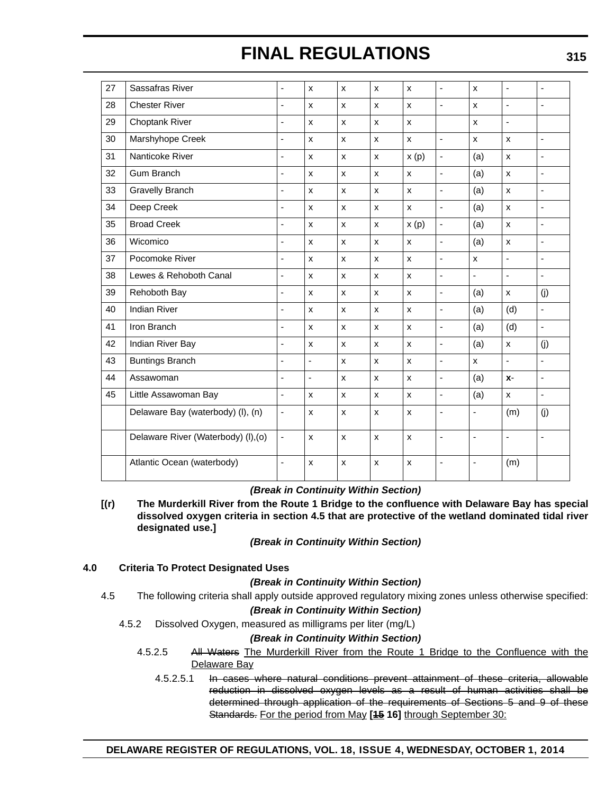| 27 | Sassafras River                     | $\overline{\phantom{m}}$ | $\pmb{\times}$            | X                  | X                         | X                  | $\overline{\phantom{a}}$ | X              | $\blacksquare$           | $\overline{\phantom{a}}$ |
|----|-------------------------------------|--------------------------|---------------------------|--------------------|---------------------------|--------------------|--------------------------|----------------|--------------------------|--------------------------|
| 28 | <b>Chester River</b>                |                          | $\mathsf{x}$              | $\mathsf{x}$       | $\mathsf{x}$              | $\pmb{\mathsf{x}}$ | ÷,                       | $\mathsf{x}$   | ÷,                       | ÷,                       |
| 29 | <b>Choptank River</b>               | $\blacksquare$           | $\pmb{\times}$            | $\pmb{\times}$     | X                         | $\pmb{\mathsf{x}}$ |                          | $\pmb{\times}$ | $\Box$                   |                          |
| 30 | Marshyhope Creek                    | ÷,                       | $\mathsf{x}$              | $\pmb{\times}$     | $\pmb{\mathsf{X}}$        | $\pmb{\times}$     | $\frac{1}{2}$            | $\pmb{\times}$ | $\pmb{\mathsf{X}}$       | $\blacksquare$           |
| 31 | Nanticoke River                     | ä,                       | $\mathsf{x}$              | X                  | X                         | x(p)               | $\blacksquare$           | (a)            | X                        | $\sim$                   |
| 32 | <b>Gum Branch</b>                   | $\blacksquare$           | $\mathsf{x}$              | X                  | $\mathsf{x}$              | X                  | $\blacksquare$           | (a)            | $\pmb{\mathsf{x}}$       | $\blacksquare$           |
| 33 | <b>Gravelly Branch</b>              | $\blacksquare$           | $\boldsymbol{\mathsf{x}}$ | $\pmb{\times}$     | $\mathsf{x}$              | X                  | $\blacksquare$           | (a)            | $\pmb{\mathsf{x}}$       | $\overline{\phantom{a}}$ |
| 34 | Deep Creek                          | ä,                       | $\pmb{\mathsf{x}}$        | X                  | X                         | X                  | $\blacksquare$           | (a)            | $\pmb{\mathsf{x}}$       | $\frac{1}{2}$            |
| 35 | <b>Broad Creek</b>                  | ÷,                       | $\boldsymbol{\mathsf{x}}$ | X                  | $\mathsf{x}$              | x(p)               | $\blacksquare$           | (a)            | $\pmb{\mathsf{X}}$       | $\blacksquare$           |
| 36 | Wicomico                            | ÷,                       | $\mathsf{x}$              | $\mathsf{x}$       | $\mathsf{x}$              | $\mathsf{x}$       | ÷,                       | (a)            | $\mathsf{x}$             | ä,                       |
| 37 | Pocomoke River                      | ä,                       | $\mathsf{x}$              | X                  | X                         | $\pmb{\mathsf{x}}$ | ä,                       | $\pmb{\times}$ | ä,                       | ä,                       |
| 38 | Lewes & Rehoboth Canal              | ÷,                       | $\mathbf{x}$              | $\mathsf{x}$       | $\mathsf{x}$              | $\mathsf{x}$       | ÷,                       | ÷,             | $\overline{\phantom{a}}$ | ä,                       |
| 39 | Rehoboth Bay                        | $\blacksquare$           | $\mathsf{x}$              | X                  | X                         | X                  | $\blacksquare$           | (a)            | X                        | (j)                      |
| 40 | <b>Indian River</b>                 | $\tilde{\phantom{a}}$    | $\mathsf{x}$              | $\pmb{\mathsf{x}}$ | X                         | $\pmb{\mathsf{x}}$ | $\blacksquare$           | (a)            | (d)                      | $\overline{\phantom{a}}$ |
| 41 | Iron Branch                         | ä,                       | $\mathsf{x}$              | X                  | $\mathsf{x}$              | X                  | ÷,                       | (a)            | (d)                      | $\blacksquare$           |
| 42 | Indian River Bay                    | $\overline{\phantom{a}}$ | $\mathsf{x}$              | X                  | $\mathsf{x}$              | $\pmb{\times}$     | ä,                       | (a)            | $\pmb{\mathsf{x}}$       | (j)                      |
| 43 | <b>Buntings Branch</b>              | ä,                       | ÷,                        | X                  | $\mathsf{x}$              | X                  | ÷,                       | $\mathsf{x}$   | $\blacksquare$           | ä,                       |
| 44 | Assawoman                           | $\overline{\phantom{a}}$ | $\blacksquare$            | $\pmb{\times}$     | $\pmb{\times}$            | X                  | $\blacksquare$           | (a)            | $x -$                    | $\overline{\phantom{a}}$ |
| 45 | Little Assawoman Bay                | ÷,                       | $\pmb{\times}$            | $\pmb{\times}$     | X                         | $\pmb{\times}$     | $\blacksquare$           | (a)            | $\pmb{\times}$           | $\overline{a}$           |
|    | Delaware Bay (waterbody) (I), (n)   | $\blacksquare$           | $\boldsymbol{\mathsf{x}}$ | X                  | $\boldsymbol{\mathsf{x}}$ | X                  | $\blacksquare$           | ÷,             | (m)                      | (i)                      |
|    | Delaware River (Waterbody) (I), (o) | ÷,                       | $\mathsf{x}$              | $\mathsf{x}$       | $\mathsf{x}$              | $\mathsf{x}$       | L,                       | ä,             | $\blacksquare$           | $\blacksquare$           |
|    | Atlantic Ocean (waterbody)          | ä,                       | $\pmb{\times}$            | $\pmb{\times}$     | $\pmb{\times}$            | $\pmb{\times}$     | ÷,                       | ÷,             | (m)                      |                          |

*(Break in Continuity Within Section)*

**[(r) The Murderkill River from the Route 1 Bridge to the confluence with Delaware Bay has special dissolved oxygen criteria in section 4.5 that are protective of the wetland dominated tidal river designated use.]**

*(Break in Continuity Within Section)*

## **4.0 Criteria To Protect Designated Uses**

## *(Break in Continuity Within Section)*

4.5 The following criteria shall apply outside approved regulatory mixing zones unless otherwise specified: *(Break in Continuity Within Section)*

## 4.5.2 Dissolved Oxygen, measured as milligrams per liter (mg/L)

## *(Break in Continuity Within Section)*

- 4.5.2.5 All Waters The Murderkill River from the Route 1 Bridge to the Confluence with the Delaware Bay
	- 4.5.2.5.1 In cases where natural conditions prevent attainment of these criteria, allowable reduction in dissolved oxygen levels as a result of human activities shall be determined through application of the requirements of Sections 5 and 9 of these Standards. For the period from May **[15 16]** through September 30: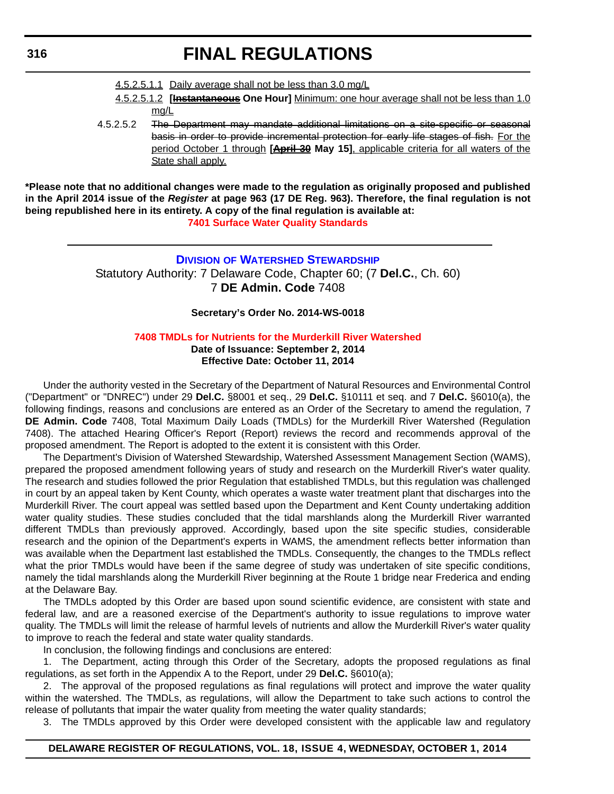- 4.5.2.5.1.1 Daily average shall not be less than 3.0 mg/L
- 4.5.2.5.1.2 **[Instantaneous One Hour]** Minimum: one hour average shall not be less than 1.0 mg/L
- 4.5.2.5.2 The Department may mandate additional limitations on a site-specific or seasonal basis in order to provide incremental protection for early life stages of fish. For the period October 1 through **[April 30 May 15]**, applicable criteria for all waters of the State shall apply.

**\*Please note that no additional changes were made to the regulation as originally proposed and published in the April 2014 issue of the** *Register* **at page 963 (17 DE Reg. 963). Therefore, the final regulation is not being republished here in its entirety. A copy of the final regulation is available at: [7401 Surface Water Quality Standards](http://regulations.delaware.gov/register/october2014/final/18 DE Reg 312 10-01-14.htm)**

## **DIVISION [OF WATERSHED STEWARDSHIP](http://www.dnrec.delaware.gov/swc/Pages/portal.aspx)** Statutory Authority: 7 Delaware Code, Chapter 60; (7 **Del.C.**, Ch. 60)

7 **DE Admin. Code** 7408

**Secretary's Order No. 2014-WS-0018**

#### **[7408 TMDLs for Nutrients for the Murderkill River Watershed](#page-4-0)**

**Date of Issuance: September 2, 2014 Effective Date: October 11, 2014**

Under the authority vested in the Secretary of the Department of Natural Resources and Environmental Control ("Department" or "DNREC") under 29 **Del.C.** §8001 et seq., 29 **Del.C.** §10111 et seq. and 7 **Del.C.** §6010(a), the following findings, reasons and conclusions are entered as an Order of the Secretary to amend the regulation, 7 **DE Admin. Code** 7408, Total Maximum Daily Loads (TMDLs) for the Murderkill River Watershed (Regulation 7408). The attached Hearing Officer's Report (Report) reviews the record and recommends approval of the proposed amendment. The Report is adopted to the extent it is consistent with this Order.

The Department's Division of Watershed Stewardship, Watershed Assessment Management Section (WAMS), prepared the proposed amendment following years of study and research on the Murderkill River's water quality. The research and studies followed the prior Regulation that established TMDLs, but this regulation was challenged in court by an appeal taken by Kent County, which operates a waste water treatment plant that discharges into the Murderkill River. The court appeal was settled based upon the Department and Kent County undertaking addition water quality studies. These studies concluded that the tidal marshlands along the Murderkill River warranted different TMDLs than previously approved. Accordingly, based upon the site specific studies, considerable research and the opinion of the Department's experts in WAMS, the amendment reflects better information than was available when the Department last established the TMDLs. Consequently, the changes to the TMDLs reflect what the prior TMDLs would have been if the same degree of study was undertaken of site specific conditions, namely the tidal marshlands along the Murderkill River beginning at the Route 1 bridge near Frederica and ending at the Delaware Bay.

The TMDLs adopted by this Order are based upon sound scientific evidence, are consistent with state and federal law, and are a reasoned exercise of the Department's authority to issue regulations to improve water quality. The TMDLs will limit the release of harmful levels of nutrients and allow the Murderkill River's water quality to improve to reach the federal and state water quality standards.

In conclusion, the following findings and conclusions are entered:

1. The Department, acting through this Order of the Secretary, adopts the proposed regulations as final regulations, as set forth in the Appendix A to the Report, under 29 **Del.C.** §6010(a);

2. The approval of the proposed regulations as final regulations will protect and improve the water quality within the watershed. The TMDLs, as regulations, will allow the Department to take such actions to control the release of pollutants that impair the water quality from meeting the water quality standards;

3. The TMDLs approved by this Order were developed consistent with the applicable law and regulatory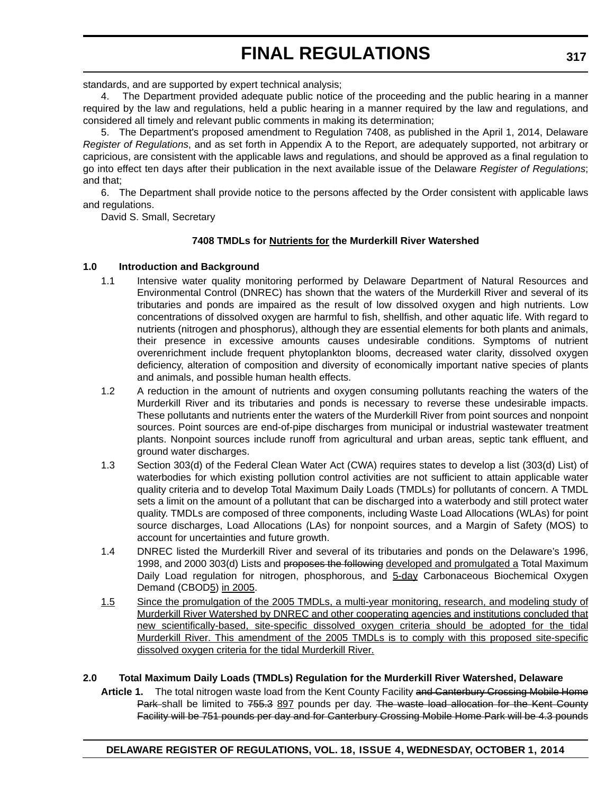standards, and are supported by expert technical analysis;

4. The Department provided adequate public notice of the proceeding and the public hearing in a manner required by the law and regulations, held a public hearing in a manner required by the law and regulations, and considered all timely and relevant public comments in making its determination;

5. The Department's proposed amendment to Regulation 7408, as published in the April 1, 2014, Delaware *Register of Regulations*, and as set forth in Appendix A to the Report, are adequately supported, not arbitrary or capricious, are consistent with the applicable laws and regulations, and should be approved as a final regulation to go into effect ten days after their publication in the next available issue of the Delaware *Register of Regulations*; and that;

6. The Department shall provide notice to the persons affected by the Order consistent with applicable laws and regulations.

David S. Small, Secretary

### **7408 TMDLs for Nutrients for the Murderkill River Watershed**

### **1.0 Introduction and Background**

- 1.1 Intensive water quality monitoring performed by Delaware Department of Natural Resources and Environmental Control (DNREC) has shown that the waters of the Murderkill River and several of its tributaries and ponds are impaired as the result of low dissolved oxygen and high nutrients. Low concentrations of dissolved oxygen are harmful to fish, shellfish, and other aquatic life. With regard to nutrients (nitrogen and phosphorus), although they are essential elements for both plants and animals, their presence in excessive amounts causes undesirable conditions. Symptoms of nutrient overenrichment include frequent phytoplankton blooms, decreased water clarity, dissolved oxygen deficiency, alteration of composition and diversity of economically important native species of plants and animals, and possible human health effects.
- 1.2 A reduction in the amount of nutrients and oxygen consuming pollutants reaching the waters of the Murderkill River and its tributaries and ponds is necessary to reverse these undesirable impacts. These pollutants and nutrients enter the waters of the Murderkill River from point sources and nonpoint sources. Point sources are end-of-pipe discharges from municipal or industrial wastewater treatment plants. Nonpoint sources include runoff from agricultural and urban areas, septic tank effluent, and ground water discharges.
- 1.3 Section 303(d) of the Federal Clean Water Act (CWA) requires states to develop a list (303(d) List) of waterbodies for which existing pollution control activities are not sufficient to attain applicable water quality criteria and to develop Total Maximum Daily Loads (TMDLs) for pollutants of concern. A TMDL sets a limit on the amount of a pollutant that can be discharged into a waterbody and still protect water quality. TMDLs are composed of three components, including Waste Load Allocations (WLAs) for point source discharges, Load Allocations (LAs) for nonpoint sources, and a Margin of Safety (MOS) to account for uncertainties and future growth.
- 1.4 DNREC listed the Murderkill River and several of its tributaries and ponds on the Delaware's 1996, 1998, and 2000 303(d) Lists and proposes the following developed and promulgated a Total Maximum Daily Load regulation for nitrogen, phosphorous, and 5-day Carbonaceous Biochemical Oxygen Demand (CBOD5) in 2005.
- 1.5 Since the promulgation of the 2005 TMDLs, a multi-year monitoring, research, and modeling study of Murderkill River Watershed by DNREC and other cooperating agencies and institutions concluded that new scientifically-based, site-specific dissolved oxygen criteria should be adopted for the tidal Murderkill River. This amendment of the 2005 TMDLs is to comply with this proposed site-specific dissolved oxygen criteria for the tidal Murderkill River.

#### **2.0 Total Maximum Daily Loads (TMDLs) Regulation for the Murderkill River Watershed, Delaware**

Article 1. The total nitrogen waste load from the Kent County Facility and Canterbury Crossing Mobile Home Park shall be limited to 755.3 897 pounds per day. The waste load allocation for the Kent County Facility will be 751 pounds per day and for Canterbury Crossing Mobile Home Park will be 4.3 pounds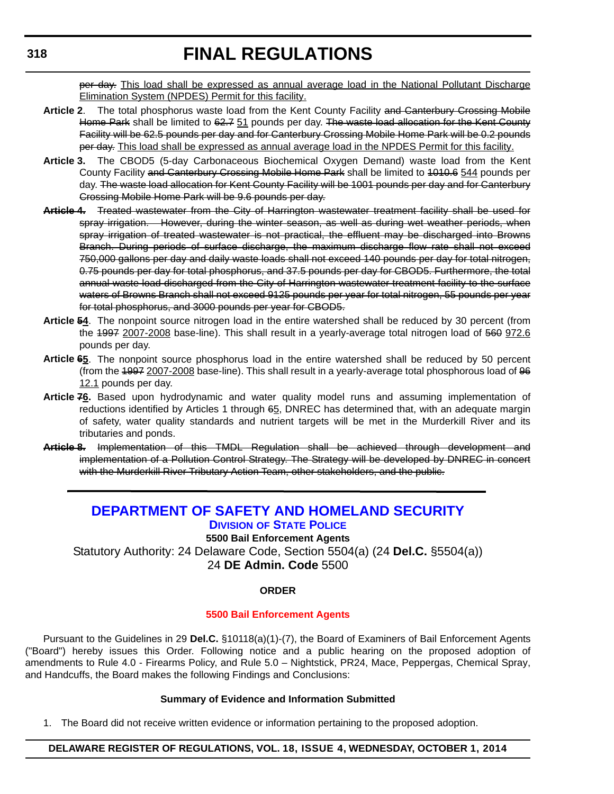per day. This load shall be expressed as annual average load in the National Pollutant Discharge Elimination System (NPDES) Permit for this facility.

- Article 2. The total phosphorus waste load from the Kent County Facility and Canterbury Crossing Mobile Home Park shall be limited to 62.7 51 pounds per day. The waste load allocation for the Kent County Facility will be 62.5 pounds per day and for Canterbury Crossing Mobile Home Park will be 0.2 pounds per day. This load shall be expressed as annual average load in the NPDES Permit for this facility.
- **Article 3.** The CBOD5 (5-day Carbonaceous Biochemical Oxygen Demand) waste load from the Kent County Facility and Canterbury Crossing Mobile Home Park shall be limited to 1010.6 544 pounds per day. The waste load allocation for Kent County Facility will be 1001 pounds per day and for Canterbury Crossing Mobile Home Park will be 9.6 pounds per day.
- **Article 4.** Treated wastewater from the City of Harrington wastewater treatment facility shall be used for spray irrigation. However, during the winter season, as well as during wet weather periods, when spray irrigation of treated wastewater is not practical, the effluent may be discharged into Browns Branch. During periods of surface discharge, the maximum discharge flow rate shall not exceed 750,000 gallons per day and daily waste loads shall not exceed 140 pounds per day for total nitrogen, 0.75 pounds per day for total phosphorus, and 37.5 pounds per day for CBOD5. Furthermore, the total annual waste load discharged from the City of Harrington wastewater treatment facility to the surface waters of Browns Branch shall not exceed 9125 pounds per year for total nitrogen, 55 pounds per year for total phosphorus, and 3000 pounds per year for CBOD5.
- **Article 54**. The nonpoint source nitrogen load in the entire watershed shall be reduced by 30 percent (from the 4997 2007-2008 base-line). This shall result in a yearly-average total nitrogen load of 569 972.6 pounds per day.
- **Article 65**. The nonpoint source phosphorus load in the entire watershed shall be reduced by 50 percent (from the 1997 2007-2008 base-line). This shall result in a yearly-average total phosphorous load of 96 12.1 pounds per day.
- **Article 76.** Based upon hydrodynamic and water quality model runs and assuming implementation of reductions identified by Articles 1 through 65, DNREC has determined that, with an adequate margin of safety, water quality standards and nutrient targets will be met in the Murderkill River and its tributaries and ponds.
- **Article 8.** Implementation of this TMDL Regulation shall be achieved through development and implementation of a Pollution Control Strategy. The Strategy will be developed by DNREC in concert with the Murderkill River Tributary Action Team, other stakeholders, and the public.

## **[DEPARTMENT OF SAFETY AND HOMELAND SECURITY](http://dsp.delaware.gov/) DIVISION OF STATE POLICE**

**5500 Bail Enforcement Agents**

Statutory Authority: 24 Delaware Code, Section 5504(a) (24 **Del.C.** §5504(a)) 24 **DE Admin. Code** 5500

### **ORDER**

### **[5500 Bail Enforcement Agents](#page-4-0)**

Pursuant to the Guidelines in 29 **Del.C.** §10118(a)(1)-(7), the Board of Examiners of Bail Enforcement Agents ("Board") hereby issues this Order. Following notice and a public hearing on the proposed adoption of amendments to Rule 4.0 - Firearms Policy, and Rule 5.0 – Nightstick, PR24, Mace, Peppergas, Chemical Spray, and Handcuffs, the Board makes the following Findings and Conclusions:

### **Summary of Evidence and Information Submitted**

1. The Board did not receive written evidence or information pertaining to the proposed adoption.

### **DELAWARE REGISTER OF REGULATIONS, VOL. 18, ISSUE 4, WEDNESDAY, OCTOBER 1, 2014**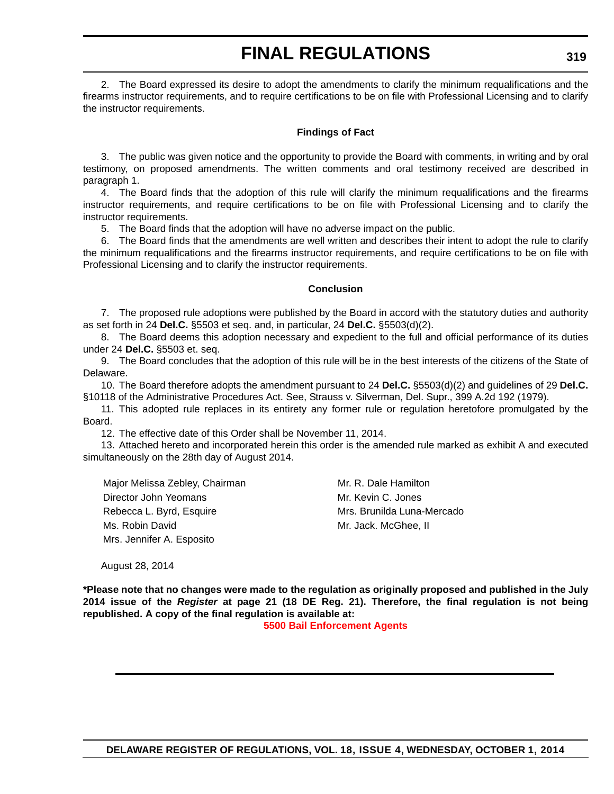2. The Board expressed its desire to adopt the amendments to clarify the minimum requalifications and the firearms instructor requirements, and to require certifications to be on file with Professional Licensing and to clarify the instructor requirements.

#### **Findings of Fact**

3. The public was given notice and the opportunity to provide the Board with comments, in writing and by oral testimony, on proposed amendments. The written comments and oral testimony received are described in paragraph 1.

4. The Board finds that the adoption of this rule will clarify the minimum requalifications and the firearms instructor requirements, and require certifications to be on file with Professional Licensing and to clarify the instructor requirements.

5. The Board finds that the adoption will have no adverse impact on the public.

6. The Board finds that the amendments are well written and describes their intent to adopt the rule to clarify the minimum requalifications and the firearms instructor requirements, and require certifications to be on file with Professional Licensing and to clarify the instructor requirements.

#### **Conclusion**

7. The proposed rule adoptions were published by the Board in accord with the statutory duties and authority as set forth in 24 **Del.C.** §5503 et seq. and, in particular, 24 **Del.C.** §5503(d)(2).

8. The Board deems this adoption necessary and expedient to the full and official performance of its duties under 24 **Del.C.** §5503 et. seq.

9. The Board concludes that the adoption of this rule will be in the best interests of the citizens of the State of Delaware.

10. The Board therefore adopts the amendment pursuant to 24 **Del.C.** §5503(d)(2) and guidelines of 29 **Del.C.** §10118 of the Administrative Procedures Act. See, Strauss v. Silverman, Del. Supr., 399 A.2d 192 (1979).

11. This adopted rule replaces in its entirety any former rule or regulation heretofore promulgated by the Board.

12. The effective date of this Order shall be November 11, 2014.

13. Attached hereto and incorporated herein this order is the amended rule marked as exhibit A and executed simultaneously on the 28th day of August 2014.

Major Melissa Zebley, Chairman Mr. R. Dale Hamilton Director John Yeomans Mr. Kevin C. Jones Rebecca L. Byrd, Esquire **Mrs. Brunilda Luna-Mercado** Ms. Robin David Mr. Jack. McGhee, II Mrs. Jennifer A. Esposito

August 28, 2014

**\*Please note that no changes were made to the regulation as originally proposed and published in the July 2014 issue of the** *Register* **at page 21 (18 DE Reg. 21). Therefore, the final regulation is not being republished. A copy of the final regulation is available at:**

**[5500 Bail Enforcement Agents](http://regulations.delaware.gov/register/october2014/final/18 DE Reg 318 10-01-14.htm)**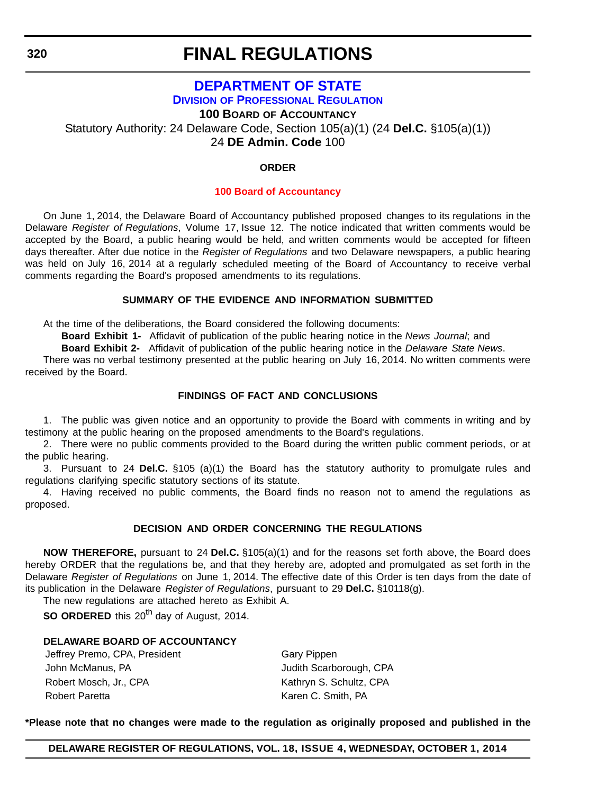## **[DEPARTMENT OF STATE](http://dpr.delaware.gov/) DIVISION OF PROFESSIONAL REGULATION**

**100 BOARD OF ACCOUNTANCY**

Statutory Authority: 24 Delaware Code, Section 105(a)(1) (24 **Del.C.** §105(a)(1))

24 **DE Admin. Code** 100

## **ORDER**

#### **[100 Board of Accountancy](#page-4-0)**

On June 1, 2014, the Delaware Board of Accountancy published proposed changes to its regulations in the Delaware *Register of Regulations*, Volume 17, Issue 12. The notice indicated that written comments would be accepted by the Board, a public hearing would be held, and written comments would be accepted for fifteen days thereafter. After due notice in the *Register of Regulations* and two Delaware newspapers, a public hearing was held on July 16, 2014 at a regularly scheduled meeting of the Board of Accountancy to receive verbal comments regarding the Board's proposed amendments to its regulations.

## **SUMMARY OF THE EVIDENCE AND INFORMATION SUBMITTED**

At the time of the deliberations, the Board considered the following documents:

**Board Exhibit 1-** Affidavit of publication of the public hearing notice in the *News Journal*; and

**Board Exhibit 2-** Affidavit of publication of the public hearing notice in the *Delaware State News*.

There was no verbal testimony presented at the public hearing on July 16, 2014. No written comments were received by the Board.

## **FINDINGS OF FACT AND CONCLUSIONS**

1. The public was given notice and an opportunity to provide the Board with comments in writing and by testimony at the public hearing on the proposed amendments to the Board's regulations.

2. There were no public comments provided to the Board during the written public comment periods, or at the public hearing.

3. Pursuant to 24 **Del.C.** §105 (a)(1) the Board has the statutory authority to promulgate rules and regulations clarifying specific statutory sections of its statute.

4. Having received no public comments, the Board finds no reason not to amend the regulations as proposed.

## **DECISION AND ORDER CONCERNING THE REGULATIONS**

**NOW THEREFORE,** pursuant to 24 **Del.C.** §105(a)(1) and for the reasons set forth above, the Board does hereby ORDER that the regulations be, and that they hereby are, adopted and promulgated as set forth in the Delaware *Register of Regulations* on June 1, 2014. The effective date of this Order is ten days from the date of its publication in the Delaware *Register of Regulations*, pursuant to 29 **Del.C.** §10118(g).

The new regulations are attached hereto as Exhibit A.

**SO ORDERED** this 20<sup>th</sup> day of August, 2014.

## **DELAWARE BOARD OF ACCOUNTANCY**

| Jeffrey Premo, CPA, President | Gary Pippen             |
|-------------------------------|-------------------------|
| John McManus, PA              | Judith Scarborough, CPA |
| Robert Mosch, Jr., CPA        | Kathryn S. Schultz, CPA |
| Robert Paretta                | Karen C. Smith, PA      |

**\*Please note that no changes were made to the regulation as originally proposed and published in the**

**DELAWARE REGISTER OF REGULATIONS, VOL. 18, ISSUE 4, WEDNESDAY, OCTOBER 1, 2014**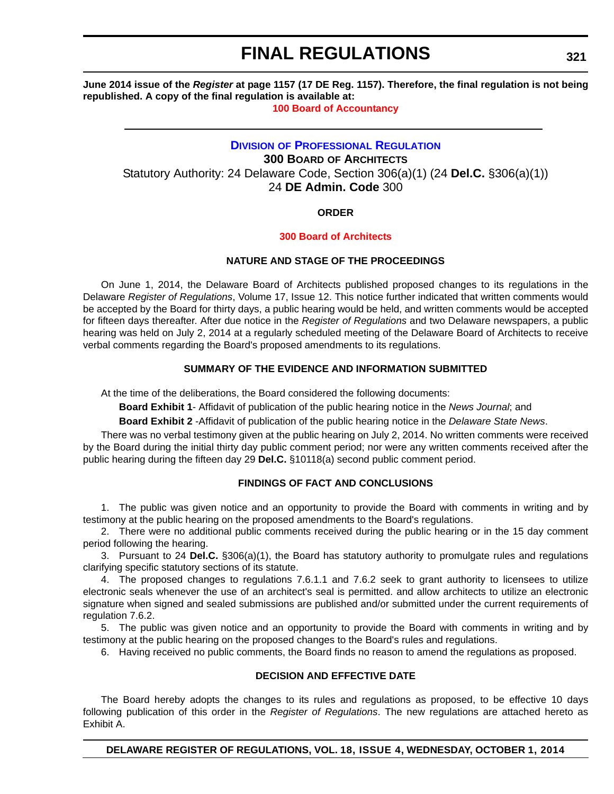# **FINAL REGULATIONS**

**June 2014 issue of the** *Register* **at page 1157 (17 DE Reg. 1157). Therefore, the final regulation is not being republished. A copy of the final regulation is available at:**

**[100 Board of Accountancy](http://regulations.delaware.gov/register/october2014/final/18 DE Reg 320 10-01-14.htm)**

# **DIVISION [OF PROFESSIONAL REGULATION](http://dpr.delaware.gov/)**

**300 BOARD OF ARCHITECTS**

Statutory Authority: 24 Delaware Code, Section 306(a)(1) (24 **Del.C.** §306(a)(1))

24 **DE Admin. Code** 300

### **ORDER**

### **[300 Board of Architects](#page-4-0)**

### **NATURE AND STAGE OF THE PROCEEDINGS**

On June 1, 2014, the Delaware Board of Architects published proposed changes to its regulations in the Delaware *Register of Regulations*, Volume 17, Issue 12. This notice further indicated that written comments would be accepted by the Board for thirty days, a public hearing would be held, and written comments would be accepted for fifteen days thereafter. After due notice in the *Register of Regulations* and two Delaware newspapers, a public hearing was held on July 2, 2014 at a regularly scheduled meeting of the Delaware Board of Architects to receive verbal comments regarding the Board's proposed amendments to its regulations.

### **SUMMARY OF THE EVIDENCE AND INFORMATION SUBMITTED**

At the time of the deliberations, the Board considered the following documents:

**Board Exhibit 1**- Affidavit of publication of the public hearing notice in the *News Journal*; and

**Board Exhibit 2** -Affidavit of publication of the public hearing notice in the *Delaware State News*.

There was no verbal testimony given at the public hearing on July 2, 2014. No written comments were received by the Board during the initial thirty day public comment period; nor were any written comments received after the public hearing during the fifteen day 29 **Del.C.** §10118(a) second public comment period.

### **FINDINGS OF FACT AND CONCLUSIONS**

1. The public was given notice and an opportunity to provide the Board with comments in writing and by testimony at the public hearing on the proposed amendments to the Board's regulations.

2. There were no additional public comments received during the public hearing or in the 15 day comment period following the hearing.

3. Pursuant to 24 **Del.C.** §306(a)(1), the Board has statutory authority to promulgate rules and regulations clarifying specific statutory sections of its statute.

4. The proposed changes to regulations 7.6.1.1 and 7.6.2 seek to grant authority to licensees to utilize electronic seals whenever the use of an architect's seal is permitted. and allow architects to utilize an electronic signature when signed and sealed submissions are published and/or submitted under the current requirements of regulation 7.6.2.

5. The public was given notice and an opportunity to provide the Board with comments in writing and by testimony at the public hearing on the proposed changes to the Board's rules and regulations.

6. Having received no public comments, the Board finds no reason to amend the regulations as proposed.

# **DECISION AND EFFECTIVE DATE**

The Board hereby adopts the changes to its rules and regulations as proposed, to be effective 10 days following publication of this order in the *Register of Regulations*. The new regulations are attached hereto as Exhibit A.

# **DELAWARE REGISTER OF REGULATIONS, VOL. 18, ISSUE 4, WEDNESDAY, OCTOBER 1, 2014**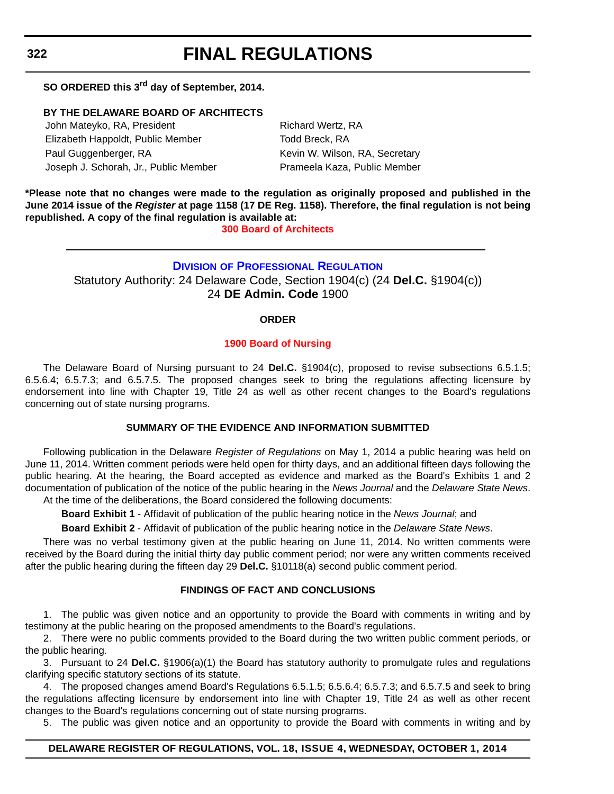**FINAL REGULATIONS**

# **SO ORDERED this 3rd day of September, 2014.**

#### **BY THE DELAWARE BOARD OF ARCHITECTS**

John Mateyko, RA, President Richard Wertz, RA Elizabeth Happoldt, Public Member Todd Breck, RA Paul Guggenberger, RA Kevin W. Wilson, RA, Secretary Joseph J. Schorah, Jr., Public Member Prameela Kaza, Public Member

**\*Please note that no changes were made to the regulation as originally proposed and published in the June 2014 issue of the** *Register* **at page 1158 (17 DE Reg. 1158). Therefore, the final regulation is not being republished. A copy of the final regulation is available at:**

### **[300 Board of Architects](http://regulations.delaware.gov/register/october2014/final/18 DE Reg 321 10-01-14.htm)**

# **DIVISION [OF PROFESSIONAL REGULATION](http://dpr.delaware.gov/)** Statutory Authority: 24 Delaware Code, Section 1904(c) (24 **Del.C.** §1904(c)) 24 **DE Admin. Code** 1900

#### **ORDER**

#### **[1900 Board of Nursing](#page-4-0)**

The Delaware Board of Nursing pursuant to 24 **Del.C.** §1904(c), proposed to revise subsections 6.5.1.5; 6.5.6.4; 6.5.7.3; and 6.5.7.5. The proposed changes seek to bring the regulations affecting licensure by endorsement into line with Chapter 19, Title 24 as well as other recent changes to the Board's regulations concerning out of state nursing programs.

#### **SUMMARY OF THE EVIDENCE AND INFORMATION SUBMITTED**

Following publication in the Delaware *Register of Regulations* on May 1, 2014 a public hearing was held on June 11, 2014. Written comment periods were held open for thirty days, and an additional fifteen days following the public hearing. At the hearing, the Board accepted as evidence and marked as the Board's Exhibits 1 and 2 documentation of publication of the notice of the public hearing in the *News Journal* and the *Delaware State News*. At the time of the deliberations, the Board considered the following documents:

**Board Exhibit 1** - Affidavit of publication of the public hearing notice in the *News Journal*; and

**Board Exhibit 2** - Affidavit of publication of the public hearing notice in the *Delaware State News*.

There was no verbal testimony given at the public hearing on June 11, 2014. No written comments were received by the Board during the initial thirty day public comment period; nor were any written comments received after the public hearing during the fifteen day 29 **Del.C.** §10118(a) second public comment period.

#### **FINDINGS OF FACT AND CONCLUSIONS**

1. The public was given notice and an opportunity to provide the Board with comments in writing and by testimony at the public hearing on the proposed amendments to the Board's regulations.

2. There were no public comments provided to the Board during the two written public comment periods, or the public hearing.

3. Pursuant to 24 **Del.C.** §1906(a)(1) the Board has statutory authority to promulgate rules and regulations clarifying specific statutory sections of its statute.

4. The proposed changes amend Board's Regulations 6.5.1.5; 6.5.6.4; 6.5.7.3; and 6.5.7.5 and seek to bring the regulations affecting licensure by endorsement into line with Chapter 19, Title 24 as well as other recent changes to the Board's regulations concerning out of state nursing programs.

5. The public was given notice and an opportunity to provide the Board with comments in writing and by

#### **DELAWARE REGISTER OF REGULATIONS, VOL. 18, ISSUE 4, WEDNESDAY, OCTOBER 1, 2014**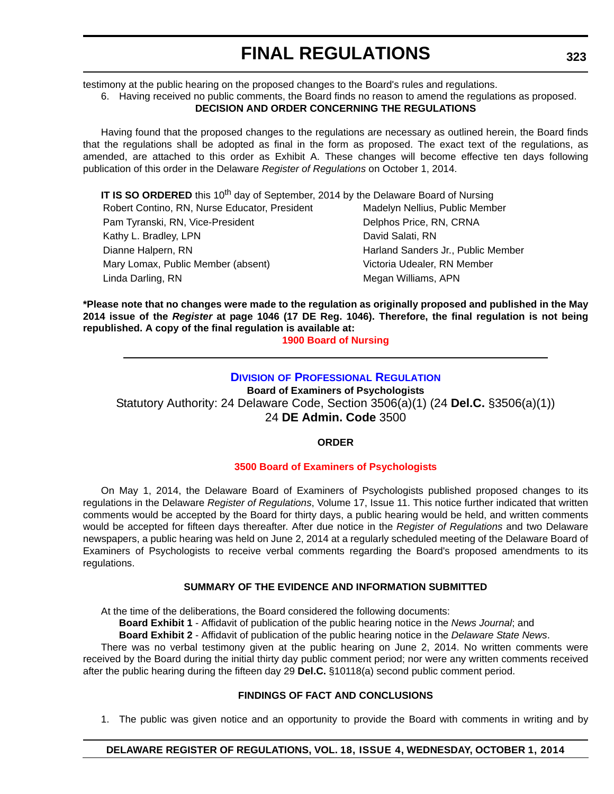testimony at the public hearing on the proposed changes to the Board's rules and regulations.

6. Having received no public comments, the Board finds no reason to amend the regulations as proposed.

# **DECISION AND ORDER CONCERNING THE REGULATIONS**

Having found that the proposed changes to the regulations are necessary as outlined herein, the Board finds that the regulations shall be adopted as final in the form as proposed. The exact text of the regulations, as amended, are attached to this order as Exhibit A. These changes will become effective ten days following publication of this order in the Delaware *Register of Regulations* on October 1, 2014.

**IT IS SO ORDERED** this 10<sup>th</sup> day of September, 2014 by the Delaware Board of Nursing Robert Contino, RN, Nurse Educator, President Madelyn Nellius, Public Member Pam Tyranski, RN, Vice-President Delphos Price, RN, CRNA Kathy L. Bradley, LPN David Salati, RN Dianne Halpern, RN Harland Sanders Jr., Public Member Mary Lomax, Public Member (absent) Victoria Udealer, RN Member Linda Darling, RN Megan Williams, APN

**\*Please note that no changes were made to the regulation as originally proposed and published in the May 2014 issue of the** *Register* **at page 1046 (17 DE Reg. 1046). Therefore, the final regulation is not being republished. A copy of the final regulation is available at:**

**[1900 Board of Nursing](http://regulations.delaware.gov/register/october2014/final/18 DE Reg 322 10-01-14.htm)**

### **DIVISION [OF PROFESSIONAL REGULATION](http://dpr.delaware.gov/)**

**Board of Examiners of Psychologists** Statutory Authority: 24 Delaware Code, Section 3506(a)(1) (24 **Del.C.** §3506(a)(1)) 24 **DE Admin. Code** 3500

#### **ORDER**

#### **[3500 Board of Examiners of Psychologists](#page-4-0)**

On May 1, 2014, the Delaware Board of Examiners of Psychologists published proposed changes to its regulations in the Delaware *Register of Regulations*, Volume 17, Issue 11. This notice further indicated that written comments would be accepted by the Board for thirty days, a public hearing would be held, and written comments would be accepted for fifteen days thereafter. After due notice in the *Register of Regulations* and two Delaware newspapers, a public hearing was held on June 2, 2014 at a regularly scheduled meeting of the Delaware Board of Examiners of Psychologists to receive verbal comments regarding the Board's proposed amendments to its regulations.

#### **SUMMARY OF THE EVIDENCE AND INFORMATION SUBMITTED**

At the time of the deliberations, the Board considered the following documents:

**Board Exhibit 1** - Affidavit of publication of the public hearing notice in the *News Journal*; and

**Board Exhibit 2** - Affidavit of publication of the public hearing notice in the *Delaware State News*.

There was no verbal testimony given at the public hearing on June 2, 2014. No written comments were received by the Board during the initial thirty day public comment period; nor were any written comments received after the public hearing during the fifteen day 29 **Del.C.** §10118(a) second public comment period.

#### **FINDINGS OF FACT AND CONCLUSIONS**

1. The public was given notice and an opportunity to provide the Board with comments in writing and by

#### **DELAWARE REGISTER OF REGULATIONS, VOL. 18, ISSUE 4, WEDNESDAY, OCTOBER 1, 2014**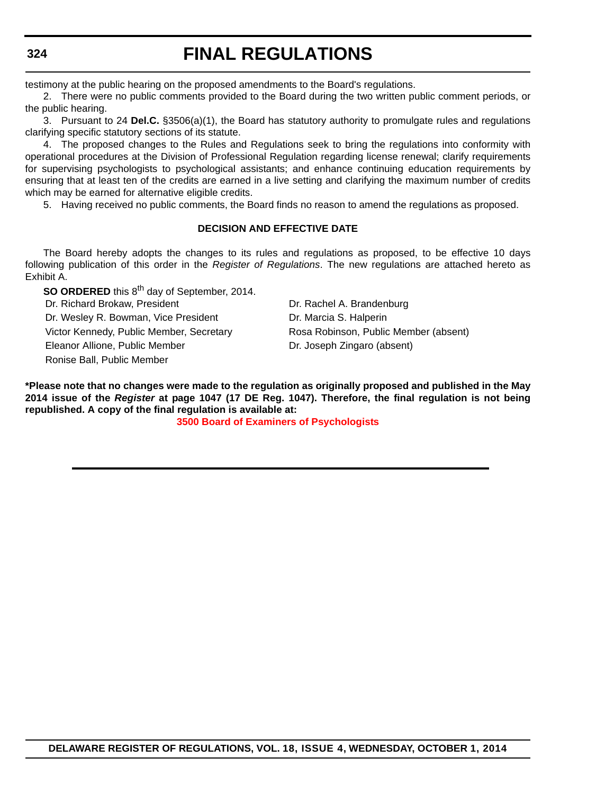# **FINAL REGULATIONS**

testimony at the public hearing on the proposed amendments to the Board's regulations.

2. There were no public comments provided to the Board during the two written public comment periods, or the public hearing.

3. Pursuant to 24 **Del.C.** §3506(a)(1), the Board has statutory authority to promulgate rules and regulations clarifying specific statutory sections of its statute.

4. The proposed changes to the Rules and Regulations seek to bring the regulations into conformity with operational procedures at the Division of Professional Regulation regarding license renewal; clarify requirements for supervising psychologists to psychological assistants; and enhance continuing education requirements by ensuring that at least ten of the credits are earned in a live setting and clarifying the maximum number of credits which may be earned for alternative eligible credits.

5. Having received no public comments, the Board finds no reason to amend the regulations as proposed.

#### **DECISION AND EFFECTIVE DATE**

The Board hereby adopts the changes to its rules and regulations as proposed, to be effective 10 days following publication of this order in the *Register of Regulations*. The new regulations are attached hereto as Exhibit A.

**SO ORDERED** this 8<sup>th</sup> day of September, 2014. Dr. Richard Brokaw, President Dr. Rachel A. Brandenburg Dr. Wesley R. Bowman, Vice President Dr. Marcia S. Halperin Victor Kennedy, Public Member, Secretary Rosa Robinson, Public Member (absent) Eleanor Allione, Public Member **Dr. Joseph Zingaro (absent)** Ronise Ball, Public Member

**\*Please note that no changes were made to the regulation as originally proposed and published in the May 2014 issue of the** *Register* **at page 1047 (17 DE Reg. 1047). Therefore, the final regulation is not being republished. A copy of the final regulation is available at:**

**[3500 Board of Examiners of Psychologists](http://regulations.delaware.gov/register/october2014/final/18 DE Reg 323 10-01-14.htm)**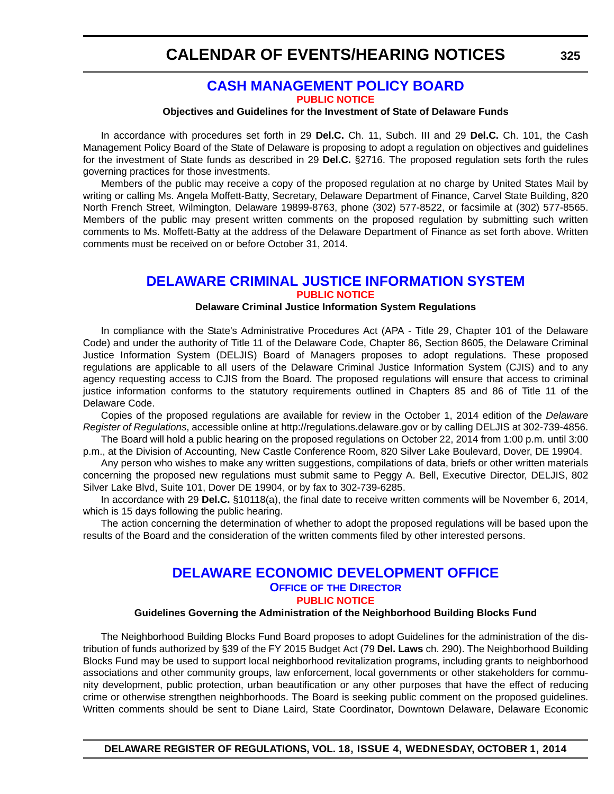#### **[CASH MANAGEMENT POLICY BOARD](http://sos.delaware.gov/sos.shtml) [PUBLIC NOTICE](#page-4-0)**

**Objectives and Guidelines for the Investment of State of Delaware Funds**

In accordance with procedures set forth in 29 **Del.C.** Ch. 11, Subch. III and 29 **Del.C.** Ch. 101, the Cash Management Policy Board of the State of Delaware is proposing to adopt a regulation on objectives and guidelines for the investment of State funds as described in 29 **Del.C.** §2716. The proposed regulation sets forth the rules governing practices for those investments.

Members of the public may receive a copy of the proposed regulation at no charge by United States Mail by writing or calling Ms. Angela Moffett-Batty, Secretary, Delaware Department of Finance, Carvel State Building, 820 North French Street, Wilmington, Delaware 19899-8763, phone (302) 577-8522, or facsimile at (302) 577-8565. Members of the public may present written comments on the proposed regulation by submitting such written comments to Ms. Moffett-Batty at the address of the Delaware Department of Finance as set forth above. Written comments must be received on or before October 31, 2014.

#### **[DELAWARE CRIMINAL JUSTICE INFORMATION SYSTEM](http://deljis.delaware.gov/) [PUBLIC NOTICE](#page-4-0)**

#### **Delaware Criminal Justice Information System Regulations**

In compliance with the State's Administrative Procedures Act (APA - Title 29, Chapter 101 of the Delaware Code) and under the authority of Title 11 of the Delaware Code, Chapter 86, Section 8605, the Delaware Criminal Justice Information System (DELJIS) Board of Managers proposes to adopt regulations. These proposed regulations are applicable to all users of the Delaware Criminal Justice Information System (CJIS) and to any agency requesting access to CJIS from the Board. The proposed regulations will ensure that access to criminal justice information conforms to the statutory requirements outlined in Chapters 85 and 86 of Title 11 of the Delaware Code.

Copies of the proposed regulations are available for review in the October 1, 2014 edition of the *Delaware Register of Regulations*, accessible online at http://regulations.delaware.gov or by calling DELJIS at 302-739-4856. The Board will hold a public hearing on the proposed regulations on October 22, 2014 from 1:00 p.m. until 3:00

p.m., at the Division of Accounting, New Castle Conference Room, 820 Silver Lake Boulevard, Dover, DE 19904.

Any person who wishes to make any written suggestions, compilations of data, briefs or other written materials concerning the proposed new regulations must submit same to Peggy A. Bell, Executive Director, DELJIS, 802 Silver Lake Blvd, Suite 101, Dover DE 19904, or by fax to 302-739-6285.

In accordance with 29 **Del.C.** §10118(a), the final date to receive written comments will be November 6, 2014, which is 15 days following the public hearing.

The action concerning the determination of whether to adopt the proposed regulations will be based upon the results of the Board and the consideration of the written comments filed by other interested persons.

# **[DELAWARE ECONOMIC DEVELOPMENT OFFICE](http://dedo.delaware.gov/) OFFICE OF THE DIRECTOR [PUBLIC NOTICE](#page-4-0)**

#### **Guidelines Governing the Administration of the Neighborhood Building Blocks Fund**

The Neighborhood Building Blocks Fund Board proposes to adopt Guidelines for the administration of the distribution of funds authorized by §39 of the FY 2015 Budget Act (79 **Del. Laws** ch. 290). The Neighborhood Building Blocks Fund may be used to support local neighborhood revitalization programs, including grants to neighborhood associations and other community groups, law enforcement, local governments or other stakeholders for community development, public protection, urban beautification or any other purposes that have the effect of reducing crime or otherwise strengthen neighborhoods. The Board is seeking public comment on the proposed guidelines. Written comments should be sent to Diane Laird, State Coordinator, Downtown Delaware, Delaware Economic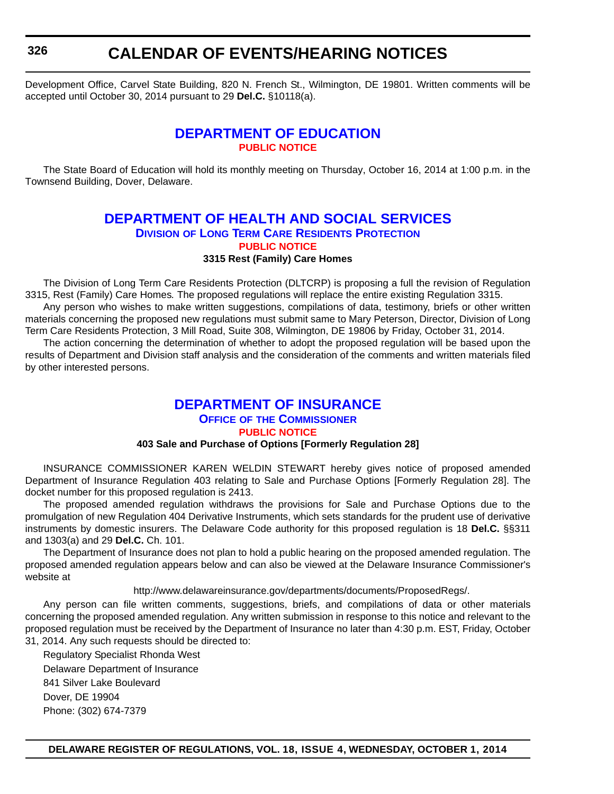Development Office, Carvel State Building, 820 N. French St., Wilmington, DE 19801. Written comments will be accepted until October 30, 2014 pursuant to 29 **Del.C.** §10118(a).

# **[DEPARTMENT OF EDUCATION](http://www.doe.k12.de.us/) [PUBLIC NOTICE](#page-4-0)**

The State Board of Education will hold its monthly meeting on Thursday, October 16, 2014 at 1:00 p.m. in the Townsend Building, Dover, Delaware.

# **[DEPARTMENT OF HEALTH AND SOCIAL SERVICES](http://www.dhss.delaware.gov/dhss/dltcrp/index.html) DIVISION OF LONG TERM CARE RESIDENTS PROTECTION [PUBLIC NOTICE](#page-4-0)**

**3315 Rest (Family) Care Homes**

The Division of Long Term Care Residents Protection (DLTCRP) is proposing a full the revision of Regulation 3315, Rest (Family) Care Homes*.* The proposed regulations will replace the entire existing Regulation 3315. Any person who wishes to make written suggestions, compilations of data, testimony, briefs or other written

materials concerning the proposed new regulations must submit same to Mary Peterson, Director, Division of Long Term Care Residents Protection, 3 Mill Road, Suite 308, Wilmington, DE 19806 by Friday, October 31, 2014.

The action concerning the determination of whether to adopt the proposed regulation will be based upon the results of Department and Division staff analysis and the consideration of the comments and written materials filed by other interested persons.

# **[DEPARTMENT OF INSURANCE](http://www.delawareinsurance.gov/) OFFICE OF THE COMMISSIONER [PUBLIC NOTICE](#page-4-0)**

# **403 Sale and Purchase of Options [Formerly Regulation 28]**

INSURANCE COMMISSIONER KAREN WELDIN STEWART hereby gives notice of proposed amended Department of Insurance Regulation 403 relating to Sale and Purchase Options [Formerly Regulation 28]. The docket number for this proposed regulation is 2413.

The proposed amended regulation withdraws the provisions for Sale and Purchase Options due to the promulgation of new Regulation 404 Derivative Instruments, which sets standards for the prudent use of derivative instruments by domestic insurers. The Delaware Code authority for this proposed regulation is 18 **Del.C.** §§311 and 1303(a) and 29 **Del.C.** Ch. 101.

The Department of Insurance does not plan to hold a public hearing on the proposed amended regulation. The proposed amended regulation appears below and can also be viewed at the Delaware Insurance Commissioner's website at

#### http://www.delawareinsurance.gov/departments/documents/ProposedRegs/.

Any person can file written comments, suggestions, briefs, and compilations of data or other materials concerning the proposed amended regulation. Any written submission in response to this notice and relevant to the proposed regulation must be received by the Department of Insurance no later than 4:30 p.m. EST, Friday, October 31, 2014. Any such requests should be directed to:

Regulatory Specialist Rhonda West Delaware Department of Insurance 841 Silver Lake Boulevard Dover, DE 19904 Phone: (302) 674-7379

**326**

**DELAWARE REGISTER OF REGULATIONS, VOL. 18, ISSUE 4, WEDNESDAY, OCTOBER 1, 2014**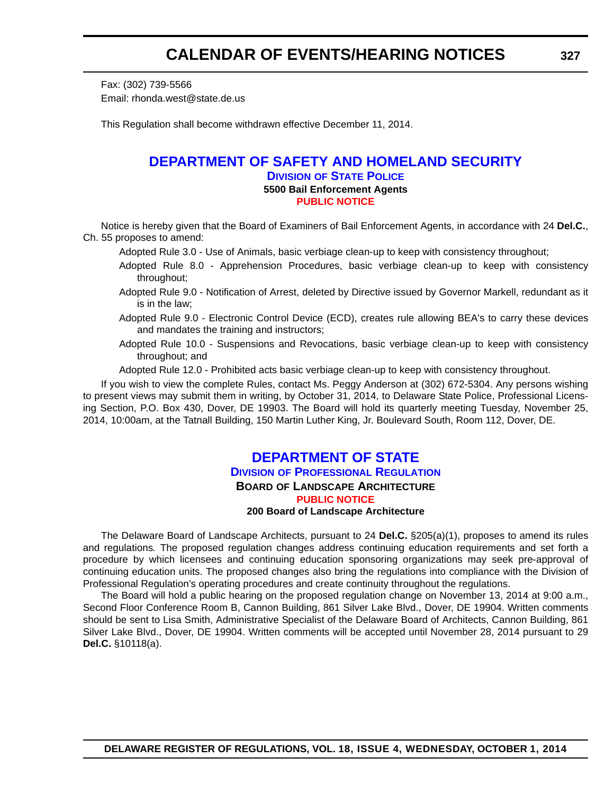Fax: (302) 739-5566 Email: rhonda.west@state.de.us

This Regulation shall become withdrawn effective December 11, 2014.

### **[DEPARTMENT OF SAFETY AND HOMELAND SECURITY](http://dsp.delaware.gov/) DIVISION OF STATE POLICE 5500 Bail Enforcement Agents [PUBLIC NOTICE](#page-4-0)**

Notice is hereby given that the Board of Examiners of Bail Enforcement Agents, in accordance with 24 **Del.C.**, Ch. 55 proposes to amend:

Adopted Rule 3.0 - Use of Animals, basic verbiage clean-up to keep with consistency throughout;

- Adopted Rule 8.0 Apprehension Procedures, basic verbiage clean-up to keep with consistency throughout;
- Adopted Rule 9.0 Notification of Arrest, deleted by Directive issued by Governor Markell, redundant as it is in the law;
- Adopted Rule 9.0 Electronic Control Device (ECD), creates rule allowing BEA's to carry these devices and mandates the training and instructors;
- Adopted Rule 10.0 Suspensions and Revocations, basic verbiage clean-up to keep with consistency throughout; and

Adopted Rule 12.0 - Prohibited acts basic verbiage clean-up to keep with consistency throughout.

If you wish to view the complete Rules, contact Ms. Peggy Anderson at (302) 672-5304. Any persons wishing to present views may submit them in writing, by October 31, 2014, to Delaware State Police, Professional Licensing Section, P.O. Box 430, Dover, DE 19903. The Board will hold its quarterly meeting Tuesday, November 25, 2014, 10:00am, at the Tatnall Building, 150 Martin Luther King, Jr. Boulevard South, Room 112, Dover, DE.

# **[DEPARTMENT OF STATE](http://dpr.delaware.gov/) DIVISION OF PROFESSIONAL REGULATION BOARD OF LANDSCAPE ARCHITECTURE [PUBLIC NOTICE](#page-4-0) 200 Board of Landscape Architecture**

The Delaware Board of Landscape Architects, pursuant to 24 **Del.C.** §205(a)(1), proposes to amend its rules and regulations*.* The proposed regulation changes address continuing education requirements and set forth a procedure by which licensees and continuing education sponsoring organizations may seek pre-approval of continuing education units. The proposed changes also bring the regulations into compliance with the Division of Professional Regulation's operating procedures and create continuity throughout the regulations.

The Board will hold a public hearing on the proposed regulation change on November 13, 2014 at 9:00 a.m., Second Floor Conference Room B, Cannon Building, 861 Silver Lake Blvd., Dover, DE 19904. Written comments should be sent to Lisa Smith, Administrative Specialist of the Delaware Board of Architects, Cannon Building, 861 Silver Lake Blvd., Dover, DE 19904. Written comments will be accepted until November 28, 2014 pursuant to 29 **Del.C.** §10118(a).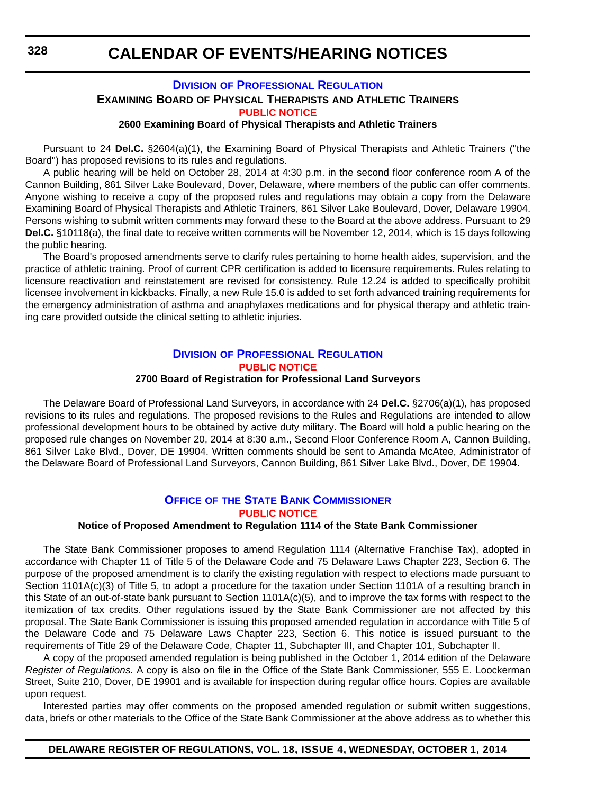# **DIVISION [OF PROFESSIONAL REGULATION](http://dpr.delaware.gov/) EXAMINING BOARD OF PHYSICAL THERAPISTS AND ATHLETIC TRAINERS [PUBLIC NOTICE](#page-4-0)**

#### **2600 Examining Board of Physical Therapists and Athletic Trainers**

Pursuant to 24 **Del.C.** §2604(a)(1), the Examining Board of Physical Therapists and Athletic Trainers ("the Board") has proposed revisions to its rules and regulations.

A public hearing will be held on October 28, 2014 at 4:30 p.m. in the second floor conference room A of the Cannon Building, 861 Silver Lake Boulevard, Dover, Delaware, where members of the public can offer comments. Anyone wishing to receive a copy of the proposed rules and regulations may obtain a copy from the Delaware Examining Board of Physical Therapists and Athletic Trainers, 861 Silver Lake Boulevard, Dover, Delaware 19904. Persons wishing to submit written comments may forward these to the Board at the above address. Pursuant to 29 **Del.C.** §10118(a), the final date to receive written comments will be November 12, 2014, which is 15 days following the public hearing.

The Board's proposed amendments serve to clarify rules pertaining to home health aides, supervision, and the practice of athletic training. Proof of current CPR certification is added to licensure requirements. Rules relating to licensure reactivation and reinstatement are revised for consistency. Rule 12.24 is added to specifically prohibit licensee involvement in kickbacks. Finally, a new Rule 15.0 is added to set forth advanced training requirements for the emergency administration of asthma and anaphylaxes medications and for physical therapy and athletic training care provided outside the clinical setting to athletic injuries.

#### **DIVISION [OF PROFESSIONAL REGULATION](http://dpr.delaware.gov/) [PUBLIC NOTICE](#page-4-0)**

#### **2700 Board of Registration for Professional Land Surveyors**

The Delaware Board of Professional Land Surveyors, in accordance with 24 **Del.C.** §2706(a)(1), has proposed revisions to its rules and regulations. The proposed revisions to the Rules and Regulations are intended to allow professional development hours to be obtained by active duty military. The Board will hold a public hearing on the proposed rule changes on November 20, 2014 at 8:30 a.m., Second Floor Conference Room A, Cannon Building, 861 Silver Lake Blvd., Dover, DE 19904. Written comments should be sent to Amanda McAtee, Administrator of the Delaware Board of Professional Land Surveyors, Cannon Building, 861 Silver Lake Blvd., Dover, DE 19904.

# **OFFICE OF [THE STATE BANK COMMISSIONER](http://banking.delaware.gov/) [PUBLIC NOTICE](#page-4-0)**

#### **Notice of Proposed Amendment to Regulation 1114 of the State Bank Commissioner**

The State Bank Commissioner proposes to amend Regulation 1114 (Alternative Franchise Tax), adopted in accordance with Chapter 11 of Title 5 of the Delaware Code and 75 Delaware Laws Chapter 223, Section 6. The purpose of the proposed amendment is to clarify the existing regulation with respect to elections made pursuant to Section 1101A(c)(3) of Title 5, to adopt a procedure for the taxation under Section 1101A of a resulting branch in this State of an out-of-state bank pursuant to Section 1101A(c)(5), and to improve the tax forms with respect to the itemization of tax credits. Other regulations issued by the State Bank Commissioner are not affected by this proposal. The State Bank Commissioner is issuing this proposed amended regulation in accordance with Title 5 of the Delaware Code and 75 Delaware Laws Chapter 223, Section 6. This notice is issued pursuant to the requirements of Title 29 of the Delaware Code, Chapter 11, Subchapter III, and Chapter 101, Subchapter II.

A copy of the proposed amended regulation is being published in the October 1, 2014 edition of the Delaware *Register of Regulations*. A copy is also on file in the Office of the State Bank Commissioner, 555 E. Loockerman Street, Suite 210, Dover, DE 19901 and is available for inspection during regular office hours. Copies are available upon request.

Interested parties may offer comments on the proposed amended regulation or submit written suggestions, data, briefs or other materials to the Office of the State Bank Commissioner at the above address as to whether this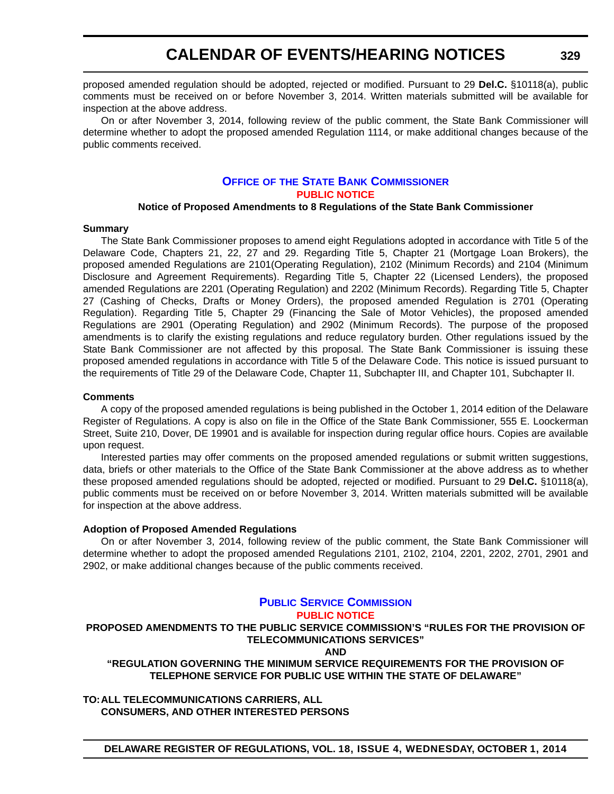proposed amended regulation should be adopted, rejected or modified. Pursuant to 29 **Del.C.** §10118(a), public comments must be received on or before November 3, 2014. Written materials submitted will be available for inspection at the above address.

On or after November 3, 2014, following review of the public comment, the State Bank Commissioner will determine whether to adopt the proposed amended Regulation 1114, or make additional changes because of the public comments received.

### **OFFICE OF [THE STATE BANK COMMISSIONER](http://banking.delaware.gov/) [PUBLIC NOTICE](#page-4-0)**

#### **Notice of Proposed Amendments to 8 Regulations of the State Bank Commissioner**

#### **Summary**

The State Bank Commissioner proposes to amend eight Regulations adopted in accordance with Title 5 of the Delaware Code, Chapters 21, 22, 27 and 29. Regarding Title 5, Chapter 21 (Mortgage Loan Brokers), the proposed amended Regulations are 2101(Operating Regulation), 2102 (Minimum Records) and 2104 (Minimum Disclosure and Agreement Requirements). Regarding Title 5, Chapter 22 (Licensed Lenders), the proposed amended Regulations are 2201 (Operating Regulation) and 2202 (Minimum Records). Regarding Title 5, Chapter 27 (Cashing of Checks, Drafts or Money Orders), the proposed amended Regulation is 2701 (Operating Regulation). Regarding Title 5, Chapter 29 (Financing the Sale of Motor Vehicles), the proposed amended Regulations are 2901 (Operating Regulation) and 2902 (Minimum Records). The purpose of the proposed amendments is to clarify the existing regulations and reduce regulatory burden. Other regulations issued by the State Bank Commissioner are not affected by this proposal. The State Bank Commissioner is issuing these proposed amended regulations in accordance with Title 5 of the Delaware Code. This notice is issued pursuant to the requirements of Title 29 of the Delaware Code, Chapter 11, Subchapter III, and Chapter 101, Subchapter II.

#### **Comments**

A copy of the proposed amended regulations is being published in the October 1, 2014 edition of the Delaware Register of Regulations. A copy is also on file in the Office of the State Bank Commissioner, 555 E. Loockerman Street, Suite 210, Dover, DE 19901 and is available for inspection during regular office hours. Copies are available upon request.

Interested parties may offer comments on the proposed amended regulations or submit written suggestions, data, briefs or other materials to the Office of the State Bank Commissioner at the above address as to whether these proposed amended regulations should be adopted, rejected or modified. Pursuant to 29 **Del.C.** §10118(a), public comments must be received on or before November 3, 2014. Written materials submitted will be available for inspection at the above address.

#### **Adoption of Proposed Amended Regulations**

On or after November 3, 2014, following review of the public comment, the State Bank Commissioner will determine whether to adopt the proposed amended Regulations 2101, 2102, 2104, 2201, 2202, 2701, 2901 and 2902, or make additional changes because of the public comments received.

# **[PUBLIC SERVICE COMMISSION](http://depsc.delaware.gov/)**

# **[PUBLIC NOTICE](#page-4-0)**

**PROPOSED AMENDMENTS TO THE PUBLIC SERVICE COMMISSION'S "RULES FOR THE PROVISION OF TELECOMMUNICATIONS SERVICES"**

**AND**

**"REGULATION GOVERNING THE MINIMUM SERVICE REQUIREMENTS FOR THE PROVISION OF TELEPHONE SERVICE FOR PUBLIC USE WITHIN THE STATE OF DELAWARE"**

**TO:ALL TELECOMMUNICATIONS CARRIERS, ALL CONSUMERS, AND OTHER INTERESTED PERSONS**